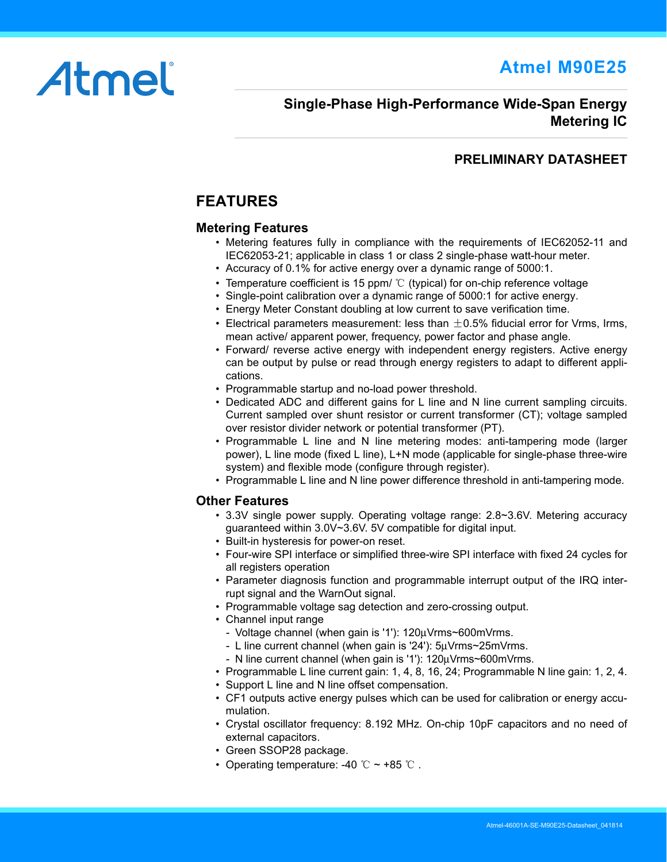**Atmel M90E25**

# Atmel

# **Single-Phase High-Performance Wide-Span Energy Metering IC**

# **PRELIMINARY DATASHEET**

# <span id="page-0-0"></span>**FEATURES**

## **Metering Features**

- *•* Metering features fully in compliance with the requirements of IEC62052-11 and IEC62053-21; applicable in class 1 or class 2 single-phase watt-hour meter.
- *•* Accuracy of 0.1% for active energy over a dynamic range of 5000:1.
- *•* Temperature coefficient is 15 ppm/ ℃ (typical) for on-chip reference voltage
- *•* Single-point calibration over a dynamic range of 5000:1 for active energy.
- *•* Energy Meter Constant doubling at low current to save verification time.
- *•* Electrical parameters measurement: less than ±0.5% fiducial error for Vrms, Irms, mean active/ apparent power, frequency, power factor and phase angle.
- *•* Forward/ reverse active energy with independent energy registers. Active energy can be output by pulse or read through energy registers to adapt to different applications.
- *•* Programmable startup and no-load power threshold.
- *•* Dedicated ADC and different gains for L line and N line current sampling circuits. Current sampled over shunt resistor or current transformer (CT); voltage sampled over resistor divider network or potential transformer (PT).
- *•* Programmable L line and N line metering modes: anti-tampering mode (larger power), L line mode (fixed L line), L+N mode (applicable for single-phase three-wire system) and flexible mode (configure through register).
- *•* Programmable L line and N line power difference threshold in anti-tampering mode.

## **Other Features**

- *•* 3.3V single power supply. Operating voltage range: 2.8~3.6V. Metering accuracy guaranteed within 3.0V~3.6V. 5V compatible for digital input.
- *•* Built-in hysteresis for power-on reset.
- *•* Four-wire SPI interface or simplified three-wire SPI interface with fixed 24 cycles for all registers operation
- *•* Parameter diagnosis function and programmable interrupt output of the IRQ interrupt signal and the WarnOut signal.
- *•* Programmable voltage sag detection and zero-crossing output.
- *•* Channel input range
	- *-* Voltage channel (when gain is '1'): 120μVrms~600mVrms.
	- *-* L line current channel (when gain is '24'): 5μVrms~25mVrms.
	- *-* N line current channel (when gain is '1'): 120μVrms~600mVrms.
- *•* Programmable L line current gain: 1, 4, 8, 16, 24; Programmable N line gain: 1, 2, 4.
- *•* Support L line and N line offset compensation.
- *•* CF1 outputs active energy pulses which can be used for calibration or energy accumulation.
- *•* Crystal oscillator frequency: 8.192 MHz. On-chip 10pF capacitors and no need of external capacitors.
- *•* Green SSOP28 package.
- *•* Operating temperature: -40 ℃ ~ +85 ℃ .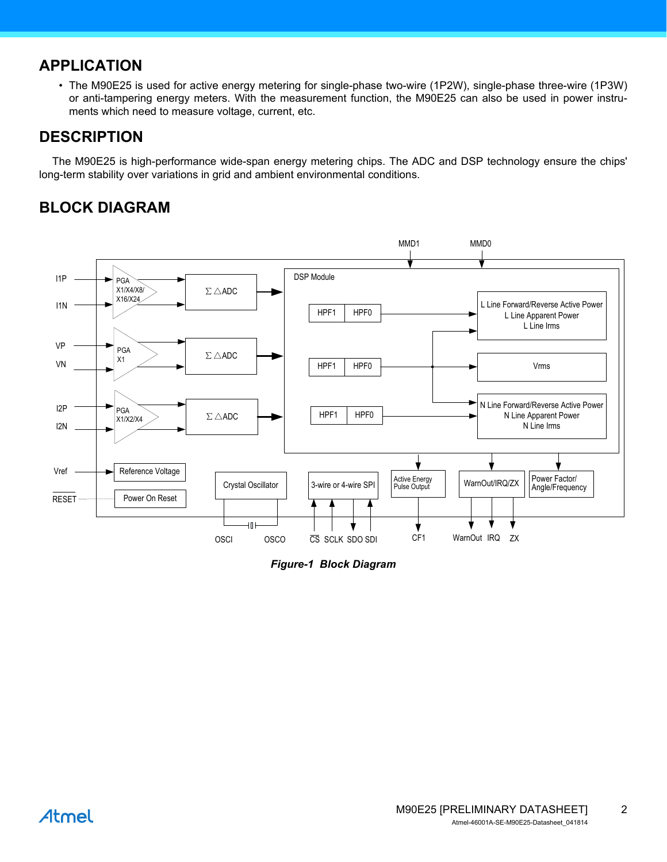# <span id="page-1-0"></span>**APPLICATION**

*•* The M90E25 is used for active energy metering for single-phase two-wire (1P2W), single-phase three-wire (1P3W) or anti-tampering energy meters. With the measurement function, the M90E25 can also be used in power instruments which need to measure voltage, current, etc.

# <span id="page-1-1"></span>**DESCRIPTION**

The M90E25 is high-performance wide-span energy metering chips. The ADC and DSP technology ensure the chips' long-term stability over variations in grid and ambient environmental conditions.

# <span id="page-1-2"></span>**BLOCK DIAGRAM**



<span id="page-1-3"></span>*Figure-1 Block Diagram*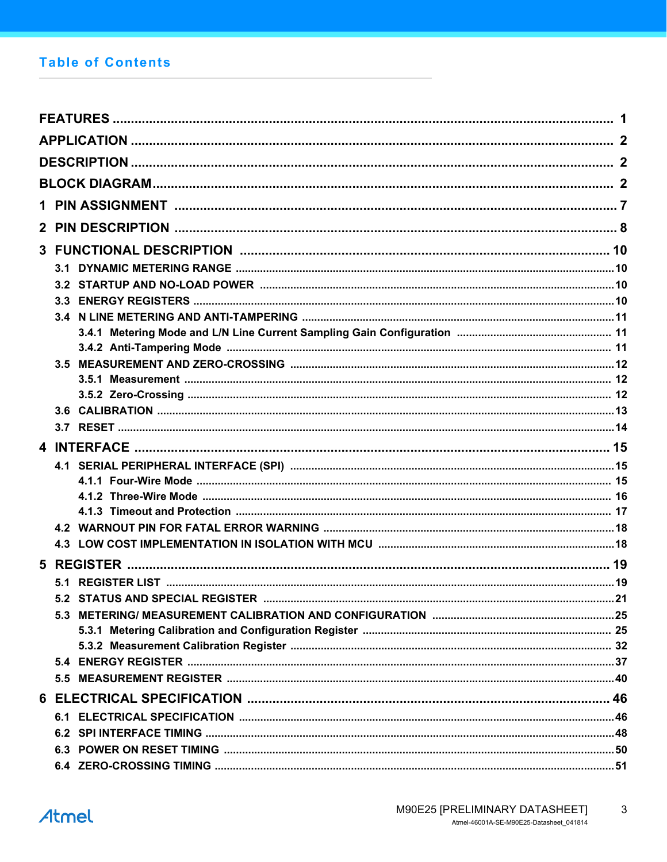# **Table of Contents**

| 3.1                             |  |
|---------------------------------|--|
|                                 |  |
|                                 |  |
|                                 |  |
|                                 |  |
|                                 |  |
|                                 |  |
|                                 |  |
|                                 |  |
|                                 |  |
|                                 |  |
|                                 |  |
|                                 |  |
|                                 |  |
|                                 |  |
|                                 |  |
|                                 |  |
|                                 |  |
|                                 |  |
| 5.2 STATUS AND SPECIAL REGISTER |  |
|                                 |  |
|                                 |  |
|                                 |  |
|                                 |  |
|                                 |  |
|                                 |  |
|                                 |  |
|                                 |  |
|                                 |  |
|                                 |  |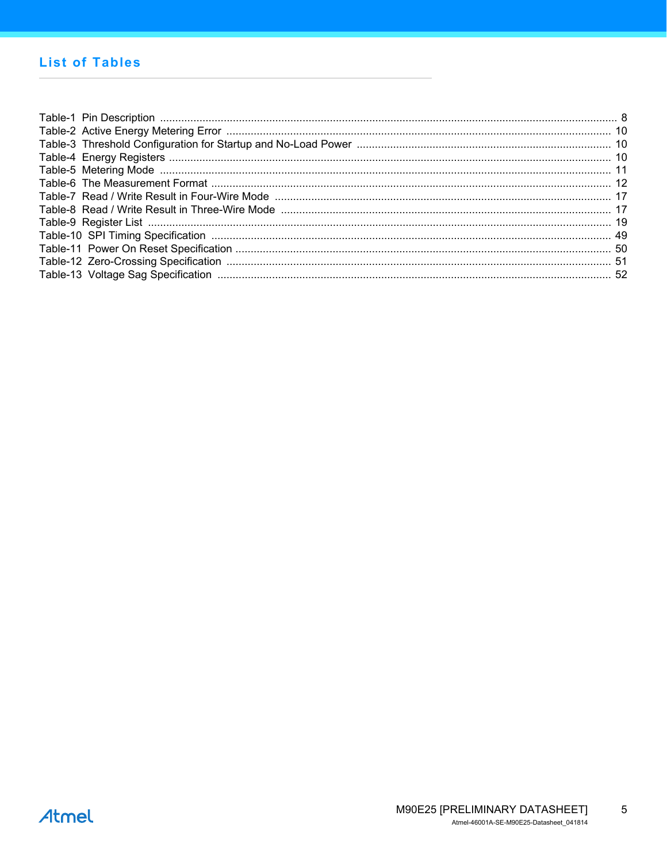# **List of Tables**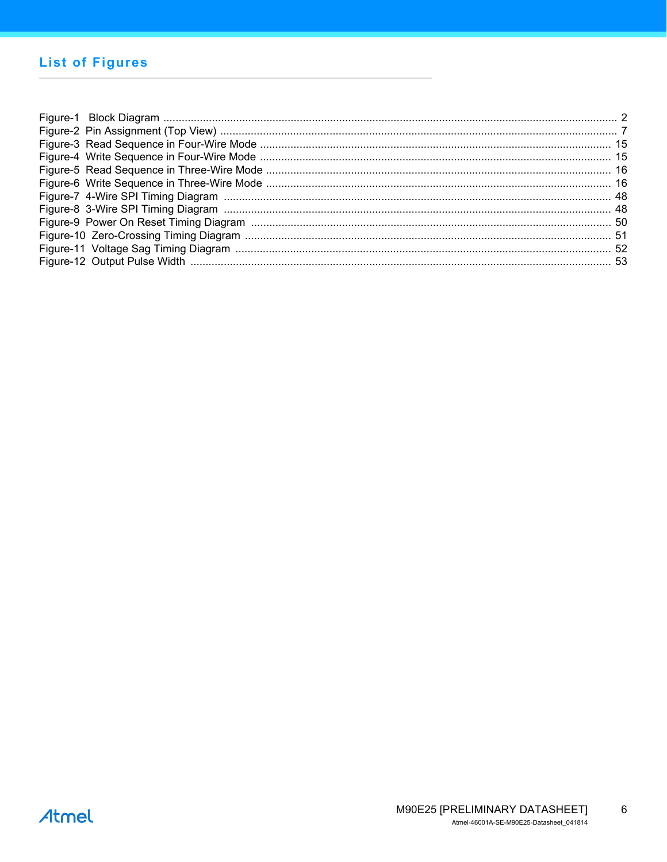# **List of Figures**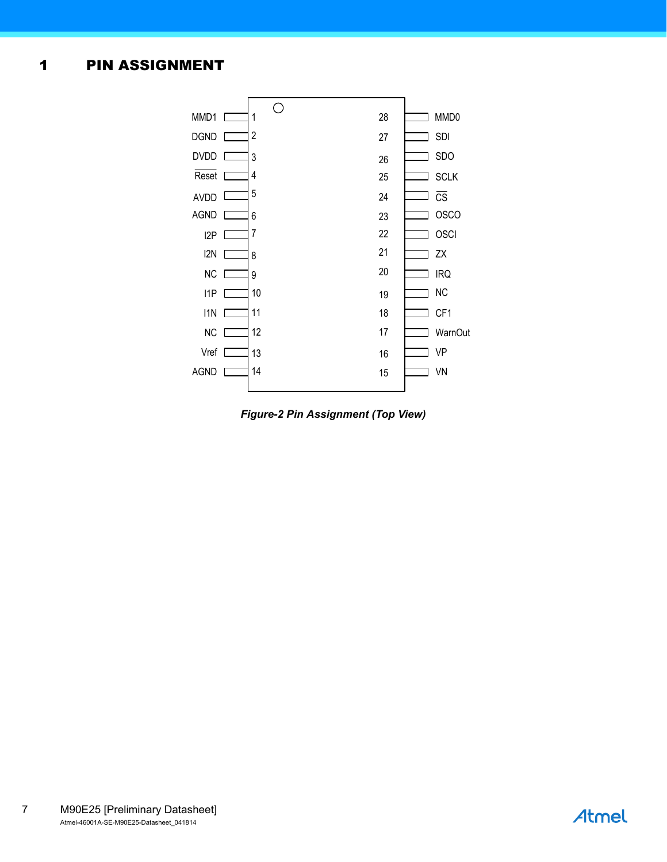# <span id="page-6-0"></span>1 PIN ASSIGNMENT



<span id="page-6-1"></span>*Figure-2 Pin Assignment (Top View)*

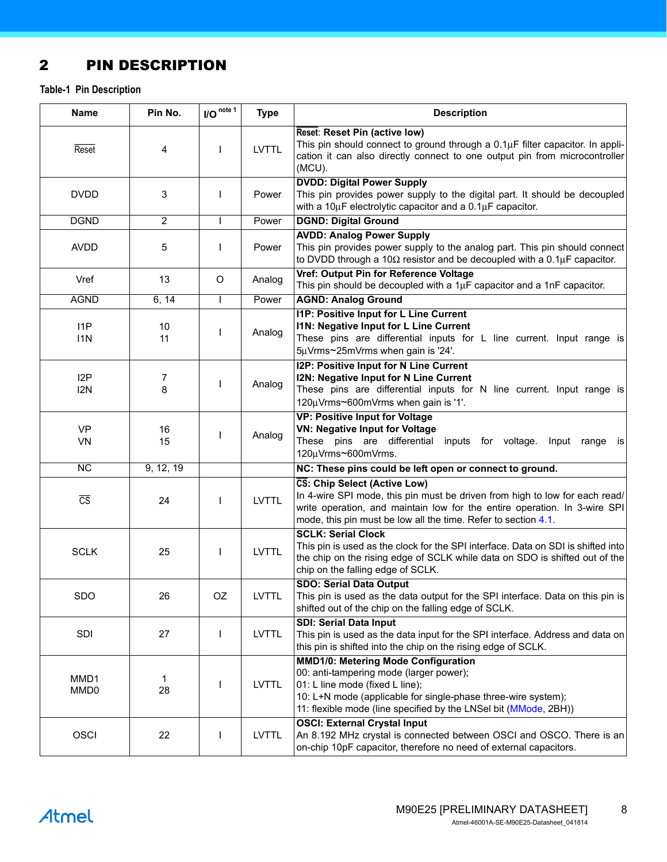# <span id="page-7-0"></span>2 PIN DESCRIPTION

<span id="page-7-1"></span>**Table-1 Pin Description**

| <b>Name</b>                          | Pin No.        | $IO$ <sup>note 1</sup> | <b>Type</b>  | <b>Description</b>                                                                                                                                                                                                                                            |
|--------------------------------------|----------------|------------------------|--------------|---------------------------------------------------------------------------------------------------------------------------------------------------------------------------------------------------------------------------------------------------------------|
| Reset                                | 4              | ı                      | <b>LVTTL</b> | Reset: Reset Pin (active low)<br>This pin should connect to ground through a $0.1\mu$ F filter capacitor. In appli-<br>cation it can also directly connect to one output pin from microcontroller<br>(MCU).                                                   |
| <b>DVDD</b>                          | 3              | L                      | Power        | <b>DVDD: Digital Power Supply</b><br>This pin provides power supply to the digital part. It should be decoupled<br>with a 10 $\mu$ F electrolytic capacitor and a 0.1 $\mu$ F capacitor.                                                                      |
| <b>DGND</b>                          | $\overline{2}$ |                        | Power        | <b>DGND: Digital Ground</b>                                                                                                                                                                                                                                   |
| <b>AVDD</b>                          | 5              |                        | Power        | <b>AVDD: Analog Power Supply</b><br>This pin provides power supply to the analog part. This pin should connect<br>to DVDD through a 10 $\Omega$ resistor and be decoupled with a 0.1 $\mu$ F capacitor.                                                       |
| Vref                                 | 13             | O                      | Analog       | Vref: Output Pin for Reference Voltage<br>This pin should be decoupled with a $1\mu$ F capacitor and a $1\text{nF}$ capacitor.                                                                                                                                |
| <b>AGND</b>                          | 6, 14          | I                      | Power        | <b>AGND: Analog Ground</b>                                                                                                                                                                                                                                    |
| 11P<br>11N                           | 10<br>11       | ı                      | Analog       | <b>I1P: Positive Input for L Line Current</b><br>I1N: Negative Input for L Line Current<br>These pins are differential inputs for L line current. Input range is<br>5µVrms~25mVrms when gain is '24'.                                                         |
| I <sub>2</sub> P<br>I <sub>2</sub> N | 7<br>8         | I                      | Analog       | I2P: Positive Input for N Line Current<br>I2N: Negative Input for N Line Current<br>These pins are differential inputs for N line current. Input range is<br>120µVrms~600mVrms when gain is '1'.                                                              |
| <b>VP</b><br>VN                      | 16<br>15       | I                      | Analog       | <b>VP: Positive Input for Voltage</b><br><b>VN: Negative Input for Voltage</b><br>These pins are differential inputs for voltage. Input range is<br>120µVrms~600mVrms.                                                                                        |
| $\overline{NC}$                      | 9, 12, 19      |                        |              | NC: These pins could be left open or connect to ground.                                                                                                                                                                                                       |
| $\overline{\text{CS}}$               | 24             | $\mathbf{I}$           | <b>LVTTL</b> | CS: Chip Select (Active Low)<br>In 4-wire SPI mode, this pin must be driven from high to low for each read/<br>write operation, and maintain low for the entire operation. In 3-wire SPI<br>mode, this pin must be low all the time. Refer to section 4.1.    |
| <b>SCLK</b>                          | 25             | $\mathbf{I}$           | <b>LVTTL</b> | <b>SCLK: Serial Clock</b><br>This pin is used as the clock for the SPI interface. Data on SDI is shifted into<br>the chip on the rising edge of SCLK while data on SDO is shifted out of the<br>chip on the falling edge of SCLK.                             |
| <b>SDO</b>                           | 26             | OZ                     | LVTTL        | <b>SDO: Serial Data Output</b><br>This pin is used as the data output for the SPI interface. Data on this pin is<br>shifted out of the chip on the falling edge of SCLK.                                                                                      |
| SDI                                  | 27             | I                      | <b>LVTTL</b> | <b>SDI: Serial Data Input</b><br>This pin is used as the data input for the SPI interface. Address and data on<br>this pin is shifted into the chip on the rising edge of SCLK.                                                                               |
| MMD1<br>MMD <sub>0</sub>             | 1<br>28        |                        | <b>LVTTL</b> | <b>MMD1/0: Metering Mode Configuration</b><br>00: anti-tampering mode (larger power);<br>01: L line mode (fixed L line);<br>10: L+N mode (applicable for single-phase three-wire system);<br>11: flexible mode (line specified by the LNSel bit (MMode, 2BH)) |
| <b>OSCI</b>                          | 22             |                        | <b>LVTTL</b> | <b>OSCI: External Crystal Input</b><br>An 8.192 MHz crystal is connected between OSCI and OSCO. There is an<br>on-chip 10pF capacitor, therefore no need of external capacitors.                                                                              |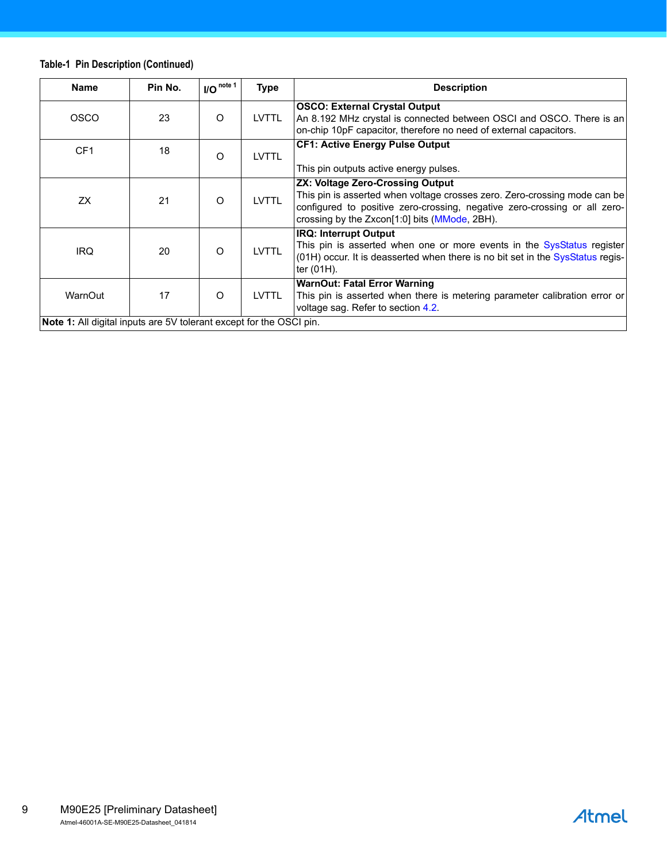## **Table-1 Pin Description (Continued)**

| <b>Name</b>                                                                | Pin No. | $I/O note 1$ | Type         | <b>Description</b>                                                                                                                                                                                                                                      |
|----------------------------------------------------------------------------|---------|--------------|--------------|---------------------------------------------------------------------------------------------------------------------------------------------------------------------------------------------------------------------------------------------------------|
| <b>OSCO</b>                                                                | 23      | O            | <b>LVTTL</b> | <b>OSCO: External Crystal Output</b><br>An 8.192 MHz crystal is connected between OSCI and OSCO. There is an<br>on-chip 10pF capacitor, therefore no need of external capacitors.                                                                       |
| CF <sub>1</sub>                                                            | 18      | O            | <b>LVTTL</b> | <b>CF1: Active Energy Pulse Output</b><br>This pin outputs active energy pulses.                                                                                                                                                                        |
| ZX                                                                         | 21      | $\Omega$     | <b>LVTTL</b> | ZX: Voltage Zero-Crossing Output<br>This pin is asserted when voltage crosses zero. Zero-crossing mode can be<br>configured to positive zero-crossing, negative zero-crossing or all zero-<br>crossing by the Zxcon <sup>[1:0]</sup> bits (MMode, 2BH). |
| <b>IRQ</b>                                                                 | 20      | $\Omega$     | <b>LVTTL</b> | <b>IRQ: Interrupt Output</b><br>This pin is asserted when one or more events in the SysStatus register<br>(01H) occur. It is deasserted when there is no bit set in the SysStatus regis-<br>ter (01H).                                                  |
| WarnOut                                                                    | 17      | $\Omega$     | <b>LVTTL</b> | <b>WarnOut: Fatal Error Warning</b><br>This pin is asserted when there is metering parameter calibration error or<br>voltage sag. Refer to section 4.2.                                                                                                 |
| <b>Note 1:</b> All digital inputs are 5V tolerant except for the OSCI pin. |         |              |              |                                                                                                                                                                                                                                                         |

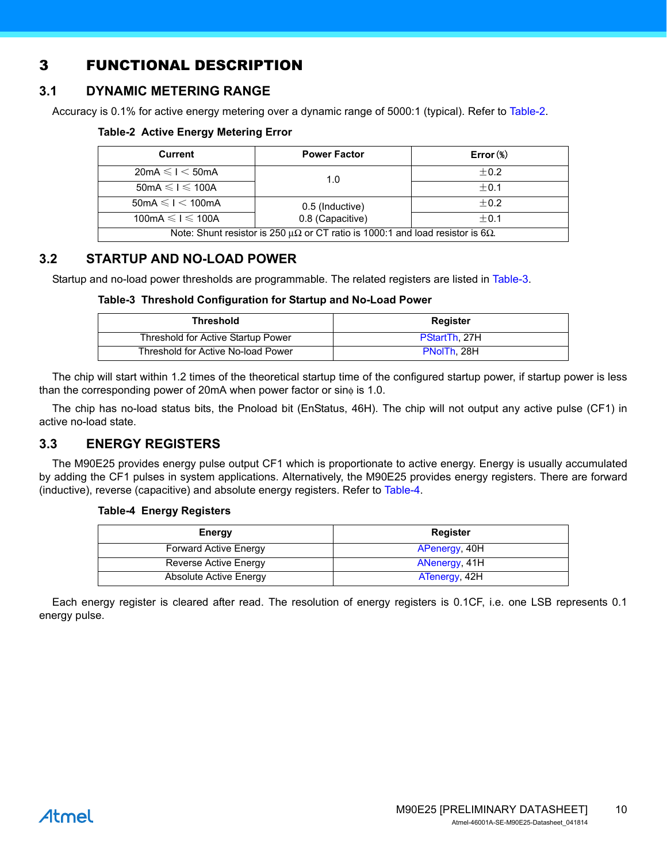# <span id="page-9-0"></span>3 FUNCTIONAL DESCRIPTION

# <span id="page-9-1"></span>**3.1 DYNAMIC METERING RANGE**

Accuracy is 0.1% for active energy metering over a dynamic range of 5000:1 (typical). Refer to [Table-2.](#page-9-4)

#### <span id="page-9-4"></span>**Table-2 Active Energy Metering Error**

| <b>Current</b>                                         | <b>Power Factor</b>                                                                             | $Error$ (%) |  |  |
|--------------------------------------------------------|-------------------------------------------------------------------------------------------------|-------------|--|--|
| $20mA \leq l < 50mA$                                   | 1.0                                                                                             | $+0.2$      |  |  |
| $50mA \leq l \leq 100A$                                |                                                                                                 | $+0.1$      |  |  |
| $50mA \leq l < 100mA$                                  | 0.5 (Inductive)                                                                                 | $+0.2$      |  |  |
| 0.8 (Capacitive)<br>100mA $\leq$ 1 $\leq$ 100A<br>±0.1 |                                                                                                 |             |  |  |
|                                                        | Note: Shunt resistor is 250 $\mu\Omega$ or CT ratio is 1000:1 and load resistor is 6 $\Omega$ . |             |  |  |

## <span id="page-9-2"></span>**3.2 STARTUP AND NO-LOAD POWER**

Startup and no-load power thresholds are programmable. The related registers are listed in [Table-3](#page-9-5).

#### <span id="page-9-5"></span>**Table-3 Threshold Configuration for Startup and No-Load Power**

| Threshold                          | Register      |
|------------------------------------|---------------|
| Threshold for Active Startup Power | PStartTh, 27H |
| Threshold for Active No-load Power | PNoITh, 28H   |

The chip will start within 1.2 times of the theoretical startup time of the configured startup power, if startup power is less than the corresponding power of 20mA when power factor or sinφ is 1.0.

The chip has no-load status bits, the Pnoload bit [\(EnStatus](#page-38-0), 46H). The chip will not output any active pulse (CF1) in active no-load state.

#### <span id="page-9-3"></span>**3.3 ENERGY REGISTERS**

The M90E25 provides energy pulse output CF1 which is proportionate to active energy. Energy is usually accumulated by adding the CF1 pulses in system applications. Alternatively, the M90E25 provides energy registers. There are forward (inductive), reverse (capacitive) and absolute energy registers. Refer to [Table-4.](#page-9-6)

#### <span id="page-9-6"></span>**Table-4 Energy Registers**

| Energy                       | Register      |
|------------------------------|---------------|
| <b>Forward Active Energy</b> | APenergy, 40H |
| Reverse Active Energy        | ANenergy, 41H |
| Absolute Active Energy       | ATenergy, 42H |

Each energy register is cleared after read. The resolution of energy registers is 0.1CF, i.e. one LSB represents 0.1 energy pulse.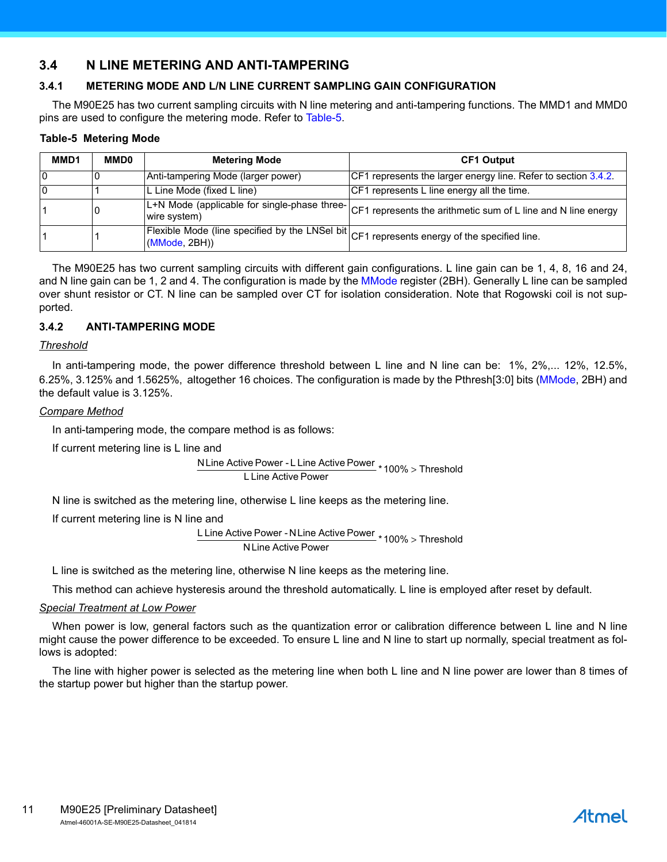## <span id="page-10-0"></span>**3.4 N LINE METERING AND ANTI-TAMPERING**

#### <span id="page-10-1"></span>**3.4.1 METERING MODE AND L/N LINE CURRENT SAMPLING GAIN CONFIGURATION**

The M90E25 has two current sampling circuits with N line metering and anti-tampering functions. The MMD1 and MMD0 pins are used to configure the metering mode. Refer to [Table-5.](#page-10-3)

#### <span id="page-10-3"></span>**Table-5 Metering Mode**

| MMD1 | <b>MMD0</b> | <b>Metering Mode</b>                                                                                            | <b>CF1 Output</b>                                                                                           |
|------|-------------|-----------------------------------------------------------------------------------------------------------------|-------------------------------------------------------------------------------------------------------------|
|      |             | Anti-tampering Mode (larger power)                                                                              | CF1 represents the larger energy line. Refer to section 3.4.2.                                              |
|      |             | L Line Mode (fixed L line)                                                                                      | CF1 represents L line energy all the time.                                                                  |
|      |             | wire system)                                                                                                    | [L+N Mode (applicable for single-phase three- CF1 represents the arithmetic sum of L line and N line energy |
|      |             | Flexible Mode (line specified by the LNSel bit CF1 represents energy of the specified line.<br>$(MMode, 2BH)$ ) |                                                                                                             |

The M90E25 has two current sampling circuits with different gain configurations. L line gain can be 1, 4, 8, 16 and 24, and N line gain can be 1, 2 and 4. The configuration is made by the [MMode](#page-28-0) register (2BH). Generally L line can be sampled over shunt resistor or CT. N line can be sampled over CT for isolation consideration. Note that Rogowski coil is not supported.

#### <span id="page-10-2"></span>**3.4.2 ANTI-TAMPERING MODE**

#### *Threshold*

In anti-tampering mode, the power difference threshold between L line and N line can be: 1%, 2%,... 12%, 12.5%, 6.25%, 3.125% and 1.5625%, altogether 16 choices. The configuration is made by the Pthresh[3:0] bits [\(MMode,](#page-28-0) 2BH) and the default value is 3.125%.

#### *Compare Method*

In anti-tampering mode, the compare method is as follows:

If current metering line is L line and

NLine Active Power - L Line Active Power<br>  $*$  100% > Threshold L Line Active Power

N line is switched as the metering line, otherwise L line keeps as the metering line.

If current metering line is N line and

L Line Active Power - N Line Active Power \* 100% > Threshold NLine Active Power

L line is switched as the metering line, otherwise N line keeps as the metering line.

This method can achieve hysteresis around the threshold automatically. L line is employed after reset by default.

#### *Special Treatment at Low Power*

When power is low, general factors such as the quantization error or calibration difference between L line and N line might cause the power difference to be exceeded. To ensure L line and N line to start up normally, special treatment as follows is adopted:

The line with higher power is selected as the metering line when both L line and N line power are lower than 8 times of the startup power but higher than the startup power.

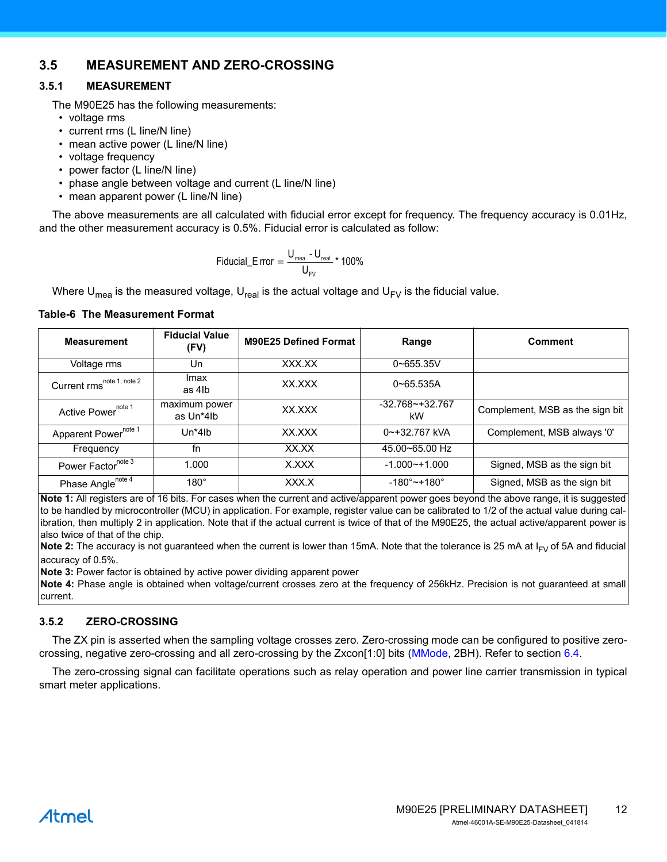## <span id="page-11-0"></span>**3.5 MEASUREMENT AND ZERO-CROSSING**

#### <span id="page-11-1"></span>**3.5.1 MEASUREMENT**

The M90E25 has the following measurements:

- *•* voltage rms
- *•* current rms (L line/N line)
- mean active power (L line/N line)
- *•* voltage frequency
- *•* power factor (L line/N line)
- *•* phase angle between voltage and current (L line/N line)
- *•* mean apparent power (L line/N line)

The above measurements are all calculated with fiducial error except for frequency. The frequency accuracy is 0.01Hz, and the other measurement accuracy is 0.5%. Fiducial error is calculated as follow:

$$
\text{Fiducial\_E\,rror} = \frac{U_{\text{mea}} - U_{\text{real}}}{U_{\text{FV}}} \star 100\%
$$

Where U<sub>mea</sub> is the measured voltage, U<sub>real</sub> is the actual voltage and U<sub>FV</sub> is the fiducial value.

#### <span id="page-11-3"></span>**Table-6 The Measurement Format**

| <b>Measurement</b>                    | <b>Fiducial Value</b><br>(FV) | <b>M90E25 Defined Format</b> | Range                     | <b>Comment</b>                  |
|---------------------------------------|-------------------------------|------------------------------|---------------------------|---------------------------------|
| Voltage rms                           | Un                            | XXX.XX                       | $0 - 655.35V$             |                                 |
| Current rms <sup>note 1, note 2</sup> | Imax<br>as 4lb                | XX XXX                       | $0 - 65.535A$             |                                 |
| Active Power <sup>note 1</sup>        | maximum power<br>as Un*4lb    | XX XXX                       | $-32.768 - +32.767$<br>kW | Complement, MSB as the sign bit |
| Apparent Power <sup>note 1</sup>      | $Un*4lb$                      | XX.XXX                       | $0$ ~+32.767 kVA          | Complement, MSB always '0'      |
| Frequency                             | fn                            | XX.XX                        | 45.00~65.00 Hz            |                                 |
| Power Factornote 3                    | 1.000                         | X.XXX                        | $-1.000 - + 1.000$        | Signed, MSB as the sign bit     |
| Phase Angle <sup>note 4</sup>         | $180^\circ$                   | XXX.X                        | $-180^{\circ}$ ~+180°     | Signed, MSB as the sign bit     |

**Note 1:** All registers are of 16 bits. For cases when the current and active/apparent power goes beyond the above range, it is suggested to be handled by microcontroller (MCU) in application. For example, register value can be calibrated to 1/2 of the actual value during calibration, then multiply 2 in application. Note that if the actual current is twice of that of the M90E25, the actual active/apparent power is also twice of that of the chip.

**Note 2:** The accuracy is not guaranteed when the current is lower than 15mA. Note that the tolerance is 25 mA at  $I_{FV}$  of 5A and fiducial accuracy of 0.5%.

**Note 3:** Power factor is obtained by active power dividing apparent power

**Note 4:** Phase angle is obtained when voltage/current crosses zero at the frequency of 256kHz. Precision is not guaranteed at small current.

#### <span id="page-11-2"></span>**3.5.2 ZERO-CROSSING**

The ZX pin is asserted when the sampling voltage crosses zero. Zero-crossing mode can be configured to positive zerocrossing, negative zero-crossing and all zero-crossing by the Zxcon[1:0] bits ([MMode](#page-28-0), 2BH). Refer to section [6.4.](#page-50-3)

The zero-crossing signal can facilitate operations such as relay operation and power line carrier transmission in typical smart meter applications.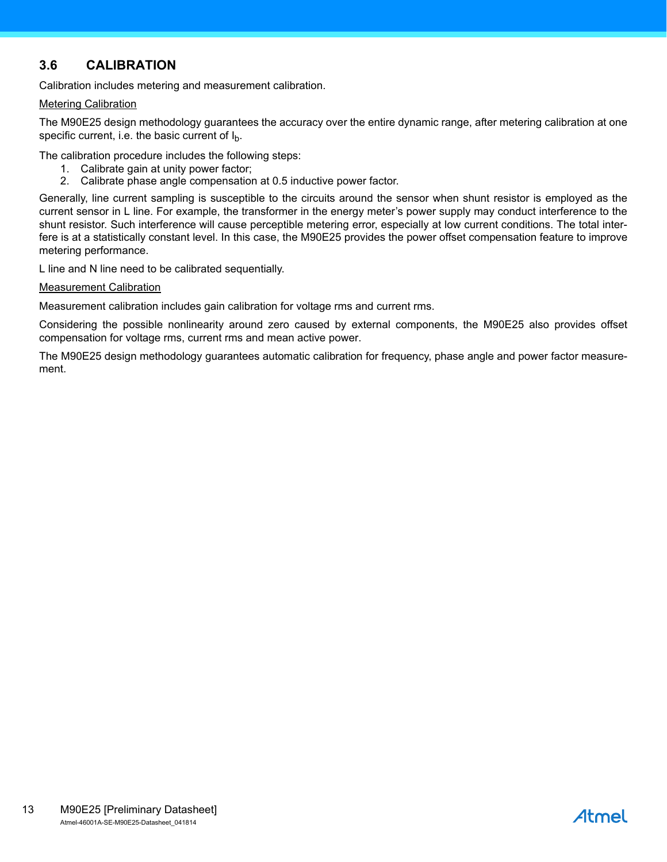# <span id="page-12-0"></span>**3.6 CALIBRATION**

Calibration includes metering and measurement calibration.

#### Metering Calibration

The M90E25 design methodology guarantees the accuracy over the entire dynamic range, after metering calibration at one specific current, i.e. the basic current of  $I_{b}$ .

The calibration procedure includes the following steps:

- 1. Calibrate gain at unity power factor;
- 2. Calibrate phase angle compensation at 0.5 inductive power factor.

Generally, line current sampling is susceptible to the circuits around the sensor when shunt resistor is employed as the current sensor in L line. For example, the transformer in the energy meter's power supply may conduct interference to the shunt resistor. Such interference will cause perceptible metering error, especially at low current conditions. The total interfere is at a statistically constant level. In this case, the M90E25 provides the power offset compensation feature to improve metering performance.

L line and N line need to be calibrated sequentially.

#### Measurement Calibration

Measurement calibration includes gain calibration for voltage rms and current rms.

Considering the possible nonlinearity around zero caused by external components, the M90E25 also provides offset compensation for voltage rms, current rms and mean active power.

The M90E25 design methodology guarantees automatic calibration for frequency, phase angle and power factor measurement.

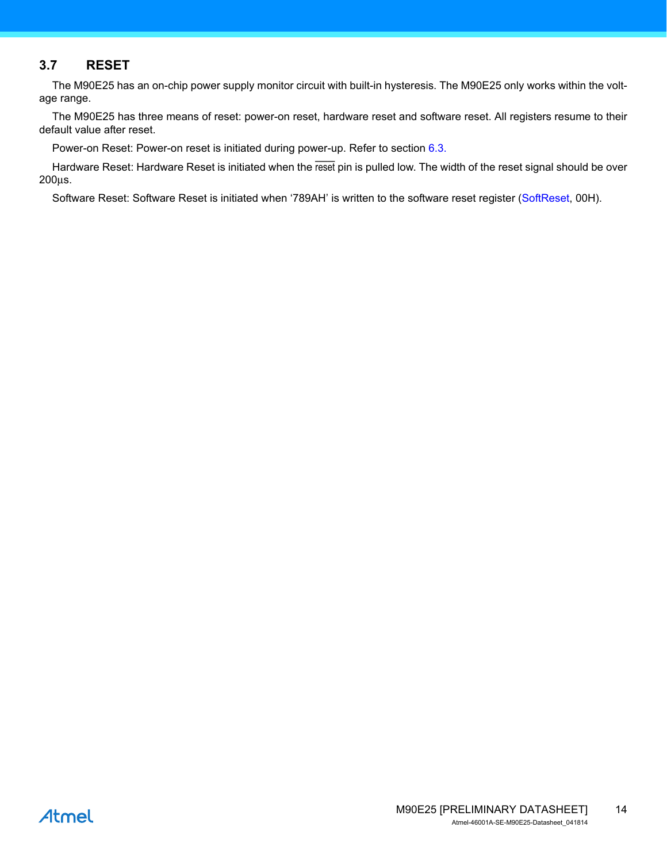## <span id="page-13-0"></span>**3.7 RESET**

The M90E25 has an on-chip power supply monitor circuit with built-in hysteresis. The M90E25 only works within the voltage range.

The M90E25 has three means of reset: power-on reset, hardware reset and software reset. All registers resume to their default value after reset.

Power-on Reset: Power-on reset is initiated during power-up. Refer to section [6.3](#page-49-3).

Hardware Reset: Hardware Reset is initiated when the reset pin is pulled low. The width of the reset signal should be over 200μs.

Software Reset: Software Reset is initiated when '789AH' is written to the software reset register [\(SoftReset,](#page-20-1) 00H).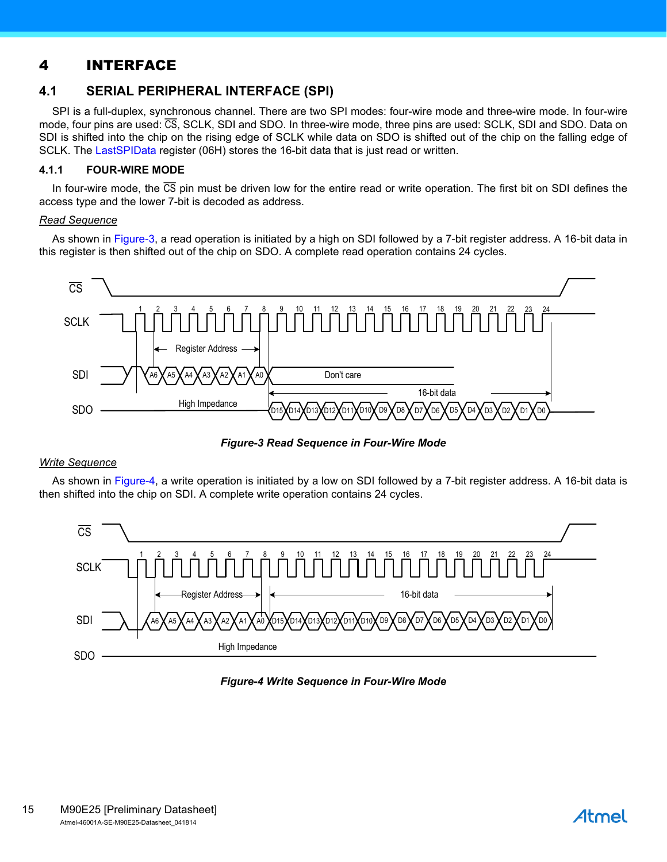# <span id="page-14-0"></span>4 INTERFACE

## <span id="page-14-5"></span><span id="page-14-1"></span>**4.1 SERIAL PERIPHERAL INTERFACE (SPI)**

SPI is a full-duplex, synchronous channel. There are two SPI modes: four-wire mode and three-wire mode. In four-wire mode, four pins are used: CS, SCLK, SDI and SDO. In three-wire mode, three pins are used: SCLK, SDI and SDO. Data on SDI is shifted into the chip on the rising edge of SCLK while data on SDO is shifted out of the chip on the falling edge of SCLK. The [LastSPIData](#page-23-0) register (06H) stores the 16-bit data that is just read or written.

#### <span id="page-14-2"></span>**4.1.1 FOUR-WIRE MODE**

In four-wire mode, the  $\overline{CS}$  pin must be driven low for the entire read or write operation. The first bit on SDI defines the access type and the lower 7-bit is decoded as address.

#### *Read Sequence*

As shown in [Figure-3](#page-14-3), a read operation is initiated by a high on SDI followed by a 7-bit register address. A 16-bit data in this register is then shifted out of the chip on SDO. A complete read operation contains 24 cycles.



*Figure-3 Read Sequence in Four-Wire Mode*

#### <span id="page-14-3"></span>*Write Sequence*

As shown in [Figure-4](#page-14-4), a write operation is initiated by a low on SDI followed by a 7-bit register address. A 16-bit data is then shifted into the chip on SDI. A complete write operation contains 24 cycles.

<span id="page-14-4"></span>

#### *Figure-4 Write Sequence in Four-Wire Mode*

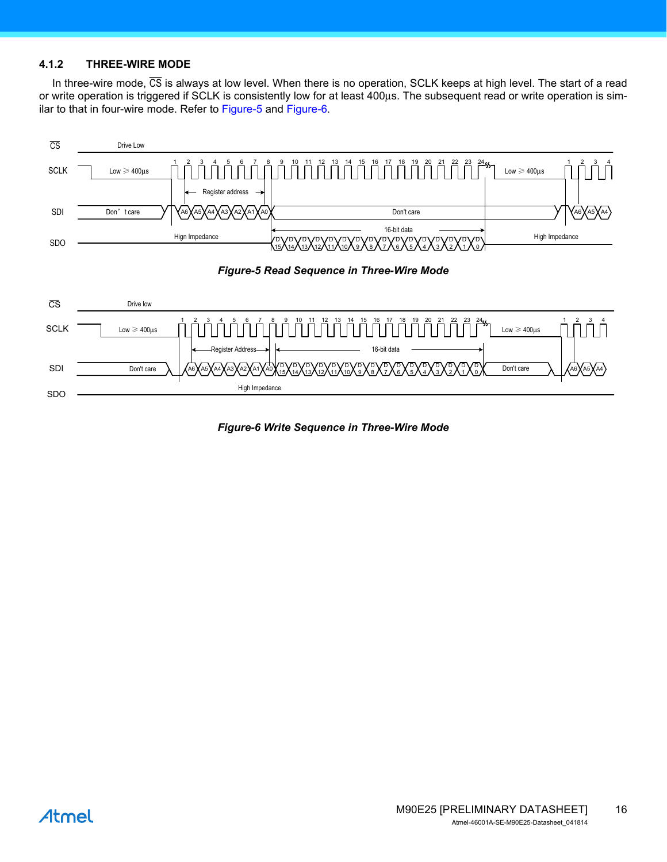#### <span id="page-15-0"></span>**4.1.2 THREE-WIRE MODE**

In three-wire mode,  $\overline{CS}$  is always at low level. When there is no operation, SCLK keeps at high level. The start of a read or write operation is triggered if SCLK is consistently low for at least 400μs. The subsequent read or write operation is similar to that in four-wire mode. Refer to [Figure-5](#page-15-1) and [Figure-6](#page-15-2).

<span id="page-15-1"></span>

<span id="page-15-2"></span>*Figure-6 Write Sequence in Three-Wire Mode*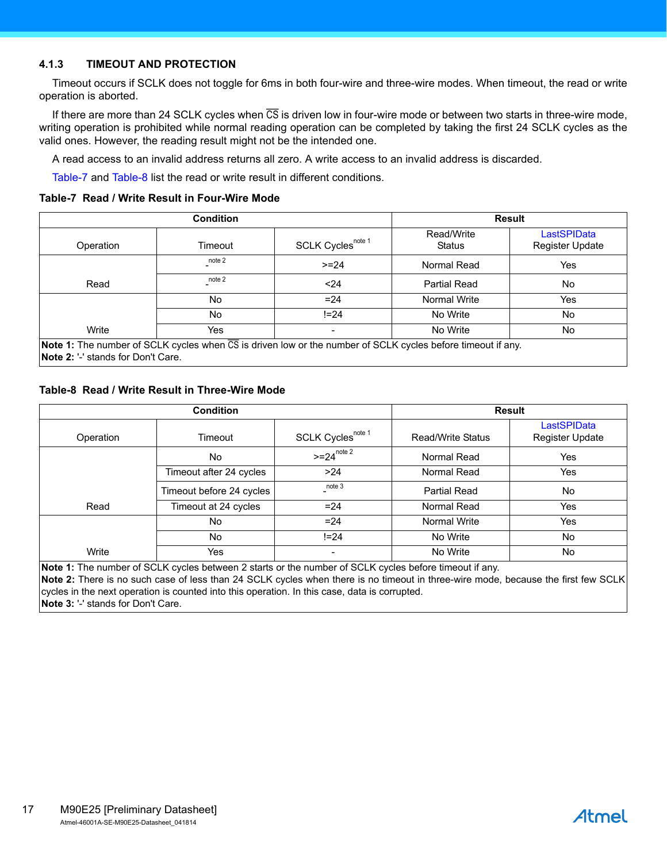#### <span id="page-16-0"></span>**4.1.3 TIMEOUT AND PROTECTION**

Timeout occurs if SCLK does not toggle for 6ms in both four-wire and three-wire modes. When timeout, the read or write operation is aborted.

If there are more than 24 SCLK cycles when  $\overline{CS}$  is driven low in four-wire mode or between two starts in three-wire mode, writing operation is prohibited while normal reading operation can be completed by taking the first 24 SCLK cycles as the valid ones. However, the reading result might not be the intended one.

A read access to an invalid address returns all zero. A write access to an invalid address is discarded.

<span id="page-16-3"></span>[Table-7](#page-16-1) and [Table-8](#page-16-2) list the read or write result in different conditions.

#### <span id="page-16-1"></span>**Table-7 Read / Write Result in Four-Wire Mode**

|           | <b>Condition</b> | <b>Result</b>                 |                             |                                |
|-----------|------------------|-------------------------------|-----------------------------|--------------------------------|
| Operation | Timeout          | SCLK Cycles <sup>note 1</sup> | Read/Write<br><b>Status</b> | LastSPIData<br>Register Update |
|           | note 2           | $>= 24$                       | Normal Read                 | Yes                            |
| Read      | note 2           | $24$                          | Partial Read                | No.                            |
|           | N <sub>0</sub>   | $= 24$                        | Normal Write                | Yes                            |
|           | No               | $!= 24$                       | No Write                    | No                             |
| Write     | Yes              | $\overline{\phantom{0}}$      | No Write                    | No                             |

**Note 2:** '-' stands for Don't Care.

#### <span id="page-16-4"></span><span id="page-16-2"></span>**Table-8 Read / Write Result in Three-Wire Mode**

|                       | <b>Condition</b>         |                               | <b>Result</b>            |                                       |  |
|-----------------------|--------------------------|-------------------------------|--------------------------|---------------------------------------|--|
| Operation             | Timeout                  | SCLK Cycles <sup>note 1</sup> | <b>Read/Write Status</b> | <b>LastSPIData</b><br>Register Update |  |
|                       | No                       | $>=24^{\text{note }2}$        | Normal Read              | Yes                                   |  |
|                       | Timeout after 24 cycles  | $>24$                         | Normal Read              | Yes                                   |  |
|                       | Timeout before 24 cycles | note 3                        | <b>Partial Read</b>      | No                                    |  |
| Read                  | Timeout at 24 cycles     | $= 24$                        | Normal Read              | Yes                                   |  |
|                       | No                       | $= 24$                        | Normal Write             | Yes                                   |  |
|                       | No                       | $!= 24$                       | No Write                 | No                                    |  |
| Write<br>. <u>.</u> . | Yes                      | -                             | No Write                 | No.                                   |  |

**Note 1:** The number of SCLK cycles between 2 starts or the number of SCLK cycles before timeout if any.

**Note 2:** There is no such case of less than 24 SCLK cycles when there is no timeout in three-wire mode, because the first few SCLK cycles in the next operation is counted into this operation. In this case, data is corrupted.

**Note 3:** '-' stands for Don't Care.

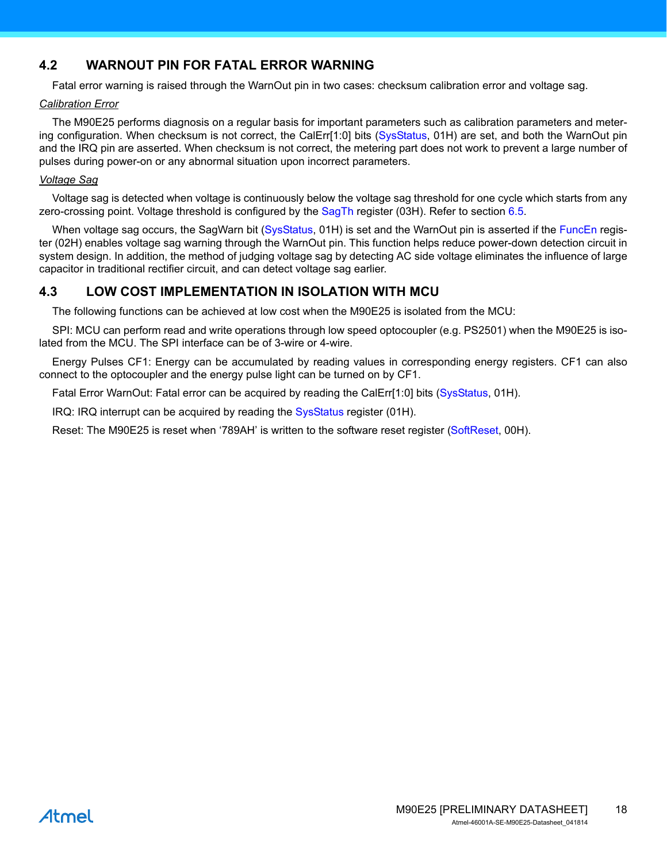# <span id="page-17-0"></span>**4.2 WARNOUT PIN FOR FATAL ERROR WARNING**

<span id="page-17-2"></span>Fatal error warning is raised through the WarnOut pin in two cases: checksum calibration error and voltage sag.

#### *Calibration Error*

The M90E25 performs diagnosis on a regular basis for important parameters such as calibration parameters and meter-ing configuration. When checksum is not correct, the CalErr[1:0] bits ([SysStatus](#page-21-0), 01H) are set, and both the WarnOut pin and the IRQ pin are asserted. When checksum is not correct, the metering part does not work to prevent a large number of pulses during power-on or any abnormal situation upon incorrect parameters.

#### *Voltage Sag*

Voltage sag is detected when voltage is continuously below the voltage sag threshold for one cycle which starts from any zero-crossing point. Voltage threshold is configured by the [SagTh](#page-22-0) register (03H). Refer to section [6.5.](#page-51-3)

When voltage sag occurs, the SagWarn bit [\(SysStatus](#page-21-0), 01H) is set and the WarnOut pin is asserted if the [FuncEn](#page-22-1) register (02H) enables voltage sag warning through the WarnOut pin. This function helps reduce power-down detection circuit in system design. In addition, the method of judging voltage sag by detecting AC side voltage eliminates the influence of large capacitor in traditional rectifier circuit, and can detect voltage sag earlier.

## <span id="page-17-1"></span>**4.3 LOW COST IMPLEMENTATION IN ISOLATION WITH MCU**

The following functions can be achieved at low cost when the M90E25 is isolated from the MCU:

SPI: MCU can perform read and write operations through low speed optocoupler (e.g. PS2501) when the M90E25 is isolated from the MCU. The SPI interface can be of 3-wire or 4-wire.

Energy Pulses CF1: Energy can be accumulated by reading values in corresponding energy registers. CF1 can also connect to the optocoupler and the energy pulse light can be turned on by CF1.

Fatal Error WarnOut: Fatal error can be acquired by reading the CalErr[1:0] bits ([SysStatus](#page-21-0), 01H).

IRQ: IRQ interrupt can be acquired by reading the [SysStatus](#page-21-0) register (01H).

Reset: The M90E25 is reset when '789AH' is written to the software reset register [\(SoftReset,](#page-20-1) 00H).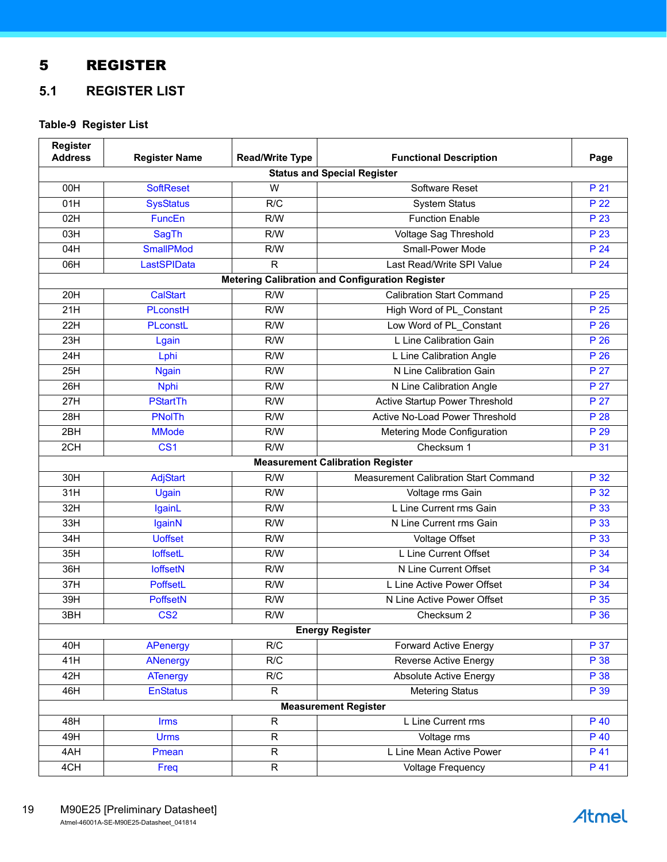# <span id="page-18-0"></span>5 REGISTER

# <span id="page-18-1"></span>**5.1 REGISTER LIST**

## <span id="page-18-2"></span>**Table-9 Register List**

| Register<br><b>Address</b> | <b>Register Name</b>    | <b>Read/Write Type</b> | <b>Functional Description</b>                          | Page |
|----------------------------|-------------------------|------------------------|--------------------------------------------------------|------|
|                            |                         |                        | <b>Status and Special Register</b>                     |      |
| 00H                        | <b>SoftReset</b>        | W                      | Software Reset                                         | P 21 |
| 01H                        | <b>SysStatus</b>        | R/C                    | <b>System Status</b>                                   | P 22 |
| 02H                        | FuncEn                  | R/W                    | <b>Function Enable</b>                                 | P 23 |
| 03H                        | <b>SagTh</b>            | R/W                    | Voltage Sag Threshold                                  | P 23 |
| 04H                        | <b>SmallPMod</b>        | R/W                    | Small-Power Mode                                       | P 24 |
| 06H                        | LastSPIData             | R                      | Last Read/Write SPI Value                              | P 24 |
|                            |                         |                        | <b>Metering Calibration and Configuration Register</b> |      |
| 20H                        | <b>CalStart</b>         | R/W                    | <b>Calibration Start Command</b>                       | P 25 |
| 21H                        | PLconstH                | R/W                    | High Word of PL_Constant                               | P 25 |
| 22H                        | PLconstL                | R/W                    | Low Word of PL_Constant                                | P 26 |
| 23H                        | Lgain                   | R/W                    | L Line Calibration Gain                                | P 26 |
| 24H                        | Lphi                    | R/W                    | L Line Calibration Angle                               | P 26 |
| 25H                        | <b>Ngain</b>            | R/W                    | N Line Calibration Gain                                | P 27 |
| 26H                        | <b>Nphi</b>             | R/W                    | N Line Calibration Angle                               | P 27 |
| 27H                        | <b>PStartTh</b>         | R/W                    | Active Startup Power Threshold                         | P 27 |
| 28H                        | <b>PNoITh</b>           | R/W                    | Active No-Load Power Threshold                         | P 28 |
| 2BH                        | <b>MMode</b>            | R/W                    | Metering Mode Configuration                            | P 29 |
| 2CH                        | CS <sub>1</sub>         | R/W                    | Checksum 1                                             | P 31 |
|                            |                         |                        | <b>Measurement Calibration Register</b>                |      |
| 30H                        | <b>AdjStart</b>         | R/W                    | Measurement Calibration Start Command                  | P 32 |
| 31H                        | Ugain                   | R/W                    | Voltage rms Gain                                       | P 32 |
| 32H                        | IgainL                  | R/W                    | L Line Current rms Gain                                | P 33 |
| 33H                        | <b>IgainN</b>           | R/W                    | N Line Current rms Gain                                | P 33 |
| 34H                        | <b>Uoffset</b>          | R/W                    | Voltage Offset                                         | P 33 |
| 35H                        | <b>loffsetL</b>         | R/W                    | L Line Current Offset                                  | P 34 |
| 36H                        | <b>loffsetN</b>         | R/W                    | N Line Current Offset                                  | P 34 |
| 37H                        | PoffsetL                | R/W                    | L Line Active Power Offset                             | P 34 |
| 39H                        | <b>PoffsetN</b>         | R/W                    | N Line Active Power Offset                             | P 35 |
| 3BH                        | $\overline{\text{CS2}}$ | R/W                    | Checksum 2                                             | P 36 |
|                            |                         |                        | <b>Energy Register</b>                                 |      |
| 40H                        | <b>APenergy</b>         | R/C                    | <b>Forward Active Energy</b>                           | P 37 |
| 41H                        | <b>ANenergy</b>         | R/C                    | Reverse Active Energy                                  | P 38 |
| 42H                        | <b>ATenergy</b>         | R/C                    | <b>Absolute Active Energy</b>                          | P 38 |
| 46H                        | <b>EnStatus</b>         | R                      | <b>Metering Status</b>                                 | P 39 |
|                            |                         |                        | <b>Measurement Register</b>                            |      |
| 48H                        | <b>Irms</b>             | $\mathsf{R}$           | L Line Current rms                                     | P 40 |
| 49H                        | <b>Urms</b>             | $\mathsf{R}$           | Voltage rms                                            | P 40 |
| 4AH                        | Pmean                   | $\mathsf{R}$           | L Line Mean Active Power                               | P 41 |
| 4CH                        | Freq                    | $\mathsf{R}$           | <b>Voltage Frequency</b>                               | P 41 |
|                            |                         |                        |                                                        |      |

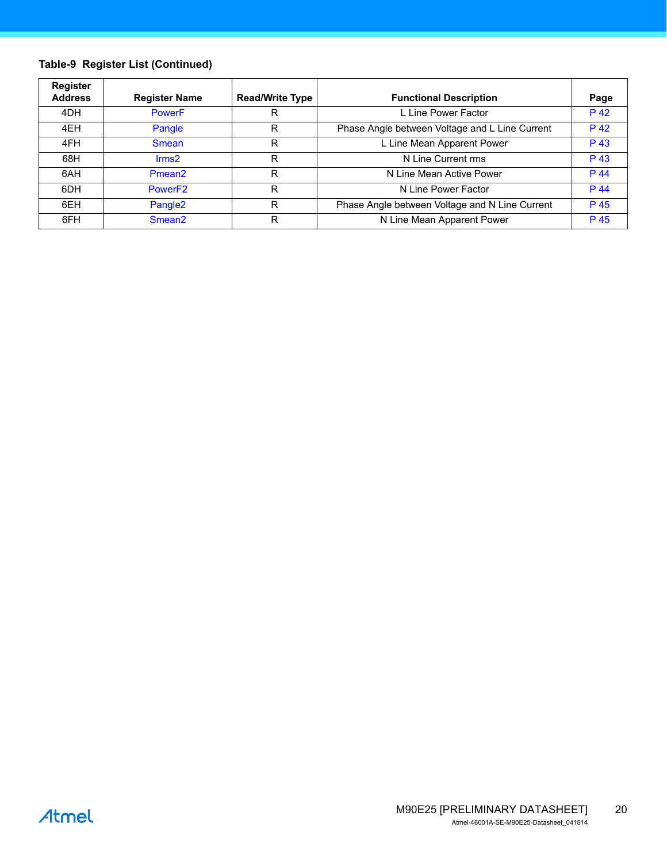## **Table-9 Register List (Continued)**

| <b>Register</b><br><b>Address</b> | <b>Register Name</b> | <b>Read/Write Type</b> | <b>Functional Description</b>                  | Page |
|-----------------------------------|----------------------|------------------------|------------------------------------------------|------|
| 4DH                               | <b>PowerF</b>        | R                      | L Line Power Factor                            | P 42 |
| 4EH                               | Pangle               | R                      | Phase Angle between Voltage and L Line Current | P 42 |
| 4FH                               | <b>Smean</b>         | R                      | L Line Mean Apparent Power                     | P 43 |
| 68H                               | $\mathsf{lrms2}$     | R                      | N Line Current rms                             | P 43 |
| 6AH                               | Pmean <sub>2</sub>   | R                      | N Line Mean Active Power                       | P 44 |
| 6DH                               | Power <sub>F2</sub>  | R                      | N Line Power Factor                            | P 44 |
| 6EH                               | Pangle <sub>2</sub>  | R                      | Phase Angle between Voltage and N Line Current | P 45 |
| 6FH                               | Smean <sub>2</sub>   | R                      | N Line Mean Apparent Power                     | P 45 |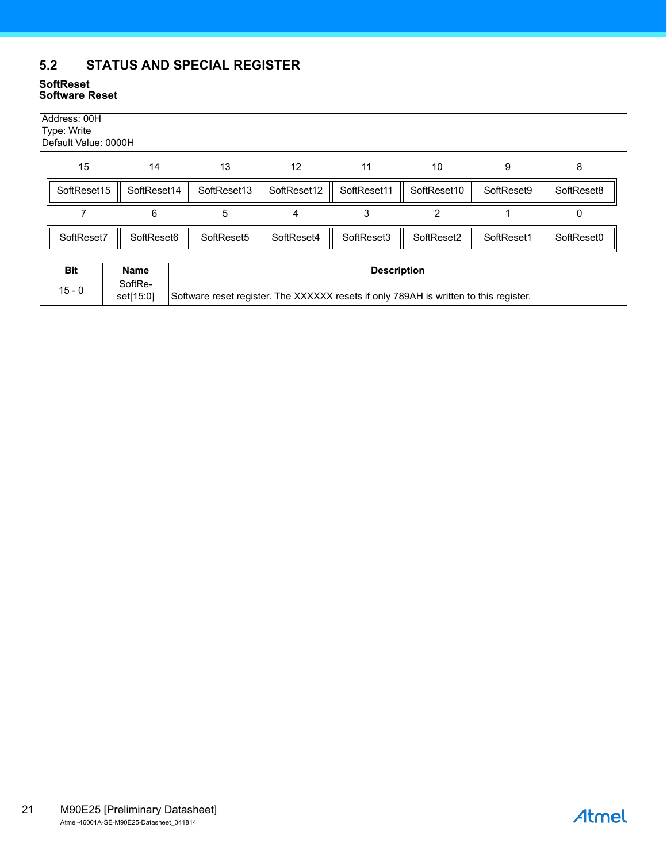# <span id="page-20-0"></span>**5.2 STATUS AND SPECIAL REGISTER**

#### <span id="page-20-2"></span><span id="page-20-1"></span>**SoftReset Software Reset**

| Address: 00H<br>Type: Write<br>Default Value: 0000H |                      |                                                                                       |             |                    |                |            |            |  |  |
|-----------------------------------------------------|----------------------|---------------------------------------------------------------------------------------|-------------|--------------------|----------------|------------|------------|--|--|
| 15                                                  | 14                   | 13                                                                                    | 12          | 11                 | 10             | 9          | 8          |  |  |
| SoftReset15                                         | SoftReset14          | SoftReset13                                                                           | SoftReset12 | SoftReset11        | SoftReset10    | SoftReset9 | SoftReset8 |  |  |
|                                                     | 6                    | 5                                                                                     | 4           | 3                  | $\overline{2}$ |            | 0          |  |  |
| SoftReset7                                          | SoftReset6           | SoftReset5                                                                            | SoftReset4  | SoftReset3         | SoftReset2     | SoftReset1 | SoftReset0 |  |  |
|                                                     |                      |                                                                                       |             |                    |                |            |            |  |  |
| <b>Bit</b>                                          | <b>Name</b>          |                                                                                       |             | <b>Description</b> |                |            |            |  |  |
| $15 - 0$                                            | SoftRe-<br>set[15:0] | Software reset register. The XXXXXX resets if only 789AH is written to this register. |             |                    |                |            |            |  |  |

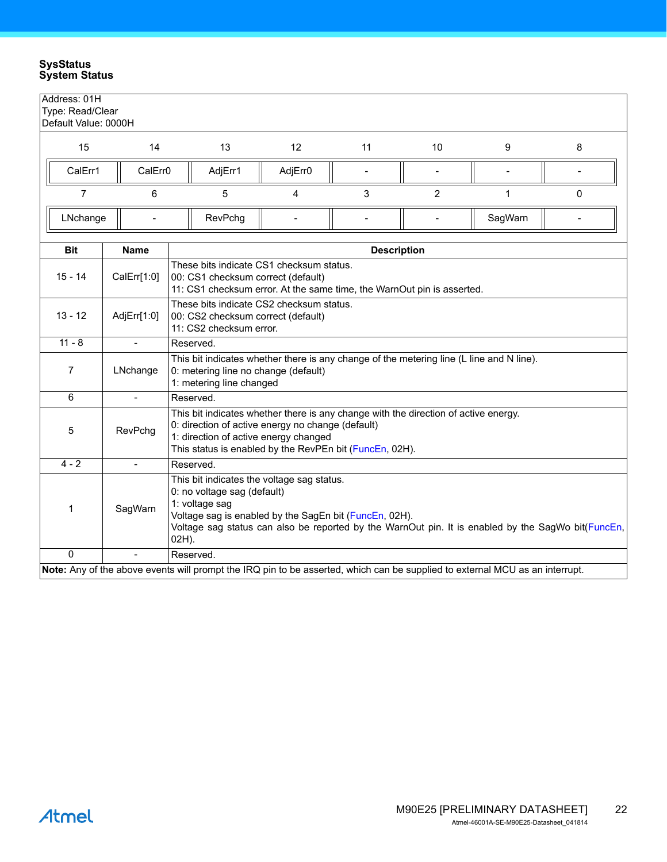#### <span id="page-21-1"></span><span id="page-21-0"></span>**SysStatus System Status**

| Address: 01H         | Type: Read/Clear         |                                                                                                                                                                                                                                                                      |         |                    |    |         |          |  |  |  |  |
|----------------------|--------------------------|----------------------------------------------------------------------------------------------------------------------------------------------------------------------------------------------------------------------------------------------------------------------|---------|--------------------|----|---------|----------|--|--|--|--|
| Default Value: 0000H |                          |                                                                                                                                                                                                                                                                      |         |                    |    |         |          |  |  |  |  |
| 15                   | 14                       | 13                                                                                                                                                                                                                                                                   | 12      | 11                 | 10 | 9       | 8        |  |  |  |  |
| CalErr1              | CalErr <sub>0</sub>      | AdjErr1                                                                                                                                                                                                                                                              | AdjErr0 |                    |    |         |          |  |  |  |  |
| $\overline{7}$       | 6                        | 5                                                                                                                                                                                                                                                                    | 4       | 3                  | 2  | 1       | $\Omega$ |  |  |  |  |
| LNchange             |                          | RevPchg                                                                                                                                                                                                                                                              |         |                    |    | SagWarn |          |  |  |  |  |
| <b>Bit</b>           | <b>Name</b>              |                                                                                                                                                                                                                                                                      |         | <b>Description</b> |    |         |          |  |  |  |  |
| 15 - 14              | CalErr[1:0]              | These bits indicate CS1 checksum status.<br>00: CS1 checksum correct (default)<br>11: CS1 checksum error. At the same time, the WarnOut pin is asserted.                                                                                                             |         |                    |    |         |          |  |  |  |  |
| $13 - 12$            | AdjErr[1:0]              | These bits indicate CS2 checksum status.<br>00: CS2 checksum correct (default)<br>11: CS2 checksum error.                                                                                                                                                            |         |                    |    |         |          |  |  |  |  |
| $11 - 8$             | $\blacksquare$           | Reserved.                                                                                                                                                                                                                                                            |         |                    |    |         |          |  |  |  |  |
| 7                    | LNchange                 | This bit indicates whether there is any change of the metering line (L line and N line).<br>0: metering line no change (default)<br>1: metering line changed                                                                                                         |         |                    |    |         |          |  |  |  |  |
| 6                    | $\overline{\phantom{a}}$ | Reserved.                                                                                                                                                                                                                                                            |         |                    |    |         |          |  |  |  |  |
| 5                    | RevPchg                  | This bit indicates whether there is any change with the direction of active energy.<br>0: direction of active energy no change (default)<br>1: direction of active energy changed<br>This status is enabled by the RevPEn bit (FuncEn, 02H).                         |         |                    |    |         |          |  |  |  |  |
| $4 - 2$              | $\blacksquare$           | Reserved.                                                                                                                                                                                                                                                            |         |                    |    |         |          |  |  |  |  |
| 1                    | SagWarn                  | This bit indicates the voltage sag status.<br>0: no voltage sag (default)<br>1: voltage sag<br>Voltage sag is enabled by the SagEn bit (FuncEn, 02H).<br>Voltage sag status can also be reported by the WarnOut pin. It is enabled by the SagWo bit(FuncEn,<br>02H). |         |                    |    |         |          |  |  |  |  |
| 0                    |                          | Reserved.                                                                                                                                                                                                                                                            |         |                    |    |         |          |  |  |  |  |
|                      |                          | Note: Any of the above events will prompt the IRQ pin to be asserted, which can be supplied to external MCU as an interrupt.                                                                                                                                         |         |                    |    |         |          |  |  |  |  |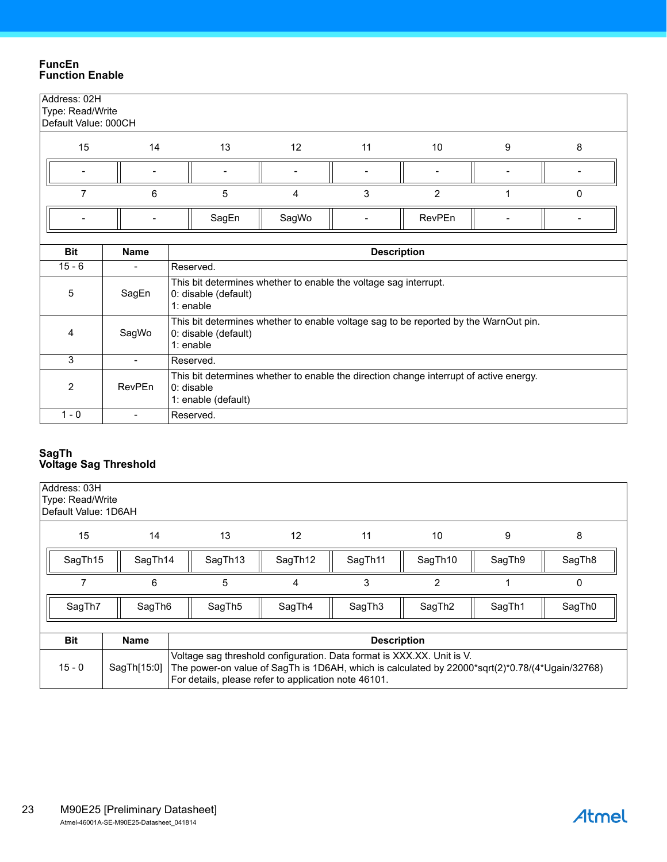#### <span id="page-22-2"></span><span id="page-22-1"></span>**FuncEn Function Enable**

| Address: 02H<br>Type: Read/Write<br>Default Value: 000CH |                              |                                                                                                                               |                                                                                      |                    |                |   |   |  |  |
|----------------------------------------------------------|------------------------------|-------------------------------------------------------------------------------------------------------------------------------|--------------------------------------------------------------------------------------|--------------------|----------------|---|---|--|--|
| 15                                                       | 14                           | 13                                                                                                                            | 12                                                                                   | 11                 | 10             | 9 | 8 |  |  |
|                                                          |                              |                                                                                                                               |                                                                                      |                    |                |   |   |  |  |
| $\overline{7}$                                           | 6                            | 5                                                                                                                             | 4                                                                                    | 3                  | $\overline{2}$ | 1 | 0 |  |  |
|                                                          |                              | SagEn                                                                                                                         | SagWo                                                                                |                    | RevPEn         |   |   |  |  |
|                                                          |                              |                                                                                                                               |                                                                                      |                    |                |   |   |  |  |
| <b>Bit</b>                                               | <b>Name</b>                  |                                                                                                                               |                                                                                      | <b>Description</b> |                |   |   |  |  |
| $15 - 6$                                                 | $\qquad \qquad \blacksquare$ | Reserved.                                                                                                                     |                                                                                      |                    |                |   |   |  |  |
| 5                                                        | SagEn                        | This bit determines whether to enable the voltage sag interrupt.<br>0: disable (default)<br>1: enable                         |                                                                                      |                    |                |   |   |  |  |
| 4                                                        | SagWo                        | 0: disable (default)<br>1: enable                                                                                             | This bit determines whether to enable voltage sag to be reported by the WarnOut pin. |                    |                |   |   |  |  |
| 3                                                        | $\overline{\phantom{a}}$     | Reserved.                                                                                                                     |                                                                                      |                    |                |   |   |  |  |
| $\overline{2}$                                           | RevPEn                       | This bit determines whether to enable the direction change interrupt of active energy.<br>$0:$ disable<br>1: enable (default) |                                                                                      |                    |                |   |   |  |  |
| $1 - 0$                                                  | $\overline{\phantom{0}}$     | Reserved.                                                                                                                     |                                                                                      |                    |                |   |   |  |  |

#### <span id="page-22-3"></span><span id="page-22-0"></span>**SagTh Voltage Sag Threshold**

| Address: 03H<br>Type: Read/Write<br>Default Value: 1D6AH |             |                                                                                                                                                                                                                                   |                    |                    |                    |        |                    |  |  |  |  |  |
|----------------------------------------------------------|-------------|-----------------------------------------------------------------------------------------------------------------------------------------------------------------------------------------------------------------------------------|--------------------|--------------------|--------------------|--------|--------------------|--|--|--|--|--|
| 15                                                       | 14          | 13                                                                                                                                                                                                                                | 12                 | 11                 | 10                 | 9      | 8                  |  |  |  |  |  |
| SagTh15                                                  | SagTh14     | SagTh <sub>13</sub>                                                                                                                                                                                                               | SagTh12            | SagTh11            | SagTh10            | SagTh9 | SagTh <sub>8</sub> |  |  |  |  |  |
|                                                          | 6           | 5                                                                                                                                                                                                                                 | 4                  | 3                  | $\overline{2}$     |        | 0                  |  |  |  |  |  |
| SagTh7                                                   | SagTh6      | SagTh <sub>5</sub>                                                                                                                                                                                                                | SagTh4             | SagTh <sub>3</sub> | SagTh <sub>2</sub> | SagTh1 | SagTh0             |  |  |  |  |  |
|                                                          |             |                                                                                                                                                                                                                                   |                    |                    |                    |        |                    |  |  |  |  |  |
| <b>Bit</b>                                               | <b>Name</b> |                                                                                                                                                                                                                                   | <b>Description</b> |                    |                    |        |                    |  |  |  |  |  |
| $15 - 0$                                                 | SagTh[15:0] | Voltage sag threshold configuration. Data format is XXX.XX. Unit is V.<br>The power-on value of SagTh is 1D6AH, which is calculated by 22000*sqrt(2)*0.78/(4*Ugain/32768)<br>For details, please refer to application note 46101. |                    |                    |                    |        |                    |  |  |  |  |  |

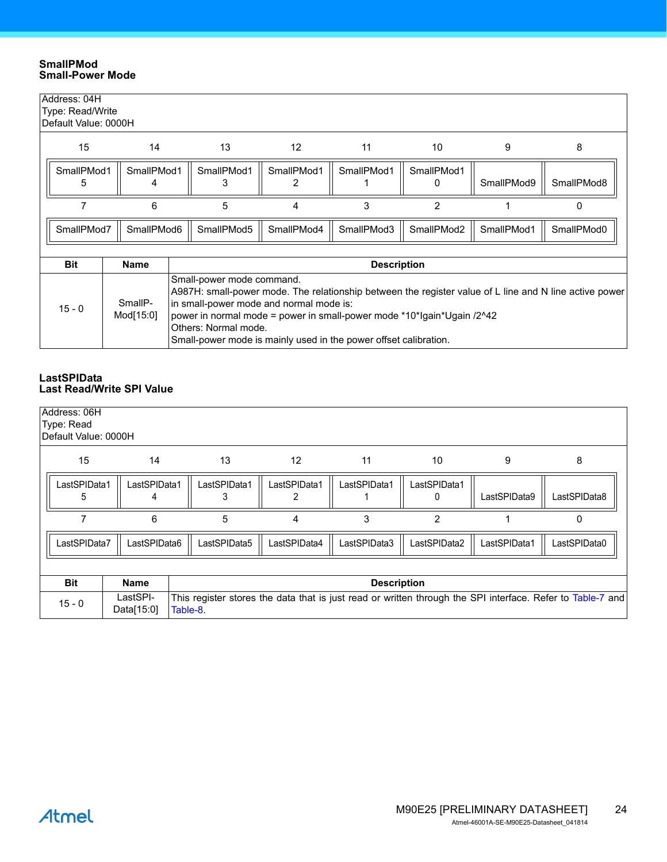#### <span id="page-23-1"></span>**SmallPMod Small-Power Mode**

| Address: 04H<br>Type: Read/Write<br>Default Value: 0000H |                          |                      |                                                                                                                                                                                                                                                                                                                                                      |                   |                 |            |                    |            |            |  |
|----------------------------------------------------------|--------------------------|----------------------|------------------------------------------------------------------------------------------------------------------------------------------------------------------------------------------------------------------------------------------------------------------------------------------------------------------------------------------------------|-------------------|-----------------|------------|--------------------|------------|------------|--|
| 15<br>14                                                 |                          |                      | 13                                                                                                                                                                                                                                                                                                                                                   | $12 \overline{ }$ | 11              | 10         | 9                  | 8          |            |  |
|                                                          | SmallPMod1<br>SmallPMod1 |                      |                                                                                                                                                                                                                                                                                                                                                      | SmallPMod1        | SmallPMod1<br>2 | SmallPMod1 | SmallPMod1<br>0    | SmallPMod9 | SmallPMod8 |  |
|                                                          | 6                        |                      |                                                                                                                                                                                                                                                                                                                                                      | 5                 | 4               | 3          | $\overline{2}$     |            | 0          |  |
|                                                          | SmallPMod7<br>SmallPMod6 |                      |                                                                                                                                                                                                                                                                                                                                                      | SmallPMod5        | SmallPMod4      | SmallPMod3 | SmallPMod2         | SmallPMod1 | SmallPMod0 |  |
| <b>Bit</b>                                               |                          | <b>Name</b>          |                                                                                                                                                                                                                                                                                                                                                      |                   |                 |            | <b>Description</b> |            |            |  |
| $15 - 0$                                                 |                          | SmallP-<br>Mod[15:0] | Small-power mode command.<br>A987H: small-power mode. The relationship between the register value of L line and N line active power<br>in small-power mode and normal mode is:<br>power in normal mode = power in small-power mode *10*lgain*Ugain /2^42<br>Others: Normal mode.<br>Small-power mode is mainly used in the power offset calibration. |                   |                 |            |                    |            |            |  |

#### <span id="page-23-2"></span><span id="page-23-0"></span>**LastSPIData Last Read/Write SPI Value**

| Address: 06H                                    |                        |                                                                                                                        |              |              |              |                |              |              |  |  |
|-------------------------------------------------|------------------------|------------------------------------------------------------------------------------------------------------------------|--------------|--------------|--------------|----------------|--------------|--------------|--|--|
| Type: Read                                      |                        |                                                                                                                        |              |              |              |                |              |              |  |  |
| Default Value: 0000H                            |                        |                                                                                                                        |              |              |              |                |              |              |  |  |
| 15                                              | 14                     |                                                                                                                        | 13           | 12           | 11           | 10             | 9            | 8            |  |  |
| LastSPIData1                                    | LastSPIData1           |                                                                                                                        | LastSPIData1 | LastSPIData1 | LastSPIData1 | LastSPIData1   |              |              |  |  |
|                                                 |                        |                                                                                                                        |              | 2            |              | 0              | LastSPIData9 | LastSPIData8 |  |  |
| 6                                               |                        |                                                                                                                        | 5            | 4            | 3            | $\overline{2}$ |              | 0            |  |  |
| LastSPIData7                                    | LastSPIData6           |                                                                                                                        | LastSPIData5 | LastSPIData4 | LastSPIData3 | LastSPIData2   | LastSPIData1 | LastSPIData0 |  |  |
|                                                 |                        |                                                                                                                        |              |              |              |                |              |              |  |  |
| <b>Bit</b><br><b>Name</b><br><b>Description</b> |                        |                                                                                                                        |              |              |              |                |              |              |  |  |
| $15 - 0$                                        | LastSPI-<br>Data[15:0] | This register stores the data that is just read or written through the SPI interface. Refer to Table-7 and<br>Table-8. |              |              |              |                |              |              |  |  |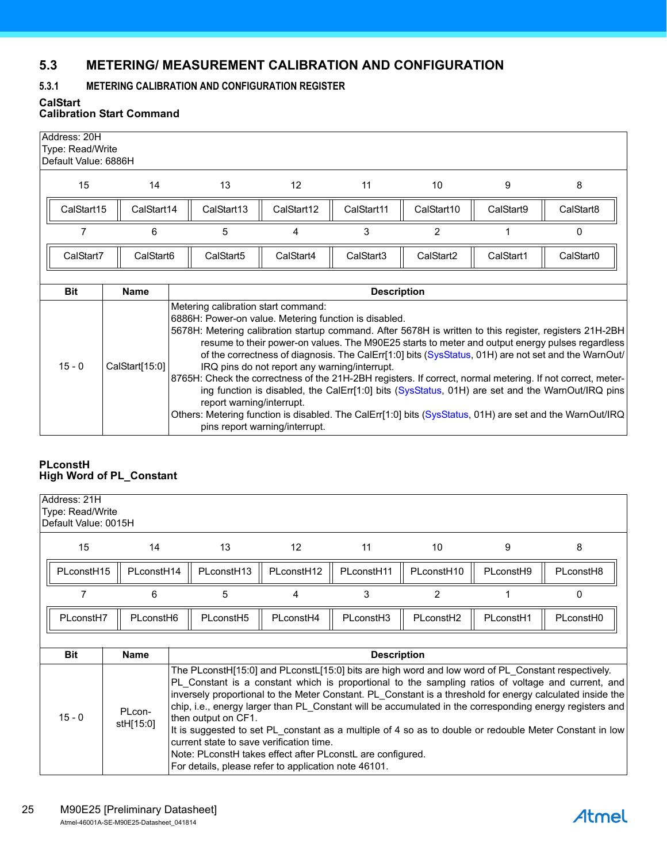# <span id="page-24-0"></span>**5.3 METERING/ MEASUREMENT CALIBRATION AND CONFIGURATION**

## <span id="page-24-1"></span>**5.3.1 METERING CALIBRATION AND CONFIGURATION REGISTER**

<span id="page-24-2"></span>**CalStart**

## **Calibration Start Command**

| Address: 20H | Type: Read/Write<br>Default Value: 6886H |                                                                                                                                                                                                                                                                                                                                                                                                                                                                |                                                                                 |            |                       |           |                                                                                                                                                                                                                                                                                                            |  |  |  |  |
|--------------|------------------------------------------|----------------------------------------------------------------------------------------------------------------------------------------------------------------------------------------------------------------------------------------------------------------------------------------------------------------------------------------------------------------------------------------------------------------------------------------------------------------|---------------------------------------------------------------------------------|------------|-----------------------|-----------|------------------------------------------------------------------------------------------------------------------------------------------------------------------------------------------------------------------------------------------------------------------------------------------------------------|--|--|--|--|
| 15           | 14                                       | 13                                                                                                                                                                                                                                                                                                                                                                                                                                                             | 12                                                                              | 11         | 10                    | 9         | 8                                                                                                                                                                                                                                                                                                          |  |  |  |  |
| CalStart15   | CalStart14                               | CalStart13                                                                                                                                                                                                                                                                                                                                                                                                                                                     | CalStart12                                                                      | CalStart11 | CalStart10            | CalStart9 | CalStart8                                                                                                                                                                                                                                                                                                  |  |  |  |  |
| 7            | 6                                        | 5                                                                                                                                                                                                                                                                                                                                                                                                                                                              | 4                                                                               | 3          | $\overline{2}$        |           | 0                                                                                                                                                                                                                                                                                                          |  |  |  |  |
| CalStart7    | CalStart6                                | CalStart5                                                                                                                                                                                                                                                                                                                                                                                                                                                      | CalStart4                                                                       | CalStart3  | CalStart <sub>2</sub> | CalStart1 | CalStart <sub>0</sub>                                                                                                                                                                                                                                                                                      |  |  |  |  |
|              |                                          |                                                                                                                                                                                                                                                                                                                                                                                                                                                                |                                                                                 |            |                       |           |                                                                                                                                                                                                                                                                                                            |  |  |  |  |
| <b>Bit</b>   | <b>Name</b>                              | <b>Description</b>                                                                                                                                                                                                                                                                                                                                                                                                                                             |                                                                                 |            |                       |           |                                                                                                                                                                                                                                                                                                            |  |  |  |  |
| $15 - 0$     | CalStart[15:0]                           | Metering calibration start command:<br>6886H: Power-on value. Metering function is disabled.<br>5678H: Metering calibration startup command. After 5678H is written to this register, registers 21H-2BH<br>8765H: Check the correctness of the 21H-2BH registers. If correct, normal metering. If not correct, meter-<br>report warning/interrupt.<br>Others: Metering function is disabled. The CalErr[1:0] bits (SysStatus, 01H) are set and the WarnOut/IRQ | IRQ pins do not report any warning/interrupt.<br>pins report warning/interrupt. |            |                       |           | resume to their power-on values. The M90E25 starts to meter and output energy pulses regardless<br>of the correctness of diagnosis. The CalErr[1:0] bits (SysStatus, 01H) are not set and the WarnOut/<br>ing function is disabled, the CalErr[1:0] bits (SysStatus, 01H) are set and the WarnOut/IRQ pins |  |  |  |  |

#### <span id="page-24-3"></span>**PLconstH High Word of PL\_Constant**

| Address: 21H           | Type: Read/Write<br>Default Value: 0015H |                       |                                                                                                                                                                                                                                                                                                                                                                                                                                                                                                                                                                                                                                                                                                                                                             |                        |                       |                        |           |           |  |  |  |
|------------------------|------------------------------------------|-----------------------|-------------------------------------------------------------------------------------------------------------------------------------------------------------------------------------------------------------------------------------------------------------------------------------------------------------------------------------------------------------------------------------------------------------------------------------------------------------------------------------------------------------------------------------------------------------------------------------------------------------------------------------------------------------------------------------------------------------------------------------------------------------|------------------------|-----------------------|------------------------|-----------|-----------|--|--|--|
| 15<br>14               |                                          |                       | 13                                                                                                                                                                                                                                                                                                                                                                                                                                                                                                                                                                                                                                                                                                                                                          | $12 \overline{ }$      | 11                    | 10                     | 9         | 8         |  |  |  |
| PLconstH <sub>15</sub> |                                          | PLconstH14            | PLconstH <sub>13</sub>                                                                                                                                                                                                                                                                                                                                                                                                                                                                                                                                                                                                                                                                                                                                      | PLconstH <sub>12</sub> | PLconstH11            | PLconstH <sub>10</sub> | PLconstH9 | PLconstH8 |  |  |  |
| 7                      |                                          | 6                     | 5                                                                                                                                                                                                                                                                                                                                                                                                                                                                                                                                                                                                                                                                                                                                                           | 4                      | 3                     | 2                      |           | 0         |  |  |  |
| PLconstH7              |                                          | PLconstH <sub>6</sub> | PLconstH <sub>5</sub>                                                                                                                                                                                                                                                                                                                                                                                                                                                                                                                                                                                                                                                                                                                                       | PLconstH4              | PLconstH <sub>3</sub> | PLconstH <sub>2</sub>  | PLconstH1 | PLconstH0 |  |  |  |
|                        |                                          |                       |                                                                                                                                                                                                                                                                                                                                                                                                                                                                                                                                                                                                                                                                                                                                                             |                        |                       |                        |           |           |  |  |  |
| <b>Bit</b>             | <b>Name</b>                              |                       |                                                                                                                                                                                                                                                                                                                                                                                                                                                                                                                                                                                                                                                                                                                                                             |                        |                       |                        |           |           |  |  |  |
| $15 - 0$               | PLcon-<br>stH[15:0]                      |                       | <b>Description</b><br>The PLconstH[15:0] and PLconstL[15:0] bits are high word and low word of PL Constant respectively.<br>PL Constant is a constant which is proportional to the sampling ratios of voltage and current, and<br>inversely proportional to the Meter Constant. PL Constant is a threshold for energy calculated inside the<br>chip, i.e., energy larger than PL Constant will be accumulated in the corresponding energy registers and<br>then output on CF1.<br>It is suggested to set PL constant as a multiple of 4 so as to double or redouble Meter Constant in low<br>current state to save verification time.<br>Note: PLconstH takes effect after PLconstL are configured.<br>For details, please refer to application note 46101. |                        |                       |                        |           |           |  |  |  |

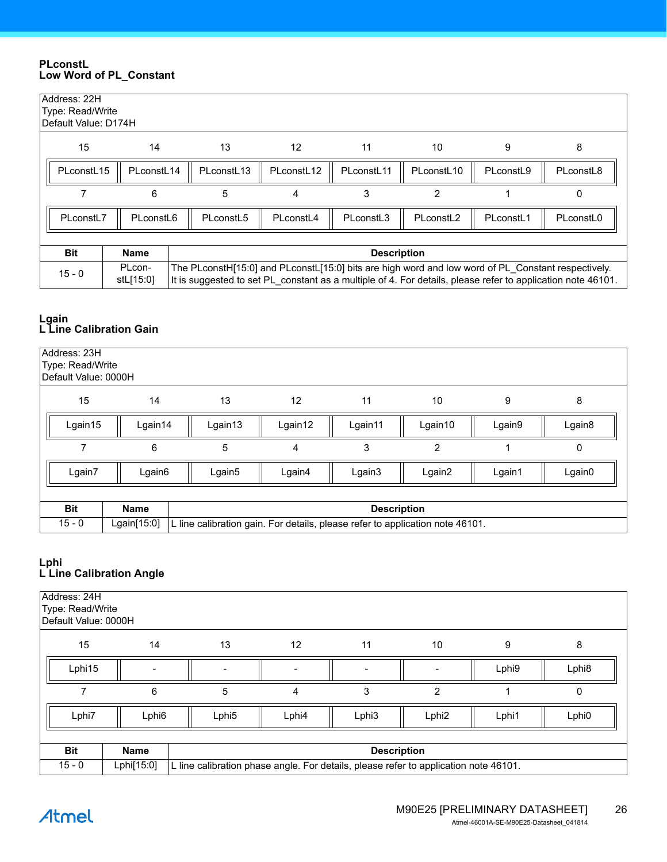#### <span id="page-25-0"></span>**PLconstL Low Word of PL\_Constant**

| Address: 22H<br>Type: Read/Write<br>Default Value: D174H |                                   |                                                                                                                                                                                                                   |                        |            |                        |           |           |  |  |  |  |  |
|----------------------------------------------------------|-----------------------------------|-------------------------------------------------------------------------------------------------------------------------------------------------------------------------------------------------------------------|------------------------|------------|------------------------|-----------|-----------|--|--|--|--|--|
| 15                                                       | 14                                | 13                                                                                                                                                                                                                | $12 \overline{ }$      | 11         | 10                     | 9         | 8         |  |  |  |  |  |
| PLconstL15                                               | PLconstL <sub>14</sub>            | PLconstL <sub>13</sub>                                                                                                                                                                                            | PLconstL <sub>12</sub> | PLconstL11 | PLconstL <sub>10</sub> | PLconstL9 | PLconstL8 |  |  |  |  |  |
|                                                          | 6                                 | 5                                                                                                                                                                                                                 | 4                      | 3          | $\overline{2}$         |           | 0         |  |  |  |  |  |
| PLconstL7                                                | PLconstL6                         | PLconstL5                                                                                                                                                                                                         | PLconstL4              | PLconstL3  | PLconstL2              | PLconstL1 | PLconstL0 |  |  |  |  |  |
|                                                          |                                   |                                                                                                                                                                                                                   |                        |            |                        |           |           |  |  |  |  |  |
| <b>Bit</b>                                               | <b>Name</b><br><b>Description</b> |                                                                                                                                                                                                                   |                        |            |                        |           |           |  |  |  |  |  |
| $15 - 0$                                                 | PLcon-<br>stL[15:0]               | The PLconstH[15:0] and PLconstL[15:0] bits are high word and low word of PL Constant respectively.<br>It is suggested to set PL constant as a multiple of 4. For details, please refer to application note 46101. |                        |            |                        |           |           |  |  |  |  |  |

#### <span id="page-25-1"></span>**Lgain L Line Calibration Gain**

| Address: 23H<br>Type: Read/Write<br>Default Value: 0000H |             |                    |                                                                               |                    |         |        |        |  |  |  |  |
|----------------------------------------------------------|-------------|--------------------|-------------------------------------------------------------------------------|--------------------|---------|--------|--------|--|--|--|--|
| 15                                                       | 14          | 13                 | 12                                                                            | 11                 | 10      | 9      | 8      |  |  |  |  |
| Lgain15                                                  | Lgain14     | Lgain13            | Lgain12                                                                       | Lgain11            | Lgain10 | Lgain9 | Lgain8 |  |  |  |  |
|                                                          | 6           | 5                  | 4                                                                             | 3                  | 2       |        | 0      |  |  |  |  |
| Lgain7                                                   | Lgain6      | Lgain <sub>5</sub> | Lgain4                                                                        | Lgain3             | Lgain2  | Lgain1 | Lgain0 |  |  |  |  |
|                                                          |             |                    |                                                                               |                    |         |        |        |  |  |  |  |
| <b>Bit</b>                                               | <b>Name</b> |                    |                                                                               | <b>Description</b> |         |        |        |  |  |  |  |
| $15 - 0$                                                 | Lgain[15:0] |                    | L line calibration gain. For details, please refer to application note 46101. |                    |         |        |        |  |  |  |  |

#### <span id="page-25-2"></span>**Lphi L Line Calibration Angle**

| Address: 24H<br>Type: Read/Write<br>Default Value: 0000H |                   |                                                                                      |       |                    |                   |       |                   |  |  |  |
|----------------------------------------------------------|-------------------|--------------------------------------------------------------------------------------|-------|--------------------|-------------------|-------|-------------------|--|--|--|
| 15                                                       | 14                | 13                                                                                   | 12    | 11                 | 10                | 9     | 8                 |  |  |  |
| Lphi15                                                   |                   |                                                                                      |       |                    |                   | Lphi9 | Lphi <sub>8</sub> |  |  |  |
|                                                          | 6                 | 5                                                                                    | 4     | 3                  | $\overline{2}$    |       | 0                 |  |  |  |
| Lphi7                                                    | Lphi <sub>6</sub> | Lphi <sub>5</sub>                                                                    | Lphi4 | Lphi <sub>3</sub>  | Lphi <sub>2</sub> | Lphi1 | Lphi <sub>0</sub> |  |  |  |
|                                                          |                   |                                                                                      |       |                    |                   |       |                   |  |  |  |
| <b>Bit</b>                                               | <b>Name</b>       |                                                                                      |       | <b>Description</b> |                   |       |                   |  |  |  |
| $15 - 0$                                                 | Lphi[15:0]        | L line calibration phase angle. For details, please refer to application note 46101. |       |                    |                   |       |                   |  |  |  |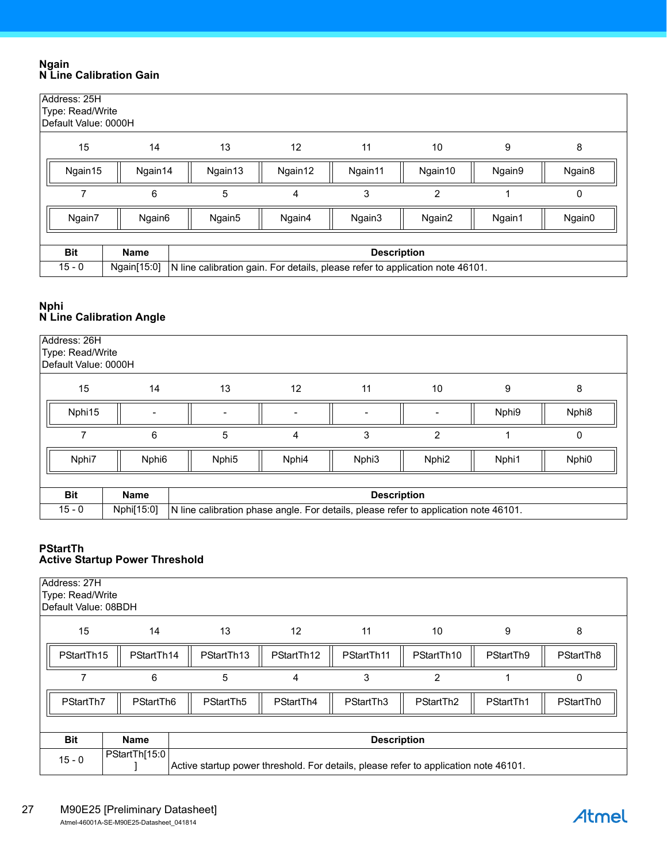#### <span id="page-26-1"></span>**Ngain N Line Calibration Gain**

| Address: 25H<br>Type: Read/Write<br>Default Value: 0000H |                    |                    |                                                                               |                    |                |        |        |  |  |  |
|----------------------------------------------------------|--------------------|--------------------|-------------------------------------------------------------------------------|--------------------|----------------|--------|--------|--|--|--|
| 15                                                       | 14                 | 13                 | 12 <sup>2</sup>                                                               | 11                 | 10             | 9      | 8      |  |  |  |
| Ngain15                                                  | Ngain14            | Ngain13            | Ngain12                                                                       | Ngain11            | Ngain10        | Ngain9 | Ngain8 |  |  |  |
|                                                          | 6                  | 5                  | 4                                                                             | 3                  | $\overline{2}$ |        | 0      |  |  |  |
| Ngain7                                                   | Ngain <sub>6</sub> | Ngain <sub>5</sub> | Ngain4                                                                        | Ngain3             | Ngain2         | Ngain1 | Ngain0 |  |  |  |
|                                                          |                    |                    |                                                                               |                    |                |        |        |  |  |  |
| <b>Bit</b>                                               | <b>Name</b>        |                    |                                                                               | <b>Description</b> |                |        |        |  |  |  |
| $15 - 0$                                                 | Ngain[15:0]        |                    | N line calibration gain. For details, please refer to application note 46101. |                    |                |        |        |  |  |  |

## <span id="page-26-2"></span>**Nphi N Line Calibration Angle**

| Address: 26H<br>Type: Read/Write<br>Default Value: 0000H |                   |                   |                                                                                      |                    |                   |       |                   |  |  |  |  |
|----------------------------------------------------------|-------------------|-------------------|--------------------------------------------------------------------------------------|--------------------|-------------------|-------|-------------------|--|--|--|--|
| 15                                                       | 14                | 13                | 12                                                                                   | 11                 | 10                | 9     | 8                 |  |  |  |  |
| Nphi15                                                   |                   |                   |                                                                                      |                    |                   | Nphi9 | Nphi <sub>8</sub> |  |  |  |  |
|                                                          | 6                 | 5                 | 4                                                                                    | 3                  | $\overline{2}$    |       | 0                 |  |  |  |  |
| Nphi7                                                    | Nphi <sub>6</sub> | Nphi <sub>5</sub> | Nphi4                                                                                | Nphi <sub>3</sub>  | Nphi <sub>2</sub> | Nphi1 | Nphi0             |  |  |  |  |
|                                                          |                   |                   |                                                                                      |                    |                   |       |                   |  |  |  |  |
| <b>Bit</b>                                               | <b>Name</b>       |                   |                                                                                      | <b>Description</b> |                   |       |                   |  |  |  |  |
| $15 - 0$                                                 | Nphi[15:0]        |                   | N line calibration phase angle. For details, please refer to application note 46101. |                    |                   |       |                   |  |  |  |  |

#### <span id="page-26-3"></span><span id="page-26-0"></span>**PStartTh Active Startup Power Threshold**

| Address: 27H<br>Type: Read/Write<br>Default Value: 08BDH |                                                                                                       |            |                 |                    |                       |           |           |  |  |  |
|----------------------------------------------------------|-------------------------------------------------------------------------------------------------------|------------|-----------------|--------------------|-----------------------|-----------|-----------|--|--|--|
| 15                                                       | 14                                                                                                    | 13         | 12 <sup>°</sup> | 11                 | 10                    | 9         | 8         |  |  |  |
| PStartTh15                                               | PStartTh14                                                                                            | PStartTh13 | PStartTh12      | PStartTh11         | PStartTh10            | PStartTh9 | PStartTh8 |  |  |  |
|                                                          | 5<br>6<br>3<br>$\overline{2}$<br>4<br>0                                                               |            |                 |                    |                       |           |           |  |  |  |
| PStartTh7                                                | PStartTh6                                                                                             | PStartTh5  | PStartTh4       | PStartTh3          | PStartTh <sub>2</sub> | PStartTh1 | PStartTh0 |  |  |  |
|                                                          |                                                                                                       |            |                 |                    |                       |           |           |  |  |  |
| <b>Bit</b>                                               | <b>Name</b>                                                                                           |            |                 | <b>Description</b> |                       |           |           |  |  |  |
| $15 - 0$                                                 | PStartTh[15:0<br>Active startup power threshold. For details, please refer to application note 46101. |            |                 |                    |                       |           |           |  |  |  |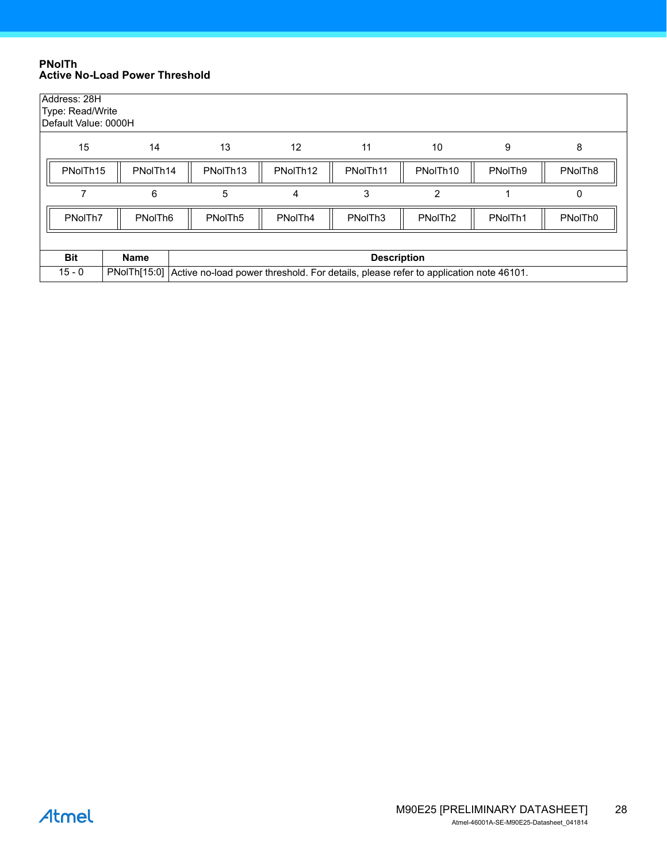#### <span id="page-27-1"></span><span id="page-27-0"></span>**PNolTh Active No-Load Power Threshold**

| Address: 28H<br>Type: Read/Write<br>Default Value: 0000H |                     |                      |                                                                                      |                      |                     |         |                     |  |  |  |  |
|----------------------------------------------------------|---------------------|----------------------|--------------------------------------------------------------------------------------|----------------------|---------------------|---------|---------------------|--|--|--|--|
| 15                                                       | 14                  | 13                   | 12                                                                                   | 11                   | 10                  | 9       | 8                   |  |  |  |  |
| PNoITh <sub>15</sub>                                     | PNoITh14            | PNoITh <sub>13</sub> | PNoITh <sub>12</sub>                                                                 | PNoITh <sub>11</sub> | PNoITh10            | PNoITh9 | PNoITh <sub>8</sub> |  |  |  |  |
|                                                          | 6                   | 5                    | 4                                                                                    | 3                    | 2                   |         | 0                   |  |  |  |  |
| PNoITh7                                                  | PNoITh <sub>6</sub> | PNoITh <sub>5</sub>  | PNoITh4                                                                              | PNoITh <sub>3</sub>  | PNoITh <sub>2</sub> | PNoITh1 | PNoITh <sub>0</sub> |  |  |  |  |
|                                                          |                     |                      |                                                                                      |                      |                     |         |                     |  |  |  |  |
| <b>Bit</b>                                               | <b>Name</b>         |                      |                                                                                      | <b>Description</b>   |                     |         |                     |  |  |  |  |
| $15 - 0$                                                 | PNoITH[15:0]        |                      | Active no-load power threshold. For details, please refer to application note 46101. |                      |                     |         |                     |  |  |  |  |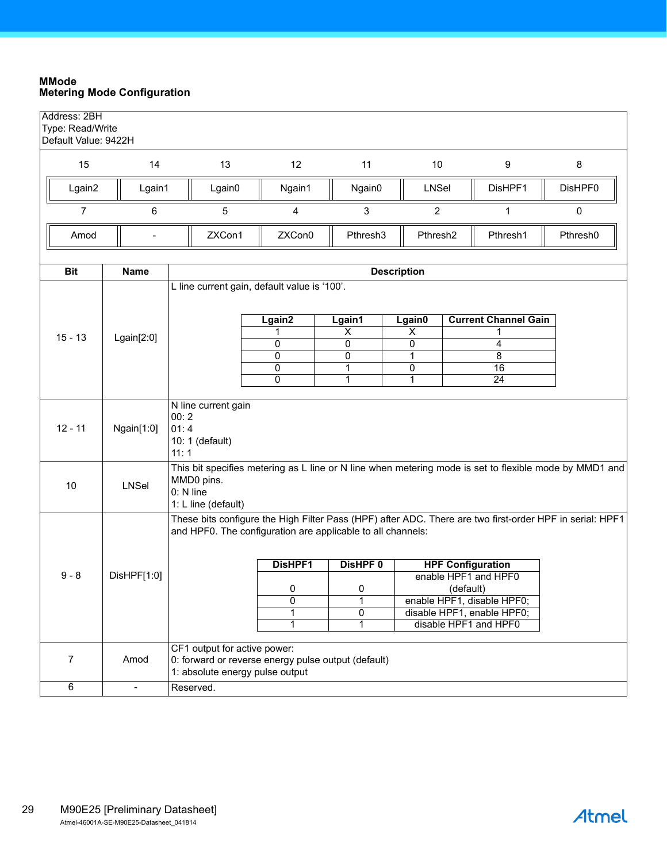#### <span id="page-28-1"></span><span id="page-28-0"></span>**MMode Metering Mode Configuration**

| Address: 2BH<br>Type: Read/Write<br>Default Value: 9422H |                |                                                                |                                                        |                                   |                                   |                                                                                                          |          |
|----------------------------------------------------------|----------------|----------------------------------------------------------------|--------------------------------------------------------|-----------------------------------|-----------------------------------|----------------------------------------------------------------------------------------------------------|----------|
| 15                                                       | 14             | 13                                                             | 12                                                     | 11                                | 10                                | 9                                                                                                        | 8        |
| Lgain2                                                   | Lgain1         | Lgain0                                                         | Ngain1                                                 | Ngain0                            | <b>LNSel</b>                      | DisHPF1                                                                                                  | DisHPF0  |
| $\overline{7}$                                           | 6              | 5                                                              | 4                                                      | 3                                 | $\overline{2}$                    | 1                                                                                                        | 0        |
| Amod                                                     |                | ZXCon1                                                         | ZXCon0<br>Pthresh3<br>Pthresh <sub>2</sub><br>Pthresh1 |                                   |                                   |                                                                                                          | Pthresh0 |
| <b>Bit</b>                                               | Name           |                                                                |                                                        |                                   | <b>Description</b>                |                                                                                                          |          |
|                                                          |                | L line current gain, default value is '100'.                   | Lgain2                                                 |                                   |                                   | <b>Current Channel Gain</b>                                                                              |          |
|                                                          |                |                                                                |                                                        | Lgain1<br>$\overline{\mathsf{x}}$ | Lgain0<br>$\overline{\mathsf{x}}$ |                                                                                                          |          |
| $15 - 13$                                                | Lgain[2:0]     |                                                                | 0                                                      | 0                                 | 0                                 | 4                                                                                                        |          |
|                                                          |                |                                                                | 0                                                      | 0                                 | 1                                 | 8                                                                                                        |          |
|                                                          |                |                                                                | 0                                                      | 1                                 | 0                                 | 16                                                                                                       |          |
|                                                          |                |                                                                | $\overline{0}$                                         | $\overline{1}$                    | $\mathbf{1}$                      | $\overline{24}$                                                                                          |          |
| $12 - 11$                                                | Ngain[1:0]     | N line current gain<br>00:2<br>01:4<br>10: 1 (default)<br>11:1 |                                                        |                                   |                                   |                                                                                                          |          |
| 10                                                       | <b>LNSel</b>   | MMD0 pins.<br>0: N line<br>1: L line (default)                 |                                                        |                                   |                                   | This bit specifies metering as L line or N line when metering mode is set to flexible mode by MMD1 and   |          |
|                                                          |                | and HPF0. The configuration are applicable to all channels:    |                                                        |                                   |                                   | These bits configure the High Filter Pass (HPF) after ADC. There are two first-order HPF in serial: HPF1 |          |
|                                                          |                |                                                                | DisHPF1                                                | DisHPF <sub>0</sub>               |                                   | <b>HPF Configuration</b>                                                                                 |          |
| $9 - 8$                                                  | DisHPF[1:0]    |                                                                |                                                        |                                   |                                   | enable HPF1 and HPF0                                                                                     |          |
|                                                          |                |                                                                | 0                                                      | 0                                 |                                   | (default)                                                                                                |          |
|                                                          |                |                                                                | 0<br>1                                                 | 1<br>0                            |                                   | enable HPF1, disable HPF0;<br>disable HPF1, enable HPF0;                                                 |          |
|                                                          |                |                                                                | $\mathbf{1}$                                           | 1                                 |                                   | disable HPF1 and HPF0                                                                                    |          |
|                                                          |                |                                                                |                                                        |                                   |                                   |                                                                                                          |          |
|                                                          |                | CF1 output for active power:                                   |                                                        |                                   |                                   |                                                                                                          |          |
| $\overline{7}$                                           | Amod           | 0: forward or reverse energy pulse output (default)            |                                                        |                                   |                                   |                                                                                                          |          |
|                                                          |                | 1: absolute energy pulse output                                |                                                        |                                   |                                   |                                                                                                          |          |
| $\overline{6}$                                           | $\blacksquare$ | Reserved.                                                      |                                                        |                                   |                                   |                                                                                                          |          |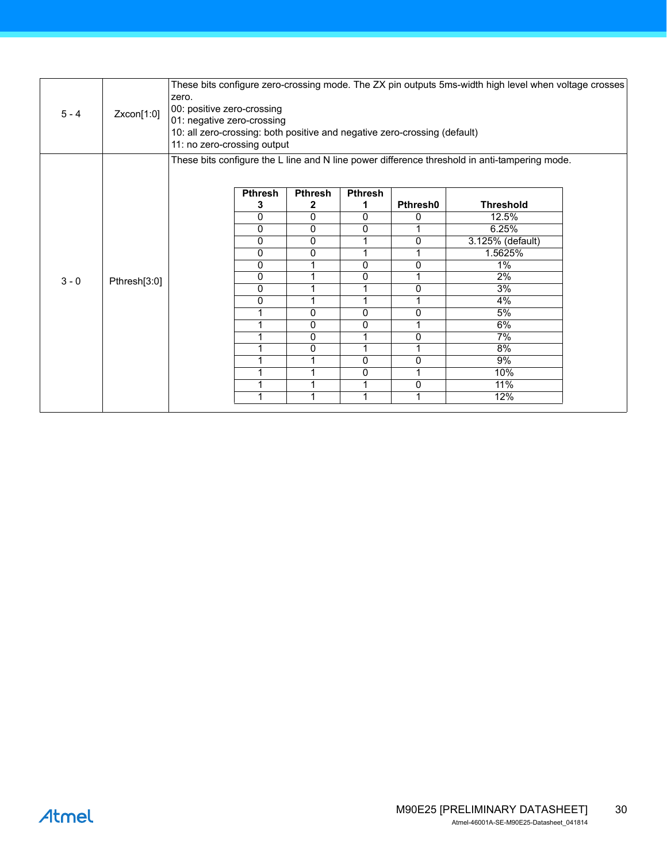| $5 - 4$ | Zxcon[1:0]   | zero.<br>00: positive zero-crossing<br>01: negative zero-crossing<br>10: all zero-crossing: both positive and negative zero-crossing (default)<br>11: no zero-crossing output |                |                |                |                 | These bits configure zero-crossing mode. The ZX pin outputs 5ms-width high level when voltage crosses |  |
|---------|--------------|-------------------------------------------------------------------------------------------------------------------------------------------------------------------------------|----------------|----------------|----------------|-----------------|-------------------------------------------------------------------------------------------------------|--|
|         |              |                                                                                                                                                                               |                |                |                |                 | These bits configure the L line and N line power difference threshold in anti-tampering mode.         |  |
|         |              |                                                                                                                                                                               |                |                |                |                 |                                                                                                       |  |
|         |              |                                                                                                                                                                               | <b>Pthresh</b> | <b>Pthresh</b> | <b>Pthresh</b> |                 |                                                                                                       |  |
|         |              |                                                                                                                                                                               | 3              | 2              | 1              | <b>Pthresh0</b> | <b>Threshold</b>                                                                                      |  |
|         |              |                                                                                                                                                                               | 0              | 0              | 0              | 0               | 12.5%                                                                                                 |  |
|         |              |                                                                                                                                                                               | $\mathbf{0}$   | 0              | 0              | 1               | 6.25%                                                                                                 |  |
|         |              |                                                                                                                                                                               | 0              | 0              |                | 0               | 3.125% (default)                                                                                      |  |
|         |              |                                                                                                                                                                               | $\mathbf{0}$   | 0              | 1              |                 | 1.5625%                                                                                               |  |
|         |              |                                                                                                                                                                               | $\mathbf{0}$   | 1              | 0              | 0               | $1\%$                                                                                                 |  |
| $3 - 0$ | Pthresh[3:0] |                                                                                                                                                                               | 0              | 1              | 0              | 1               | 2%                                                                                                    |  |
|         |              |                                                                                                                                                                               | $\mathbf{0}$   | 1              |                | 0               | 3%                                                                                                    |  |
|         |              |                                                                                                                                                                               | 0              | 1              | 1              | 1               | $4\%$                                                                                                 |  |
|         |              |                                                                                                                                                                               | 1              | 0              | 0              | 0               | 5%                                                                                                    |  |
|         |              |                                                                                                                                                                               |                | 0              | 0              |                 | 6%                                                                                                    |  |
|         |              |                                                                                                                                                                               | 1              | 0              | 1              | 0               | 7%                                                                                                    |  |
|         |              |                                                                                                                                                                               | 1              | 0              | 1              | 1               | 8%                                                                                                    |  |
|         |              |                                                                                                                                                                               |                | 1              | 0              | 0               | 9%                                                                                                    |  |
|         |              |                                                                                                                                                                               |                | 1              | 0              |                 | 10%                                                                                                   |  |
|         |              |                                                                                                                                                                               |                | 1              |                | 0               | 11%                                                                                                   |  |
|         |              |                                                                                                                                                                               |                | 1              |                |                 | 12%                                                                                                   |  |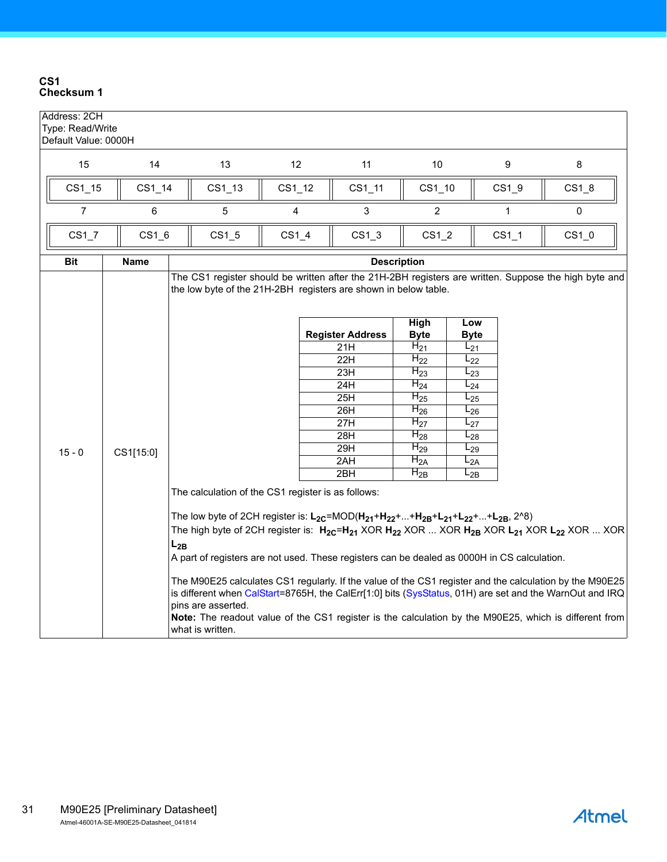#### <span id="page-30-0"></span>**CS1 Checksum 1**

| Address: 2CH<br>Type: Read/Write<br>Default Value: 0000H |          |                     |                                        |  |                                                                           |                                                                                                                                                         |  |                                                                                      |                                                                                                                                                        |                                                                                                                                                                     |                                                                                                                                                                                                                                                                                                                                                                                                                                                                                                                                                                                                                                                              |
|----------------------------------------------------------|----------|---------------------|----------------------------------------|--|---------------------------------------------------------------------------|---------------------------------------------------------------------------------------------------------------------------------------------------------|--|--------------------------------------------------------------------------------------|--------------------------------------------------------------------------------------------------------------------------------------------------------|---------------------------------------------------------------------------------------------------------------------------------------------------------------------|--------------------------------------------------------------------------------------------------------------------------------------------------------------------------------------------------------------------------------------------------------------------------------------------------------------------------------------------------------------------------------------------------------------------------------------------------------------------------------------------------------------------------------------------------------------------------------------------------------------------------------------------------------------|
| 14                                                       |          | 13                  |                                        |  | 11                                                                        | 10                                                                                                                                                      |  |                                                                                      |                                                                                                                                                        | 8                                                                                                                                                                   |                                                                                                                                                                                                                                                                                                                                                                                                                                                                                                                                                                                                                                                              |
| $CS1_15$                                                 |          | $CS1_13$            |                                        |  | $CS1_11$                                                                  |                                                                                                                                                         |  |                                                                                      |                                                                                                                                                        | $CS1_8$                                                                                                                                                             |                                                                                                                                                                                                                                                                                                                                                                                                                                                                                                                                                                                                                                                              |
| 6                                                        |          | 5                   |                                        |  | 3                                                                         | $\overline{2}$                                                                                                                                          |  |                                                                                      |                                                                                                                                                        | $\pmb{0}$                                                                                                                                                           |                                                                                                                                                                                                                                                                                                                                                                                                                                                                                                                                                                                                                                                              |
|                                                          |          | $CS1_5$             |                                        |  | CS1 3                                                                     |                                                                                                                                                         |  |                                                                                      |                                                                                                                                                        | $CS1_0$                                                                                                                                                             |                                                                                                                                                                                                                                                                                                                                                                                                                                                                                                                                                                                                                                                              |
| <b>Name</b>                                              |          | <b>Description</b>  |                                        |  |                                                                           |                                                                                                                                                         |  |                                                                                      |                                                                                                                                                        |                                                                                                                                                                     |                                                                                                                                                                                                                                                                                                                                                                                                                                                                                                                                                                                                                                                              |
| CS1[15:0]                                                | $L_{2B}$ |                     |                                        |  | 21H<br>22H<br>23H<br>24H<br>25H<br>26H<br>27H<br>28H<br>29H<br>2AH<br>2BH | High<br><b>Byte</b><br>$H_{21}$<br>$H_{22}$<br>$H_{23}$<br>$H_{24}$<br>$H_{25}$<br>$H_{26}$<br>$H_{27}$<br>$H_{28}$<br>$H_{29}$<br>$H_{2A}$<br>$H_{2B}$ |  |                                                                                      |                                                                                                                                                        |                                                                                                                                                                     |                                                                                                                                                                                                                                                                                                                                                                                                                                                                                                                                                                                                                                                              |
|                                                          |          | $CS1_14$<br>$CS1_6$ | pins are asserted.<br>what is written. |  | 12<br>$CS1_12$<br>4<br>CS1 4                                              | <b>Register Address</b><br>The calculation of the CS1 register is as follows:                                                                           |  | $CS1_10$<br>CS1 2<br>the low byte of the 21H-2BH registers are shown in below table. | Low<br><b>Byte</b><br>$L_{21}$<br>$L_{22}$<br>$L_{23}$<br>$L_{24}$<br>$L_{25}$<br>$L_{26}$<br>$L_{27}$<br>$L_{28}$<br>$L_{29}$<br>$L_{2A}$<br>$L_{2B}$ | 9<br>$CS1_9$<br>$\mathbf{1}$<br>$CS1_1$<br>The low byte of 2CH register is: $L_{2C}$ =MOD( $H_{21}$ + $H_{22}$ ++ $H_{2B}$ + $L_{21}$ + $L_{22}$ ++ $L_{2B}$ , 2^8) | The CS1 register should be written after the 21H-2BH registers are written. Suppose the high byte and<br>The high byte of 2CH register is: $H_{2C} = H_{21}$ XOR $H_{22}$ XOR  XOR $H_{2B}$ XOR $L_{21}$ XOR $L_{22}$ XOR  XOR<br>A part of registers are not used. These registers can be dealed as 0000H in CS calculation.<br>The M90E25 calculates CS1 regularly. If the value of the CS1 register and the calculation by the M90E25<br>is different when CalStart=8765H, the CalErr[1:0] bits (SysStatus, 01H) are set and the WarnOut and IRQ<br>Note: The readout value of the CS1 register is the calculation by the M90E25, which is different from |

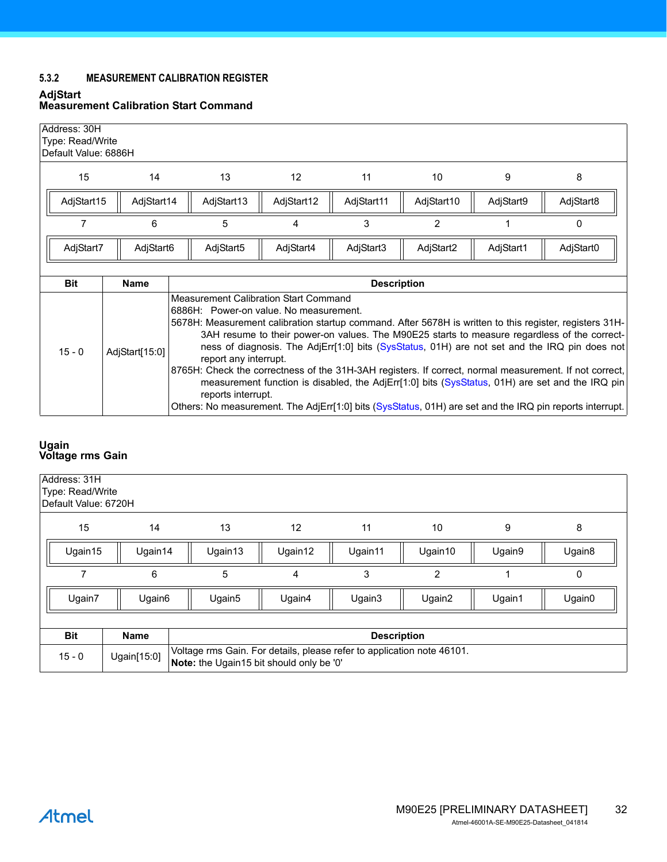## <span id="page-31-0"></span>**5.3.2 MEASUREMENT CALIBRATION REGISTER**

#### <span id="page-31-1"></span>**AdjStart Measurement Calibration Start Command**

|                                                                                         | Address: 30H<br>Type: Read/Write<br>Default Value: 6886H |                |                       |                                                                                                                                                                                                                                                                                                                                                                                                                                                                                                                                                                                                                                                                                                                                                                            |                    |            |           |           |  |  |  |
|-----------------------------------------------------------------------------------------|----------------------------------------------------------|----------------|-----------------------|----------------------------------------------------------------------------------------------------------------------------------------------------------------------------------------------------------------------------------------------------------------------------------------------------------------------------------------------------------------------------------------------------------------------------------------------------------------------------------------------------------------------------------------------------------------------------------------------------------------------------------------------------------------------------------------------------------------------------------------------------------------------------|--------------------|------------|-----------|-----------|--|--|--|
|                                                                                         | 15                                                       | 14             | 13                    | 12                                                                                                                                                                                                                                                                                                                                                                                                                                                                                                                                                                                                                                                                                                                                                                         | 11                 | 10         | 9         | 8         |  |  |  |
|                                                                                         | AdjStart15                                               | AdjStart14     | AdjStart13            | AdjStart12                                                                                                                                                                                                                                                                                                                                                                                                                                                                                                                                                                                                                                                                                                                                                                 | AdjStart11         | AdjStart10 | AdjStart9 | AdjStart8 |  |  |  |
|                                                                                         | 7                                                        | 6              | 3<br>2<br>5<br>4<br>0 |                                                                                                                                                                                                                                                                                                                                                                                                                                                                                                                                                                                                                                                                                                                                                                            |                    |            |           |           |  |  |  |
| AdjStart7<br>AdjStart6<br>AdjStart5<br>AdjStart4<br>AdjStart3<br>AdjStart2<br>AdjStart1 |                                                          |                |                       |                                                                                                                                                                                                                                                                                                                                                                                                                                                                                                                                                                                                                                                                                                                                                                            |                    |            |           | AdjStart0 |  |  |  |
|                                                                                         | <b>Bit</b>                                               | <b>Name</b>    |                       |                                                                                                                                                                                                                                                                                                                                                                                                                                                                                                                                                                                                                                                                                                                                                                            |                    |            |           |           |  |  |  |
|                                                                                         |                                                          |                |                       |                                                                                                                                                                                                                                                                                                                                                                                                                                                                                                                                                                                                                                                                                                                                                                            | <b>Description</b> |            |           |           |  |  |  |
|                                                                                         | $15 - 0$                                                 | AdjStart[15:0] |                       | <b>Measurement Calibration Start Command</b><br>6886H: Power-on value. No measurement.<br>5678H: Measurement calibration startup command. After 5678H is written to this register, registers 31H-<br>3AH resume to their power-on values. The M90E25 starts to measure regardless of the correct-<br>ness of diagnosis. The AdjErr[1:0] bits (SysStatus, 01H) are not set and the IRQ pin does not<br>report any interrupt.<br>8765H: Check the correctness of the 31H-3AH registers. If correct, normal measurement. If not correct,<br>measurement function is disabled, the AdjErr[1:0] bits (SysStatus, 01H) are set and the IRQ pin<br>reports interrupt.<br>Others: No measurement. The AdjErr[1:0] bits (SysStatus, 01H) are set and the IRQ pin reports interrupt. |                    |            |           |           |  |  |  |

#### <span id="page-31-2"></span>**Ugain Voltage rms Gain**

| Address: 31H<br>Type: Read/Write<br>Default Value: 6720H |                    |                                                                                                                    |         |                    |                |        |        |  |
|----------------------------------------------------------|--------------------|--------------------------------------------------------------------------------------------------------------------|---------|--------------------|----------------|--------|--------|--|
| 15                                                       | 14                 | 13                                                                                                                 | 12      | 11                 | 10             | 9      | 8      |  |
| Ugain15                                                  | Ugain14            | Ugain13                                                                                                            | Ugain12 | Ugain11            | Ugain10        | Ugain9 | Ugain8 |  |
|                                                          | 6                  | 5                                                                                                                  | 4       | 3                  | $\overline{2}$ |        | 0      |  |
| Ugain7                                                   | Ugain <sub>6</sub> | Ugain <sub>5</sub>                                                                                                 | Ugain4  | Ugain3             | Ugain2         | Ugain1 | Ugain0 |  |
|                                                          |                    |                                                                                                                    |         |                    |                |        |        |  |
| <b>Bit</b>                                               | <b>Name</b>        |                                                                                                                    |         | <b>Description</b> |                |        |        |  |
| $15 - 0$                                                 | Ugain[15:0]        | Voltage rms Gain. For details, please refer to application note 46101.<br>Note: the Ugain15 bit should only be '0' |         |                    |                |        |        |  |

# **Atmel**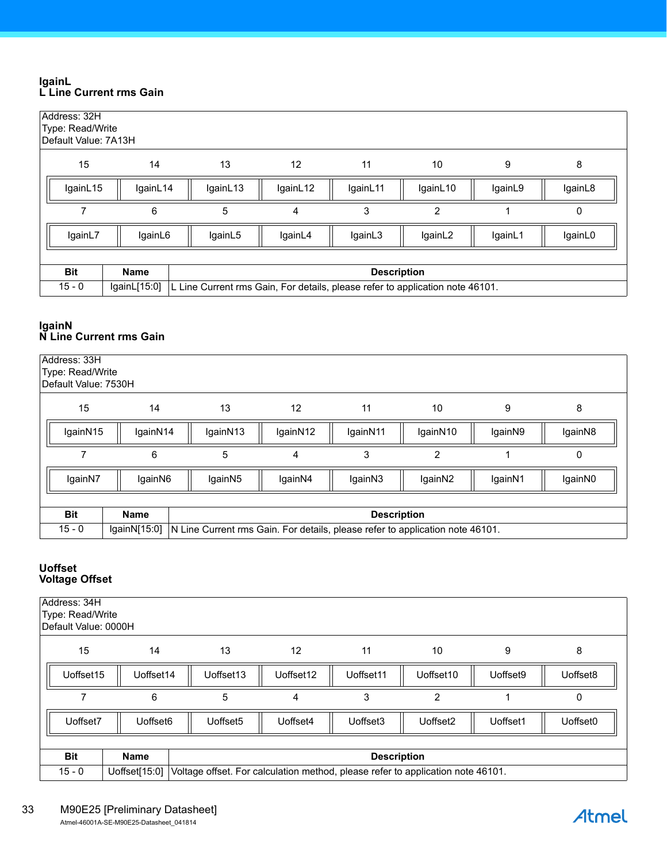#### <span id="page-32-0"></span>**IgainL L Line Current rms Gain**

| Address: 32H<br>Type: Read/Write<br>Default Value: 7A13H |              |          |                                                                               |                    |                |         |         |  |  |  |  |
|----------------------------------------------------------|--------------|----------|-------------------------------------------------------------------------------|--------------------|----------------|---------|---------|--|--|--|--|
| 15                                                       | 14           | 13       | 12                                                                            | 11                 | 10             | 9       | 8       |  |  |  |  |
| IgainL15                                                 | IgainL14     | IgainL13 | IgainL12                                                                      | IgainL11           | IgainL10       | IgainL9 | IgainL8 |  |  |  |  |
|                                                          | 6            | 5        | 4                                                                             | 3                  | $\overline{2}$ |         | 0       |  |  |  |  |
| IgainL7                                                  | IgainL6      | IgainL5  | IgainL4                                                                       | IgainL3            | IgainL2        | IgainL1 | IgainL0 |  |  |  |  |
|                                                          |              |          |                                                                               |                    |                |         |         |  |  |  |  |
| <b>Bit</b>                                               | <b>Name</b>  |          |                                                                               | <b>Description</b> |                |         |         |  |  |  |  |
| $15 - 0$                                                 | lgainL[15:0] |          | L Line Current rms Gain, For details, please refer to application note 46101. |                    |                |         |         |  |  |  |  |

#### <span id="page-32-1"></span>**IgainN N Line Current rms Gain**

| Address: 33H<br>Type: Read/Write<br>Default Value: 7530H |                                   |                     |                                                                               |          |                |         |         |  |  |  |  |
|----------------------------------------------------------|-----------------------------------|---------------------|-------------------------------------------------------------------------------|----------|----------------|---------|---------|--|--|--|--|
| 15                                                       | 14                                | 13                  | 12                                                                            | 11       | 10             | 9       | 8       |  |  |  |  |
| IgainN15                                                 | IgainN14                          | IgainN13            | IgainN12                                                                      | IgainN11 | IgainN10       | IgainN9 | IgainN8 |  |  |  |  |
|                                                          | 6                                 | 5                   | 4                                                                             | 3        | $\overline{2}$ |         | 0       |  |  |  |  |
| IgainN7                                                  | IgainN6                           | IgainN <sub>5</sub> | IgainN4                                                                       | IgainN3  | IgainN2        | IgainN1 | IgainN0 |  |  |  |  |
|                                                          |                                   |                     |                                                                               |          |                |         |         |  |  |  |  |
| <b>Bit</b>                                               | <b>Name</b><br><b>Description</b> |                     |                                                                               |          |                |         |         |  |  |  |  |
| $15 - 0$                                                 | lgainN[15:0]                      |                     | N Line Current rms Gain. For details, please refer to application note 46101. |          |                |         |         |  |  |  |  |

#### <span id="page-32-2"></span>**Uoffset Voltage Offset**

| Address: 34H<br>Type: Read/Write<br>Default Value: 0000H                                                     |           |                      |                   |           |                |          |          |  |  |  |
|--------------------------------------------------------------------------------------------------------------|-----------|----------------------|-------------------|-----------|----------------|----------|----------|--|--|--|
| 15                                                                                                           | 14        | 13                   | $12 \overline{ }$ | 11        | 10             | 9        | 8        |  |  |  |
| Uoffset15                                                                                                    | Uoffset14 | Uoffset13            | Uoffset12         | Uoffset11 | Uoffset10      | Uoffset9 | Uoffset8 |  |  |  |
|                                                                                                              | 6         | 5                    | 4                 | 3         | $\overline{2}$ |          | $\Omega$ |  |  |  |
| Uoffset7                                                                                                     | Uoffset6  | Uoffset <sub>5</sub> | Uoffset4          | Uoffset3  | Uoffset2       | Uoffset1 | Uoffset0 |  |  |  |
|                                                                                                              |           |                      |                   |           |                |          |          |  |  |  |
| <b>Bit</b><br><b>Name</b><br><b>Description</b>                                                              |           |                      |                   |           |                |          |          |  |  |  |
| $15 - 0$<br>Uoffset[15:0]<br>Voltage offset. For calculation method, please refer to application note 46101. |           |                      |                   |           |                |          |          |  |  |  |

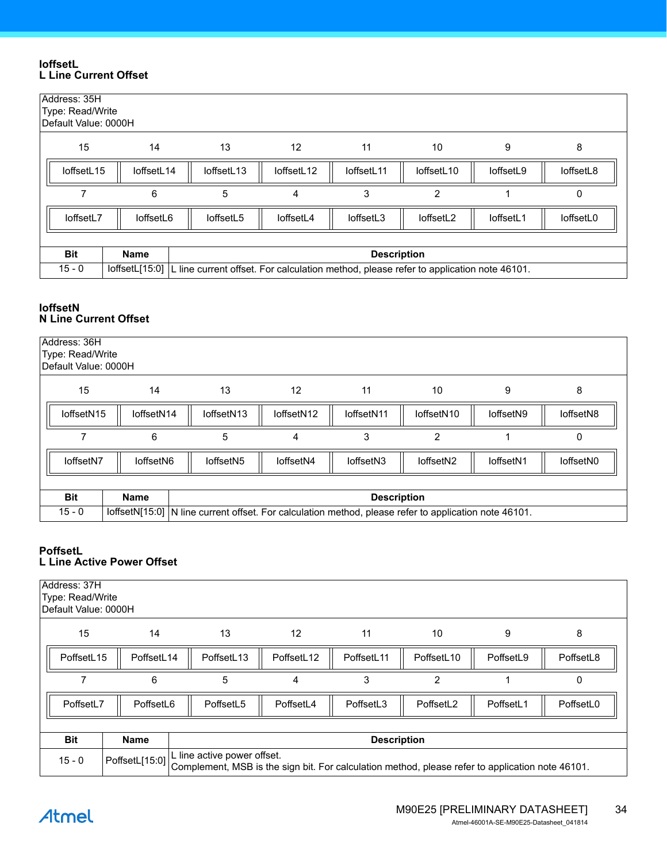#### <span id="page-33-0"></span>**IoffsetL L Line Current Offset**

| Address: 35H | Type: Read/Write<br>Default Value: 0000H |                                                                                        |            |                    |                |           |           |  |  |  |  |
|--------------|------------------------------------------|----------------------------------------------------------------------------------------|------------|--------------------|----------------|-----------|-----------|--|--|--|--|
| 15           | 14                                       | 13                                                                                     | 12         | 11                 | 10             | 9         | 8         |  |  |  |  |
| loffsetL15   | loffsetL14                               | loffsetL13                                                                             | loffsetL12 | loffsetL11         | loffsetL10     | loffsetL9 | loffsetL8 |  |  |  |  |
|              | 6                                        | 5                                                                                      | 4          | 3                  | $\overline{2}$ |           | 0         |  |  |  |  |
| loffsetL7    | loffsetL6                                | loffsetL5                                                                              | loffsetL4  | loffsetL3          | loffsetL2      | loffsetL1 | loffsetL0 |  |  |  |  |
|              |                                          |                                                                                        |            |                    |                |           |           |  |  |  |  |
| <b>Bit</b>   | <b>Name</b>                              |                                                                                        |            | <b>Description</b> |                |           |           |  |  |  |  |
| $15 - 0$     | IoffsetL[15:0]                           | L line current offset. For calculation method, please refer to application note 46101. |            |                    |                |           |           |  |  |  |  |

#### <span id="page-33-1"></span>**IoffsetN N Line Current Offset**

| Address: 36H<br>Type: Read/Write<br>Default Value: 0000H |                                                                                                                        |                                                                                                       |           |           |                |           |           |  |  |  |  |
|----------------------------------------------------------|------------------------------------------------------------------------------------------------------------------------|-------------------------------------------------------------------------------------------------------|-----------|-----------|----------------|-----------|-----------|--|--|--|--|
| 15<br>13<br>12<br>14<br>11<br>10<br>8<br>9               |                                                                                                                        |                                                                                                       |           |           |                |           |           |  |  |  |  |
|                                                          | loffsetN10<br>loffsetN14<br>loffsetN <sub>13</sub><br>loffsetN12<br>loffsetN15<br>loffsetN11<br>loffsetN9<br>loffsetN8 |                                                                                                       |           |           |                |           |           |  |  |  |  |
|                                                          | 6                                                                                                                      | 5                                                                                                     | 4         | 3         | $\overline{2}$ |           | 0         |  |  |  |  |
| loffsetN7                                                | loffsetN6                                                                                                              | loffsetN <sub>5</sub>                                                                                 | loffsetN4 | loffsetN3 | loffsetN2      | loffsetN1 | loffsetN0 |  |  |  |  |
|                                                          |                                                                                                                        |                                                                                                       |           |           |                |           |           |  |  |  |  |
| <b>Bit</b><br><b>Name</b><br><b>Description</b>          |                                                                                                                        |                                                                                                       |           |           |                |           |           |  |  |  |  |
| $15 - 0$                                                 |                                                                                                                        | loffsetN[15:0] N line current offset. For calculation method, please refer to application note 46101. |           |           |                |           |           |  |  |  |  |

#### <span id="page-33-2"></span>**PoffsetL L Line Active Power Offset**

| Address: 37H<br>Type: Read/Write<br>Default Value: 0000H                                                                                                      |            |            |                        |                    |                |           |           |  |  |  |
|---------------------------------------------------------------------------------------------------------------------------------------------------------------|------------|------------|------------------------|--------------------|----------------|-----------|-----------|--|--|--|
| 15<br>13<br>12<br>11<br>10<br>9<br>14<br>8                                                                                                                    |            |            |                        |                    |                |           |           |  |  |  |
| PoffsetL15                                                                                                                                                    | PoffsetL14 | PoffsetL13 | PoffsetL <sub>12</sub> | PoffsetL11         | PoffsetL10     | PoffsetL9 | PoffsetL8 |  |  |  |
|                                                                                                                                                               | 6          | 5          | 4                      | 3                  | $\overline{2}$ |           | 0         |  |  |  |
| PoffsetL7                                                                                                                                                     | PoffsetL6  | PoffsetL5  | PoffsetL4              | PoffsetL3          | PoffsetL2      | PoffsetL1 | PoffsetL0 |  |  |  |
|                                                                                                                                                               |            |            |                        |                    |                |           |           |  |  |  |
| <b>Bit</b>                                                                                                                                                    | Name       |            |                        | <b>Description</b> |                |           |           |  |  |  |
| L line active power offset.<br>PoffsetL[15:0]<br>$15 - 0$<br>Complement, MSB is the sign bit. For calculation method, please refer to application note 46101. |            |            |                        |                    |                |           |           |  |  |  |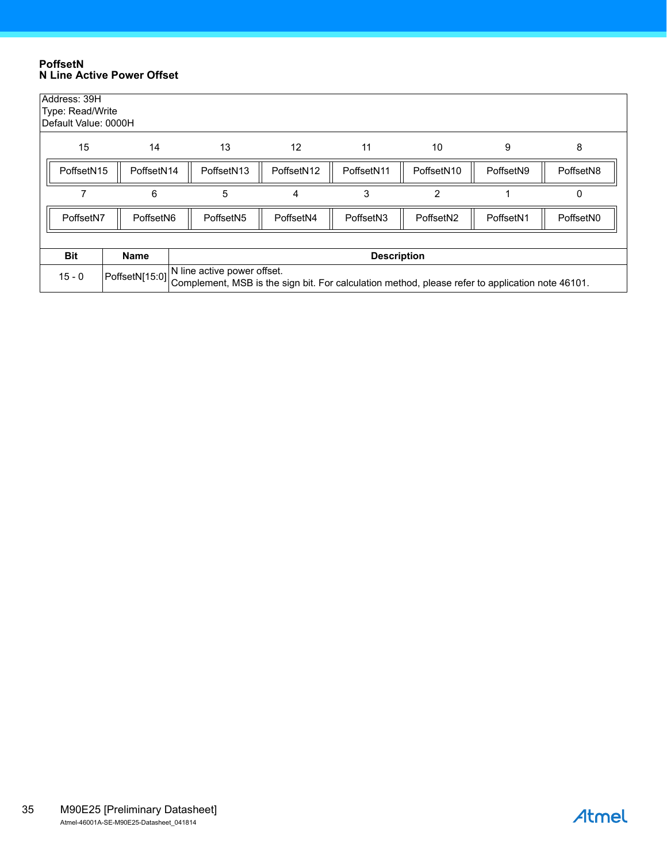#### <span id="page-34-0"></span>**PoffsetN N Line Active Power Offset**

| Address: 39H                                                                                                                                   | Type: Read/Write<br>Default Value: 0000H                                                                                                                                       |                       |           |                    |           |           |           |  |  |  |  |
|------------------------------------------------------------------------------------------------------------------------------------------------|--------------------------------------------------------------------------------------------------------------------------------------------------------------------------------|-----------------------|-----------|--------------------|-----------|-----------|-----------|--|--|--|--|
| 15<br>13<br>12<br>11<br>10<br>9<br>14<br>8                                                                                                     |                                                                                                                                                                                |                       |           |                    |           |           |           |  |  |  |  |
| PoffsetN15<br>PoffsetN14<br>PoffsetN <sub>13</sub><br>PoffsetN <sub>12</sub><br>PoffsetN11<br>PoffsetN <sub>10</sub><br>PoffsetN9<br>PoffsetN8 |                                                                                                                                                                                |                       |           |                    |           |           |           |  |  |  |  |
|                                                                                                                                                | 6                                                                                                                                                                              | 5                     | 4         | 3                  | 2         |           | 0         |  |  |  |  |
| PoffsetN7                                                                                                                                      | PoffsetN <sub>6</sub>                                                                                                                                                          | PoffsetN <sub>5</sub> | PoffsetN4 | PoffsetN3          | PoffsetN2 | PoffsetN1 | PoffsetN0 |  |  |  |  |
|                                                                                                                                                |                                                                                                                                                                                |                       |           |                    |           |           |           |  |  |  |  |
| <b>Bit</b>                                                                                                                                     | <b>Name</b>                                                                                                                                                                    |                       |           | <b>Description</b> |           |           |           |  |  |  |  |
| $15 - 0$                                                                                                                                       | N line active power offset.<br>PoffsetN[15:0] The mile active power chose.<br>Complement, MSB is the sign bit. For calculation method, please refer to application note 46101. |                       |           |                    |           |           |           |  |  |  |  |

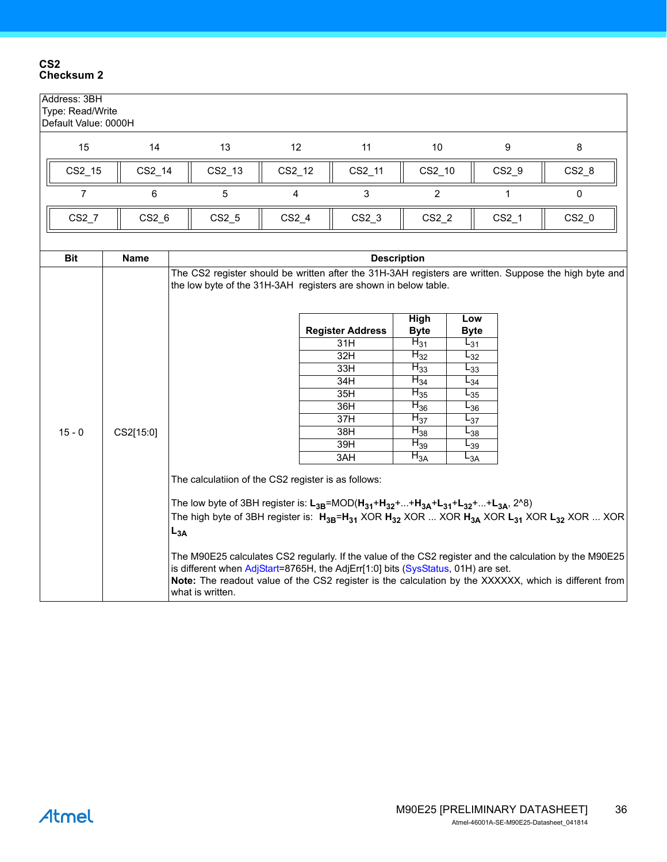#### <span id="page-35-0"></span>**CS2 Checksum 2**

| Address: 3BH<br>Type: Read/Write<br>Default Value: 0000H |             |          |                                                                                                                                                                                                                                                                                                                          |         |                                                                                                                                                                                                                                                                                                                                                                                                           |                                                                                                                                                    |                                                                                                                                            |         |         |  |  |  |
|----------------------------------------------------------|-------------|----------|--------------------------------------------------------------------------------------------------------------------------------------------------------------------------------------------------------------------------------------------------------------------------------------------------------------------------|---------|-----------------------------------------------------------------------------------------------------------------------------------------------------------------------------------------------------------------------------------------------------------------------------------------------------------------------------------------------------------------------------------------------------------|----------------------------------------------------------------------------------------------------------------------------------------------------|--------------------------------------------------------------------------------------------------------------------------------------------|---------|---------|--|--|--|
| 15                                                       | 14          |          | 13                                                                                                                                                                                                                                                                                                                       | 12      | 11                                                                                                                                                                                                                                                                                                                                                                                                        | 10                                                                                                                                                 |                                                                                                                                            | 9       | 8       |  |  |  |
| CS2_15                                                   | CS2_14      |          | CS2_13                                                                                                                                                                                                                                                                                                                   | CS2_12  | CS2_11                                                                                                                                                                                                                                                                                                                                                                                                    | CS2_10                                                                                                                                             |                                                                                                                                            | CS2_9   | $CS2_8$ |  |  |  |
| $\overline{7}$                                           | 6           |          | 5                                                                                                                                                                                                                                                                                                                        | 4       | 3                                                                                                                                                                                                                                                                                                                                                                                                         | $\overline{2}$                                                                                                                                     |                                                                                                                                            | 1       | 0       |  |  |  |
| $CS2-7$                                                  | $CS2_6$     |          | $CS2_5$                                                                                                                                                                                                                                                                                                                  | $CS2_4$ | $CS2_3$                                                                                                                                                                                                                                                                                                                                                                                                   | $CS2_2$                                                                                                                                            |                                                                                                                                            | $CS2_1$ | $CS2_0$ |  |  |  |
| <b>Bit</b>                                               | <b>Name</b> |          | <b>Description</b>                                                                                                                                                                                                                                                                                                       |         |                                                                                                                                                                                                                                                                                                                                                                                                           |                                                                                                                                                    |                                                                                                                                            |         |         |  |  |  |
|                                                          |             |          | The CS2 register should be written after the 31H-3AH registers are written. Suppose the high byte and<br>the low byte of the 31H-3AH registers are shown in below table.                                                                                                                                                 |         |                                                                                                                                                                                                                                                                                                                                                                                                           |                                                                                                                                                    |                                                                                                                                            |         |         |  |  |  |
| $15 - 0$                                                 | CS2[15:0]   | $L_{3A}$ |                                                                                                                                                                                                                                                                                                                          |         | <b>Register Address</b><br>31H<br>32H<br>33H<br>34H<br>35H<br>36H<br>37H<br>38H<br>39H<br>3AH<br>The calculatiion of the CS2 register is as follows:<br>The low byte of 3BH register is: $L_{3B}$ =MOD( $H_{31}$ + $H_{32}$ ++ $H_{3A}$ + $L_{31}$ + $L_{32}$ ++ $L_{3A}$ , 2^8)<br>The high byte of 3BH register is: $H_{3B} = H_{31}$ XOR $H_{32}$ XOR  XOR $H_{3A}$ XOR $L_{31}$ XOR $L_{32}$ XOR  XOR | <b>High</b><br><b>Byte</b><br>$H_{31}$<br>$H_{32}$<br>$H_{33}$<br>$H_{34}$<br>$H_{35}$<br>$H_{36}$<br>$H_{37}$<br>$H_{38}$<br>$H_{39}$<br>$H_{3A}$ | Low<br><b>Byte</b><br>$L_{31}$<br>$L_{32}$<br>$L_{33}$<br>$L_{34}$<br>$L_{35}$<br>$L_{36}$<br>$L_{37}$<br>$L_{38}$<br>$L_{39}$<br>$L_{3A}$ |         |         |  |  |  |
|                                                          |             |          | The M90E25 calculates CS2 regularly. If the value of the CS2 register and the calculation by the M90E25<br>is different when AdjStart=8765H, the AdjErr[1:0] bits (SysStatus, 01H) are set.<br>Note: The readout value of the CS2 register is the calculation by the XXXXXX, which is different from<br>what is written. |         |                                                                                                                                                                                                                                                                                                                                                                                                           |                                                                                                                                                    |                                                                                                                                            |         |         |  |  |  |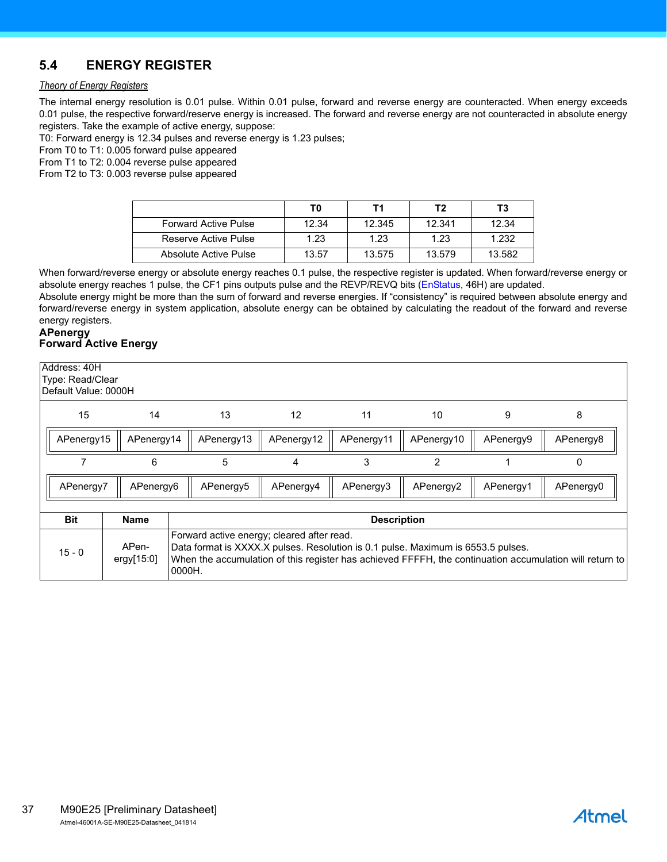# <span id="page-36-0"></span>**5.4 ENERGY REGISTER**

#### *Theory of Energy Registers*

The internal energy resolution is 0.01 pulse. Within 0.01 pulse, forward and reverse energy are counteracted. When energy exceeds 0.01 pulse, the respective forward/reserve energy is increased. The forward and reverse energy are not counteracted in absolute energy registers. Take the example of active energy, suppose:

T0: Forward energy is 12.34 pulses and reverse energy is 1.23 pulses;

From T0 to T1: 0.005 forward pulse appeared

From T1 to T2: 0.004 reverse pulse appeared

From T2 to T3: 0.003 reverse pulse appeared

|                             | T0    | Τ1     | T2     | Τ3     |
|-----------------------------|-------|--------|--------|--------|
| <b>Forward Active Pulse</b> | 12.34 | 12.345 | 12.341 | 12.34  |
| Reserve Active Pulse        | 1.23  | 1.23   | 1.23   | 1.232  |
| Absolute Active Pulse       | 13.57 | 13.575 | 13.579 | 13.582 |

When forward/reverse energy or absolute energy reaches 0.1 pulse, the respective register is updated. When forward/reverse energy or absolute energy reaches 1 pulse, the CF1 pins outputs pulse and the REVP/REVQ bits ([EnStatus,](#page-38-1) 46H) are updated.

Absolute energy might be more than the sum of forward and reverse energies. If "consistency" is required between absolute energy and forward/reverse energy in system application, absolute energy can be obtained by calculating the readout of the forward and reverse energy registers.

#### <span id="page-36-2"></span><span id="page-36-1"></span>**APenergy Forward Active Energy**

|                                                 | Address: 40H<br>Type: Read/Clear<br>Default Value: 0000H                                                                                                                                                                                                                               |            |            |            |            |                |           |           |  |  |  |
|-------------------------------------------------|----------------------------------------------------------------------------------------------------------------------------------------------------------------------------------------------------------------------------------------------------------------------------------------|------------|------------|------------|------------|----------------|-----------|-----------|--|--|--|
| 15<br>14<br>13<br>12<br>11<br>10<br>9<br>8      |                                                                                                                                                                                                                                                                                        |            |            |            |            |                |           |           |  |  |  |
|                                                 | APenergy15                                                                                                                                                                                                                                                                             | APenergy14 | APenergy13 | APenergy12 | APenergy11 | APenergy10     | APenergy9 | APenergy8 |  |  |  |
|                                                 |                                                                                                                                                                                                                                                                                        | 6          | 5          | 4          | 3          | $\overline{2}$ |           | 0         |  |  |  |
|                                                 | APenergy7                                                                                                                                                                                                                                                                              | APenergy6  | APenergy5  | APenergy4  | APenergy3  | APenergy2      | APenergy1 | APenergy0 |  |  |  |
|                                                 |                                                                                                                                                                                                                                                                                        |            |            |            |            |                |           |           |  |  |  |
| <b>Bit</b><br><b>Name</b><br><b>Description</b> |                                                                                                                                                                                                                                                                                        |            |            |            |            |                |           |           |  |  |  |
|                                                 | Forward active energy; cleared after read.<br>APen-<br>Data format is XXXX.X pulses. Resolution is 0.1 pulse. Maximum is 6553.5 pulses.<br>$15 - 0$<br>ergy[15:0]<br>When the accumulation of this register has achieved FFFFH, the continuation accumulation will return to<br>0000H. |            |            |            |            |                |           |           |  |  |  |

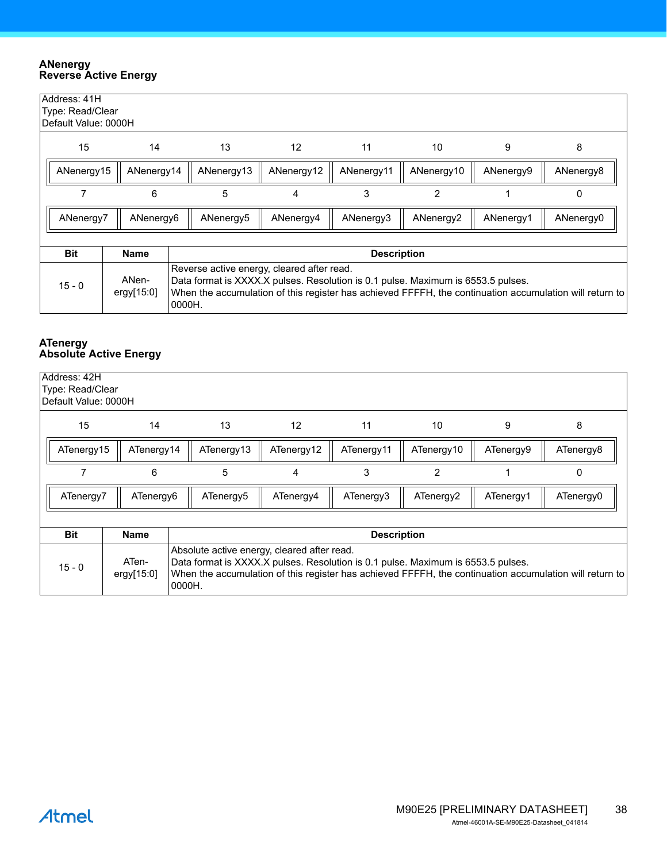#### <span id="page-37-2"></span><span id="page-37-0"></span>**ANenergy Reverse Active Energy**

| Address: 41H<br>Type: Read/Clear<br>Default Value: 0000H                                                                                                                                                                                                                                  |             |           |                   |                    |                |           |           |  |
|-------------------------------------------------------------------------------------------------------------------------------------------------------------------------------------------------------------------------------------------------------------------------------------------|-------------|-----------|-------------------|--------------------|----------------|-----------|-----------|--|
| 15                                                                                                                                                                                                                                                                                        | 14          | 13        | $12 \overline{ }$ | 11                 | 10             | 9         | 8         |  |
| ANenergy15                                                                                                                                                                                                                                                                                | ANenergy9   | ANenergy8 |                   |                    |                |           |           |  |
|                                                                                                                                                                                                                                                                                           | 6           | 5         | 4                 | 3                  | $\overline{2}$ |           | 0         |  |
| ANenergy7                                                                                                                                                                                                                                                                                 | ANenergy6   | ANenergy5 | ANenergy4         | ANenergy3          | ANenergy2      | ANenergy1 | ANenergy0 |  |
| <b>Bit</b>                                                                                                                                                                                                                                                                                | <b>Name</b> |           |                   | <b>Description</b> |                |           |           |  |
| Reverse active energy, cleared after read.<br>ANen-<br>Data format is XXXX.X pulses. Resolution is 0.1 pulse. Maximum is 6553.5 pulses.<br>$15 - 0$<br>When the accumulation of this register has achieved FFFFH, the continuation accumulation will return to<br>ergy $[15:0]$<br>0000H. |             |           |                   |                    |                |           |           |  |

#### <span id="page-37-3"></span><span id="page-37-1"></span>**ATenergy Absolute Active Energy**

| Address: 42H<br>Type: Read/Clear<br>Default Value: 0000H                                                                                                                                                                                                                                |            |            |                   |            |            |           |           |  |
|-----------------------------------------------------------------------------------------------------------------------------------------------------------------------------------------------------------------------------------------------------------------------------------------|------------|------------|-------------------|------------|------------|-----------|-----------|--|
| 15                                                                                                                                                                                                                                                                                      | 14         | 13         | $12 \overline{ }$ | 11         | 10         | 9         | 8         |  |
| ATenergy15                                                                                                                                                                                                                                                                              | ATenergy14 | ATenergy13 | ATenergy12        | ATenergy11 | ATenergy10 | ATenergy9 | ATenergy8 |  |
|                                                                                                                                                                                                                                                                                         | 6          | 5          | 4                 | 3          | 2          |           | 0         |  |
| ATenergy7                                                                                                                                                                                                                                                                               | ATenergy6  | ATenergy5  | ATenergy4         | ATenergy3  | ATenergy2  | ATenergy1 | ATenergy0 |  |
|                                                                                                                                                                                                                                                                                         |            |            |                   |            |            |           |           |  |
| <b>Bit</b><br><b>Name</b><br><b>Description</b>                                                                                                                                                                                                                                         |            |            |                   |            |            |           |           |  |
| Absolute active energy, cleared after read.<br>ATen-<br>Data format is XXXX.X pulses. Resolution is 0.1 pulse. Maximum is 6553.5 pulses.<br>$15 - 0$<br>When the accumulation of this register has achieved FFFFH, the continuation accumulation will return to<br>ergy[15:0]<br>0000H. |            |            |                   |            |            |           |           |  |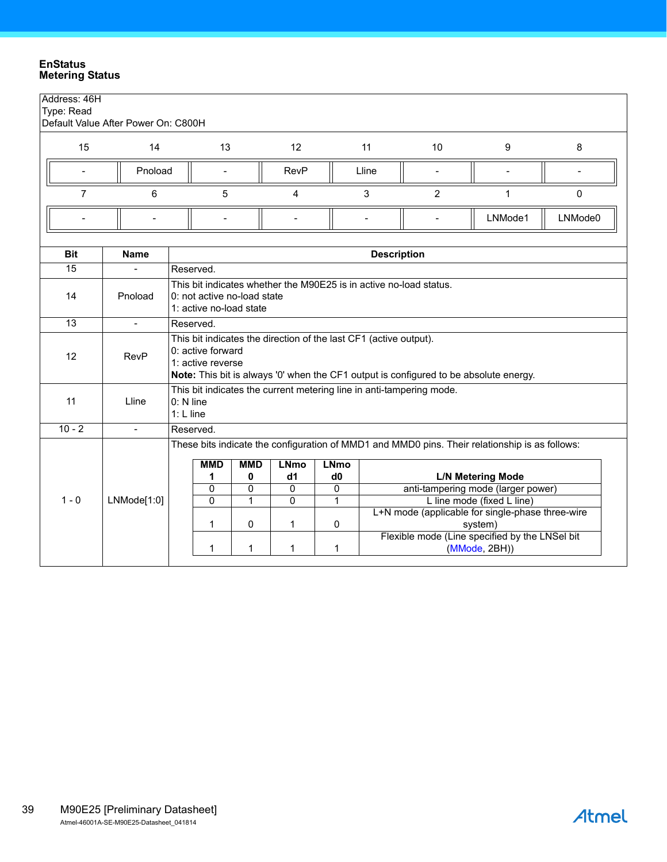#### <span id="page-38-1"></span><span id="page-38-0"></span>**EnStatus Metering Status**

| Address: 46H<br>Type: Read | Default Value After Power On: C800H |                          |                                                                                                                                                                                       |   |                                                                   |   |                          |                                                                                                |                            |                          |
|----------------------------|-------------------------------------|--------------------------|---------------------------------------------------------------------------------------------------------------------------------------------------------------------------------------|---|-------------------------------------------------------------------|---|--------------------------|------------------------------------------------------------------------------------------------|----------------------------|--------------------------|
| 15                         | 14                                  |                          | 13                                                                                                                                                                                    |   | 12                                                                |   | 11                       | 10                                                                                             | 9                          | 8                        |
|                            | Pnoload                             |                          |                                                                                                                                                                                       |   | <b>RevP</b>                                                       |   | Lline                    |                                                                                                |                            | $\overline{\phantom{0}}$ |
| $\overline{7}$             | 6                                   |                          | 5                                                                                                                                                                                     |   | 4                                                                 |   | 3                        | 2                                                                                              | 1                          | $\mathbf{0}$             |
|                            |                                     |                          |                                                                                                                                                                                       |   | $\overline{a}$                                                    |   | $\overline{\phantom{a}}$ | $\overline{\phantom{0}}$                                                                       | LNMode1                    | LNMode0                  |
| <b>Bit</b>                 | <b>Name</b>                         |                          |                                                                                                                                                                                       |   |                                                                   |   | <b>Description</b>       |                                                                                                |                            |                          |
| 15                         | $\overline{a}$                      | Reserved.                |                                                                                                                                                                                       |   |                                                                   |   |                          |                                                                                                |                            |                          |
| 14                         | Pnoload                             |                          | This bit indicates whether the M90E25 is in active no-load status.<br>0: not active no-load state<br>1: active no-load state                                                          |   |                                                                   |   |                          |                                                                                                |                            |                          |
| 13                         | $\mathbf{r}$                        | Reserved.                |                                                                                                                                                                                       |   |                                                                   |   |                          |                                                                                                |                            |                          |
| 12                         | <b>RevP</b>                         |                          | 0: active forward<br>1: active reverse                                                                                                                                                |   | This bit indicates the direction of the last CF1 (active output). |   |                          | Note: This bit is always '0' when the CF1 output is configured to be absolute energy.          |                            |                          |
| 11                         | Lline                               | 0: N line<br>$1: L$ line |                                                                                                                                                                                       |   |                                                                   |   |                          | This bit indicates the current metering line in anti-tampering mode.                           |                            |                          |
| $10 - 2$                   | $\mathbf{r}$                        | Reserved.                |                                                                                                                                                                                       |   |                                                                   |   |                          |                                                                                                |                            |                          |
|                            |                                     |                          |                                                                                                                                                                                       |   |                                                                   |   |                          | These bits indicate the configuration of MMD1 and MMD0 pins. Their relationship is as follows: |                            |                          |
|                            |                                     |                          | <b>MMD</b><br><b>MMD</b><br><b>LNmo</b><br><b>LNmo</b><br>1<br>0<br><b>L/N Metering Mode</b><br>d1<br>d <sub>0</sub><br>0<br>$\Omega$<br>anti-tampering mode (larger power)<br>0<br>0 |   |                                                                   |   |                          |                                                                                                |                            |                          |
| $1 - 0$                    | LMMode[1:0]                         |                          | 0                                                                                                                                                                                     | 1 | $\mathbf{0}$                                                      | 1 |                          |                                                                                                | L line mode (fixed L line) |                          |
|                            |                                     |                          | 1                                                                                                                                                                                     | 0 | 1                                                                 | 0 |                          | L+N mode (applicable for single-phase three-wire                                               | system)                    |                          |
|                            |                                     |                          | 1                                                                                                                                                                                     | 1 | 1                                                                 | 1 |                          | Flexible mode (Line specified by the LNSel bit                                                 | (MMode, 2BH))              |                          |

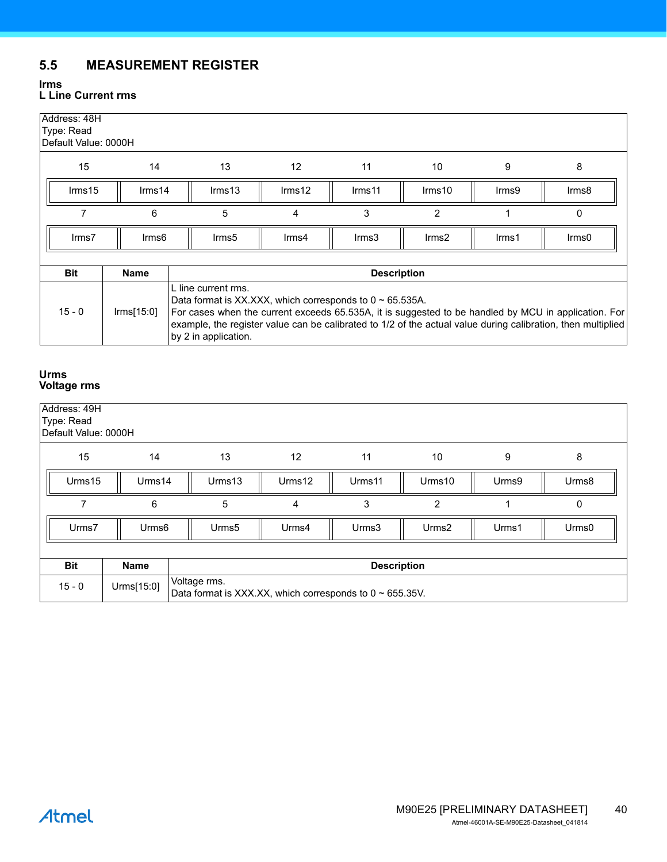# <span id="page-39-0"></span>**5.5 MEASUREMENT REGISTER**

#### <span id="page-39-1"></span>**Irms L Line Current rms**

| Address: 48H<br>Type: Read<br>Default Value: 0000H |                                                                                                                                                                                                                                                                                                                                                              |                   |                 |                    |                |          |       |  |
|----------------------------------------------------|--------------------------------------------------------------------------------------------------------------------------------------------------------------------------------------------------------------------------------------------------------------------------------------------------------------------------------------------------------------|-------------------|-----------------|--------------------|----------------|----------|-------|--|
| 15                                                 | 14                                                                                                                                                                                                                                                                                                                                                           | 13                | 12              | 11                 | 10             | 9        | 8     |  |
| Irms15                                             | Irms14                                                                                                                                                                                                                                                                                                                                                       | $\text{lrms}13$   | $\text{lrms}12$ | Irms <sub>11</sub> | Irms10         | Irms9    | Irms8 |  |
|                                                    | 6                                                                                                                                                                                                                                                                                                                                                            | 5                 | 4               | 3                  | $\overline{2}$ |          | 0     |  |
| Irms7                                              | Irms <sub>6</sub>                                                                                                                                                                                                                                                                                                                                            | Irms <sub>5</sub> | Irms4           | $\text{lrms3}$     | $\text{lrms2}$ | $I$ rms1 | lrms0 |  |
| <b>Bit</b>                                         | <b>Name</b>                                                                                                                                                                                                                                                                                                                                                  |                   |                 | <b>Description</b> |                |          |       |  |
| $15 - 0$                                           | L line current rms.<br>Data format is XX.XXX, which corresponds to $0 \sim 65.535$ A.<br>$\text{lrms}[15:0]$<br>For cases when the current exceeds 65.535A, it is suggested to be handled by MCU in application. For<br>example, the register value can be calibrated to 1/2 of the actual value during calibration, then multiplied<br>by 2 in application. |                   |                 |                    |                |          |       |  |

#### <span id="page-39-2"></span>**Urms Voltage rms**

| Address: 49H<br>Type: Read | Default Value: 0000H |                                                                                |        |                    |                   |       |       |  |  |  |  |
|----------------------------|----------------------|--------------------------------------------------------------------------------|--------|--------------------|-------------------|-------|-------|--|--|--|--|
| 15                         | 14                   | 13                                                                             | 12     | 11                 | 10                | 9     | 8     |  |  |  |  |
| Urms15                     | Urms14               | Urms13                                                                         | Urms12 | Urms11             | Urms10            | Urms9 | Urms8 |  |  |  |  |
|                            | 6                    | 5<br>3<br>$\overline{2}$<br>0<br>4                                             |        |                    |                   |       |       |  |  |  |  |
| Urms7                      | Urms <sub>6</sub>    | Urms <sub>5</sub>                                                              | Urms4  | Urms3              | Urms <sub>2</sub> | Urms1 | Urms0 |  |  |  |  |
|                            |                      |                                                                                |        |                    |                   |       |       |  |  |  |  |
| <b>Bit</b>                 | Name                 |                                                                                |        | <b>Description</b> |                   |       |       |  |  |  |  |
| $15 - 0$                   | Urms[15:0]           | Voltage rms.<br>Data format is XXX.XX, which corresponds to $0 \sim 655.35V$ . |        |                    |                   |       |       |  |  |  |  |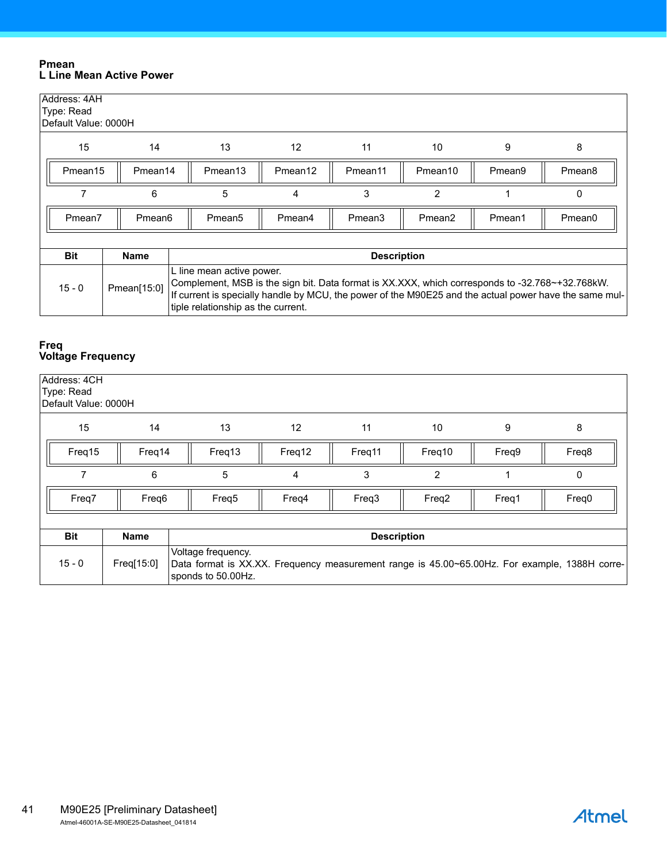#### <span id="page-40-0"></span>**Pmean L Line Mean Active Power**

| Address: 4AH<br>Type: Read<br>Default Value: 0000H |                     |                                                                                                                                                                                                                                                                              |                   |                     |                     |        |                    |  |
|----------------------------------------------------|---------------------|------------------------------------------------------------------------------------------------------------------------------------------------------------------------------------------------------------------------------------------------------------------------------|-------------------|---------------------|---------------------|--------|--------------------|--|
| 15                                                 | 14                  | 13                                                                                                                                                                                                                                                                           | $12 \overline{ }$ | 11                  | 10                  | 9      | 8                  |  |
| Pmean15                                            | Pmean <sub>14</sub> | Pmean <sub>13</sub>                                                                                                                                                                                                                                                          | Pmean12           | Pmean <sub>11</sub> | Pmean <sub>10</sub> | Pmean9 | Pmean <sub>8</sub> |  |
|                                                    | 6                   | 5                                                                                                                                                                                                                                                                            | 4                 | 3                   | 2                   |        | 0                  |  |
| Pmean7                                             | Pmean6              | Pmean <sub>5</sub>                                                                                                                                                                                                                                                           | Pmean4            | Pmean <sub>3</sub>  | Pmean <sub>2</sub>  | Pmean1 | Pmean <sub>0</sub> |  |
|                                                    |                     |                                                                                                                                                                                                                                                                              |                   |                     |                     |        |                    |  |
| <b>Bit</b>                                         | <b>Name</b>         |                                                                                                                                                                                                                                                                              |                   | <b>Description</b>  |                     |        |                    |  |
| $15 - 0$                                           | Pmean[15:0]         | L line mean active power.<br>Complement, MSB is the sign bit. Data format is XX.XXX, which corresponds to -32.768~+32.768kW.<br>If current is specially handle by MCU, the power of the M90E25 and the actual power have the same mul-<br>tiple relationship as the current. |                   |                     |                     |        |                    |  |

#### <span id="page-40-1"></span>**Freq Voltage Frequency**

| Address: 4CH<br>Type: Read<br>Default Value: 0000H |             |                                                                                                                                           |                   |                    |        |       |       |  |  |  |  |
|----------------------------------------------------|-------------|-------------------------------------------------------------------------------------------------------------------------------------------|-------------------|--------------------|--------|-------|-------|--|--|--|--|
| 15                                                 | 14          | 13                                                                                                                                        | $12 \overline{ }$ | 11                 | 10     | 9     | 8     |  |  |  |  |
| Freq15                                             | Freq14      | Freq13                                                                                                                                    | Freq12            | Freq11             | Freq10 | Freq9 | Freq8 |  |  |  |  |
|                                                    | 6           | $\overline{2}$<br>5<br>3<br>4                                                                                                             |                   |                    |        |       | 0     |  |  |  |  |
| Freq7                                              | Freq6       | Freq <sub>5</sub>                                                                                                                         | Freq4             | Freq3              | Freq2  | Freq1 | Freq0 |  |  |  |  |
|                                                    |             |                                                                                                                                           |                   |                    |        |       |       |  |  |  |  |
| <b>Bit</b>                                         | <b>Name</b> |                                                                                                                                           |                   | <b>Description</b> |        |       |       |  |  |  |  |
| $15 - 0$                                           | Freq[15:0]  | Voltage frequency.<br>Data format is XX.XX. Frequency measurement range is 45.00~65.00Hz. For example, 1388H corre-<br>sponds to 50.00Hz. |                   |                    |        |       |       |  |  |  |  |

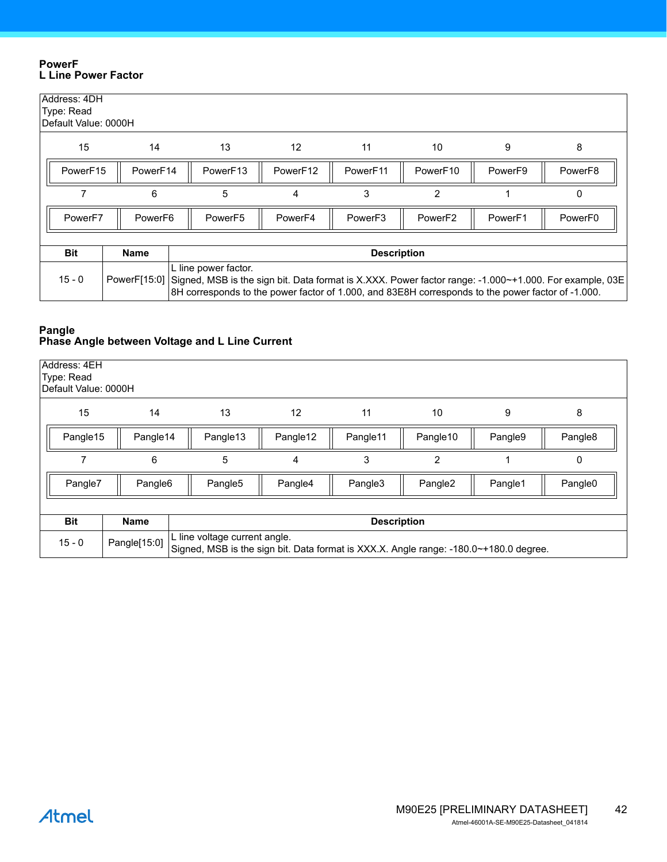#### <span id="page-41-0"></span>**PowerF L Line Power Factor**

| Address: 4DH<br>Type: Read<br>Default Value: 0000H |          |                                                                                                                                                                                                                                                  |                     |                     |                     |                     |         |  |  |  |
|----------------------------------------------------|----------|--------------------------------------------------------------------------------------------------------------------------------------------------------------------------------------------------------------------------------------------------|---------------------|---------------------|---------------------|---------------------|---------|--|--|--|
| 15                                                 | 14       | 13                                                                                                                                                                                                                                               | 12                  | 11                  | 10                  | 9                   | 8       |  |  |  |
| PowerF15                                           | PowerF14 | PowerF13                                                                                                                                                                                                                                         | PowerF12            | PowerF11            | PowerF10            | Power <sub>F9</sub> | PowerF8 |  |  |  |
|                                                    | 6        | 5                                                                                                                                                                                                                                                | 3<br>2<br>0<br>4    |                     |                     |                     |         |  |  |  |
| Power <sub>F7</sub>                                | PowerF6  | PowerF <sub>5</sub>                                                                                                                                                                                                                              | Power <sub>F4</sub> | Power <sub>F3</sub> | Power <sub>F2</sub> | Power <sub>F1</sub> | PowerF0 |  |  |  |
|                                                    |          |                                                                                                                                                                                                                                                  |                     |                     |                     |                     |         |  |  |  |
| <b>Bit</b>                                         | Name     | <b>Description</b>                                                                                                                                                                                                                               |                     |                     |                     |                     |         |  |  |  |
| $15 - 0$                                           |          | L line power factor.<br>PowerF[15:0] Signed, MSB is the sign bit. Data format is X.XXX. Power factor range: -1.000~+1.000. For example, 03E<br>8H corresponds to the power factor of 1.000, and 83E8H corresponds to the power factor of -1.000. |                     |                     |                     |                     |         |  |  |  |

#### <span id="page-41-1"></span>**Pangle Phase Angle between Voltage and L Line Current**

| Address: 4EH<br>Type: Read<br>Default Value: 0000H |                     |                                                                                                                        |          |                    |                     |         |                     |
|----------------------------------------------------|---------------------|------------------------------------------------------------------------------------------------------------------------|----------|--------------------|---------------------|---------|---------------------|
| 15                                                 | 14                  | 13                                                                                                                     | 12       | 11                 | 10                  | 9       | 8                   |
| Pangle15                                           | Pangle14            | Pangle13                                                                                                               | Pangle12 | Pangle11           | Pangle10            | Pangle9 | Pangle <sub>8</sub> |
|                                                    | 6                   | 5                                                                                                                      | 4        | 3                  | 2                   |         | 0                   |
| Pangle7                                            | Pangle <sub>6</sub> | Pangle5                                                                                                                | Pangle4  | Pangle3            | Pangle <sub>2</sub> | Pangle1 | Pangle <sub>0</sub> |
|                                                    |                     |                                                                                                                        |          |                    |                     |         |                     |
| <b>Bit</b>                                         | <b>Name</b>         |                                                                                                                        |          | <b>Description</b> |                     |         |                     |
| $15 - 0$                                           | Pangle[15:0]        | L line voltage current angle.<br>Signed, MSB is the sign bit. Data format is XXX.X. Angle range: -180.0~+180.0 degree. |          |                    |                     |         |                     |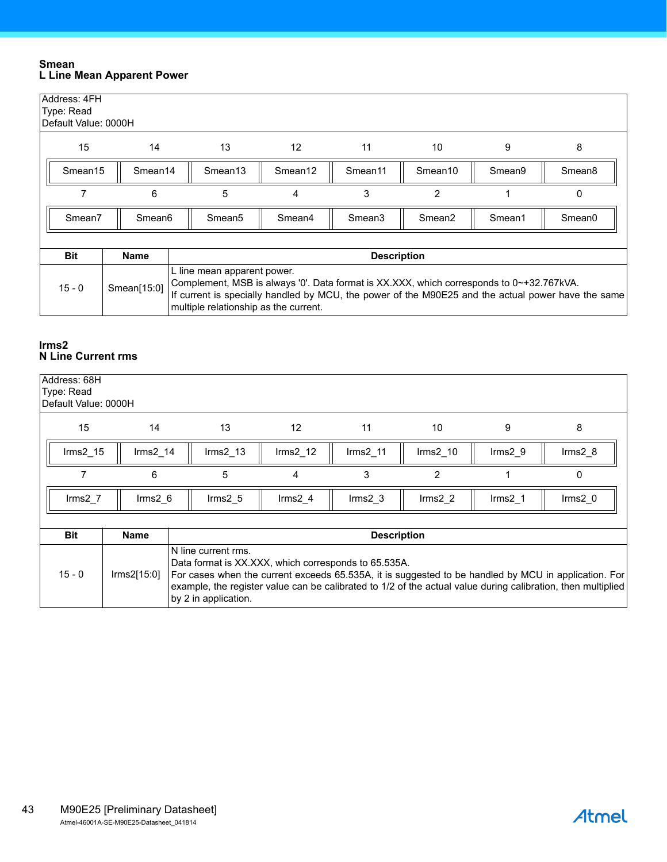#### <span id="page-42-0"></span>**Smean L Line Mean Apparent Power**

| Address: 4FH<br>Type: Read<br>Default Value: 0000H |                     |                     |                                                                                                                                                                                                                                                                        |                     |                     |        |                    |  |  |
|----------------------------------------------------|---------------------|---------------------|------------------------------------------------------------------------------------------------------------------------------------------------------------------------------------------------------------------------------------------------------------------------|---------------------|---------------------|--------|--------------------|--|--|
| 15                                                 | 14                  | 13                  | $12 \overline{ }$                                                                                                                                                                                                                                                      | 11                  | 10                  | 9      | 8                  |  |  |
| Smean <sub>15</sub>                                | Smean <sub>14</sub> | Smean <sub>13</sub> | Smean <sub>12</sub>                                                                                                                                                                                                                                                    | Smean <sub>11</sub> | Smean <sub>10</sub> | Smean9 | Smean <sub>8</sub> |  |  |
| 7                                                  | 6                   | 5                   | 4                                                                                                                                                                                                                                                                      | 3                   | $\overline{2}$      |        | 0                  |  |  |
| Smean7                                             | Smean6              | Smean <sub>5</sub>  | Smean4                                                                                                                                                                                                                                                                 | Smean <sub>3</sub>  | Smean <sub>2</sub>  | Smean1 | Smean <sub>0</sub> |  |  |
|                                                    |                     |                     |                                                                                                                                                                                                                                                                        |                     |                     |        |                    |  |  |
| <b>Bit</b>                                         | Name                |                     |                                                                                                                                                                                                                                                                        | <b>Description</b>  |                     |        |                    |  |  |
| $15 - 0$                                           | Smean[15:0]         |                     | L line mean apparent power.<br>Complement, MSB is always '0'. Data format is XX.XXX, which corresponds to 0~+32.767kVA.<br>If current is specially handled by MCU, the power of the M90E25 and the actual power have the same<br>multiple relationship as the current. |                     |                     |        |                    |  |  |

#### <span id="page-42-1"></span>**Irms2 N Line Current rms**

| Address: 68H<br>Type: Read<br>Default Value: 0000H |                       |                                                                                                                                                                                                                                                                                                                             |                    |                    |                    |                     |                  |  |
|----------------------------------------------------|-----------------------|-----------------------------------------------------------------------------------------------------------------------------------------------------------------------------------------------------------------------------------------------------------------------------------------------------------------------------|--------------------|--------------------|--------------------|---------------------|------------------|--|
| 15                                                 | 14                    | 13                                                                                                                                                                                                                                                                                                                          | $12 \overline{ }$  | 11                 | 10                 | 9                   | 8                |  |
| $Irms2_15$                                         | Irms <sub>2</sub> 14  | $\text{lrms2\_13}$                                                                                                                                                                                                                                                                                                          | $\text{lrms2}_12$  | $\text{lrms2}_11$  | $\text{lrms2\_10}$ | $lrms2_9$           | $\text{lrms2}_8$ |  |
|                                                    | 6                     | 5                                                                                                                                                                                                                                                                                                                           | 4                  | 3                  | $\overline{2}$     |                     | 0                |  |
| $\text{lrms2}$ 7                                   | $\text{lrms2}$ 6      | $\text{lrms2}$ 5                                                                                                                                                                                                                                                                                                            | Irms2 <sub>4</sub> | $\text{lrms2}$ 3   | $\text{lrms2}$ 2   | Irms <sub>2</sub> 1 | $\text{lrms2}$ 0 |  |
| <b>Bit</b>                                         | <b>Name</b>           |                                                                                                                                                                                                                                                                                                                             |                    | <b>Description</b> |                    |                     |                  |  |
| $15 - 0$                                           | $\text{lrms2}$ [15:0] | N line current rms.<br>Data format is XX.XXX, which corresponds to 65.535A.<br>For cases when the current exceeds 65.535A, it is suggested to be handled by MCU in application. For<br>example, the register value can be calibrated to 1/2 of the actual value during calibration, then multiplied<br>by 2 in application. |                    |                    |                    |                     |                  |  |

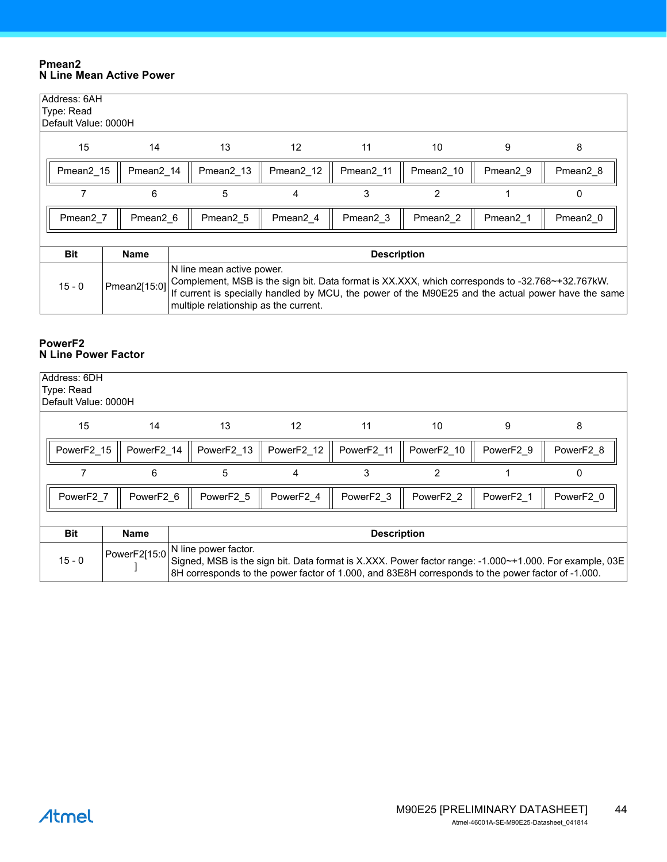#### <span id="page-43-0"></span>**Pmean2 N Line Mean Active Power**

| Address: 6AH<br>Type: Read<br>Default Value: 0000H |                      |                      |                                                                                                                                                                                                                                                                             |                      |                      |                      |                      |  |  |
|----------------------------------------------------|----------------------|----------------------|-----------------------------------------------------------------------------------------------------------------------------------------------------------------------------------------------------------------------------------------------------------------------------|----------------------|----------------------|----------------------|----------------------|--|--|
| 15                                                 | 14                   | 13                   | $12 \overline{ }$                                                                                                                                                                                                                                                           | 11                   | 10                   | 9                    | 8                    |  |  |
| Pmean <sub>2</sub> 15                              | Pmean2 14            | Pmean2_13            | Pmean2 12                                                                                                                                                                                                                                                                   | Pmean2 11            | Pmean2_10            | Pmean2 9             | Pmean <sub>2</sub> 8 |  |  |
|                                                    | 6                    | 5                    | 3<br>$\overline{2}$<br>4<br>0                                                                                                                                                                                                                                               |                      |                      |                      |                      |  |  |
| Pmean <sub>2</sub> 7                               | Pmean <sub>2</sub> 6 | Pmean <sub>2</sub> 5 | Pmean <sub>2</sub> 4                                                                                                                                                                                                                                                        | Pmean <sub>2</sub> 3 | Pmean <sub>2</sub> 2 | Pmean <sub>2</sub> 1 | Pmean <sub>2</sub> 0 |  |  |
|                                                    |                      |                      |                                                                                                                                                                                                                                                                             |                      |                      |                      |                      |  |  |
| <b>Bit</b>                                         | Name                 |                      |                                                                                                                                                                                                                                                                             | <b>Description</b>   |                      |                      |                      |  |  |
| $15 - 0$                                           | Pmean2[15:0]         |                      | N line mean active power.<br>Complement, MSB is the sign bit. Data format is XX.XXX, which corresponds to -32.768~+32.767kW.<br>If current is specially handled by MCU, the power of the M90E25 and the actual power have the same<br>multiple relationship as the current. |                      |                      |                      |                      |  |  |

#### <span id="page-43-1"></span>**PowerF2 N Line Power Factor**

| Address: 6DH<br>Type: Read<br>IDefault Value: 0000H |                            |                                                                                                                                                                                                                                     |            |                       |                       |           |           |  |
|-----------------------------------------------------|----------------------------|-------------------------------------------------------------------------------------------------------------------------------------------------------------------------------------------------------------------------------------|------------|-----------------------|-----------------------|-----------|-----------|--|
| 15                                                  | 14                         | 13                                                                                                                                                                                                                                  | 12         | 11                    | 10                    | 9         | 8         |  |
| PowerF2 15                                          | PowerF2 14                 | PowerF2 13                                                                                                                                                                                                                          | PowerF2 12 | PowerF2 11            | PowerF2 10            | PowerF2 9 | PowerF2 8 |  |
|                                                     | 5<br>3<br>2<br>6<br>0<br>4 |                                                                                                                                                                                                                                     |            |                       |                       |           |           |  |
| PowerF2 7                                           | PowerF2 6                  | PowerF2 5                                                                                                                                                                                                                           | PowerF2 4  | PowerF <sub>2</sub> 3 | PowerF <sub>2</sub> 2 | PowerF2 1 | PowerF2 0 |  |
|                                                     |                            |                                                                                                                                                                                                                                     |            |                       |                       |           |           |  |
| <b>Bit</b>                                          | <b>Name</b>                | <b>Description</b>                                                                                                                                                                                                                  |            |                       |                       |           |           |  |
| $15 - 0$                                            | PowerF2[15:0               | N line power factor.<br>Signed, MSB is the sign bit. Data format is X.XXX. Power factor range: -1.000~+1.000. For example, 03E<br>8H corresponds to the power factor of 1.000, and 83E8H corresponds to the power factor of -1.000. |            |                       |                       |           |           |  |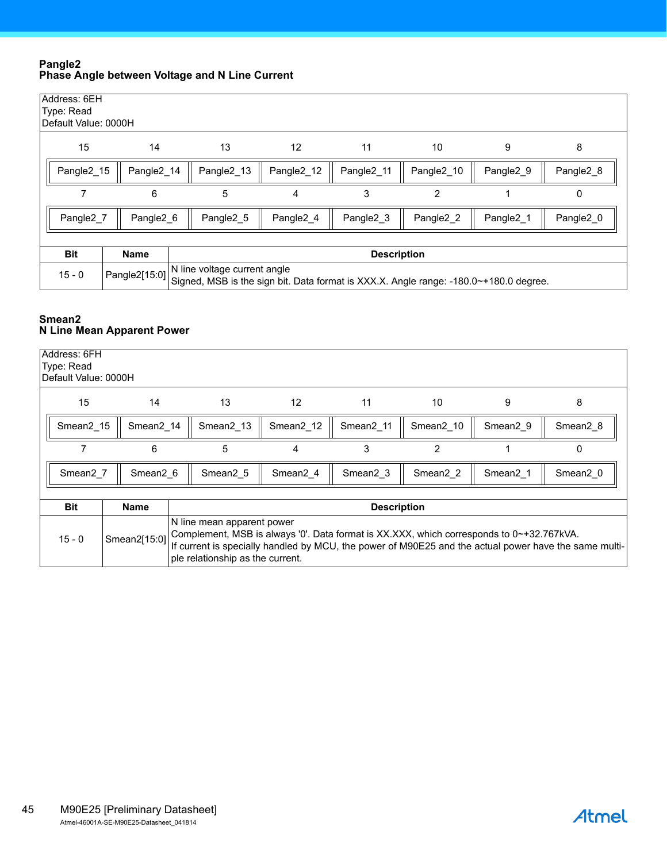#### <span id="page-44-0"></span>**Pangle2 Phase Angle between Voltage and N Line Current**

| Address: 6EH<br>Type: Read<br>Default Value: 0000H |                                                                                              |                                                                                                                       |           |           |                |           |           |  |  |  |
|----------------------------------------------------|----------------------------------------------------------------------------------------------|-----------------------------------------------------------------------------------------------------------------------|-----------|-----------|----------------|-----------|-----------|--|--|--|
| 15                                                 | 14                                                                                           | 13                                                                                                                    | 12        | 11        | 10             | 9         | 8         |  |  |  |
| Pangle2 15                                         | Pangle2 13<br>Pangle2 14<br>Pangle2 12<br>Pangle2 11<br>Pangle2 10<br>Pangle2 9<br>Pangle2 8 |                                                                                                                       |           |           |                |           |           |  |  |  |
|                                                    | 6                                                                                            | 5                                                                                                                     | 4         | 3         | $\overline{2}$ |           | 0         |  |  |  |
| Pangle2 7                                          | Pangle2 6                                                                                    | Pangle2 5                                                                                                             | Pangle2 4 | Pangle2 3 | Pangle2 2      | Pangle2_1 | Pangle2_0 |  |  |  |
|                                                    |                                                                                              |                                                                                                                       |           |           |                |           |           |  |  |  |
| <b>Bit</b>                                         | <b>Name</b><br><b>Description</b>                                                            |                                                                                                                       |           |           |                |           |           |  |  |  |
| $15 - 0$                                           | Pangle2[15:0]                                                                                | N line voltage current angle<br>Signed, MSB is the sign bit. Data format is XXX.X. Angle range: -180.0~+180.0 degree. |           |           |                |           |           |  |  |  |

#### <span id="page-44-1"></span>**Smean2 N Line Mean Apparent Power**

| Address: 6FH<br>Type: Read<br>Default Value: 0000H |                       |                     |                                                                                                                                                                                                                                                                     |                       |                       |                      |                      |  |  |
|----------------------------------------------------|-----------------------|---------------------|---------------------------------------------------------------------------------------------------------------------------------------------------------------------------------------------------------------------------------------------------------------------|-----------------------|-----------------------|----------------------|----------------------|--|--|
| 15                                                 | 14                    | 13                  | 12                                                                                                                                                                                                                                                                  | 11                    | 10                    | 9                    | 8                    |  |  |
| Smean <sub>2</sub> 15                              | Smean <sub>2</sub> 14 | Smean2 13           | Smean2 12                                                                                                                                                                                                                                                           | Smean <sub>2</sub> 11 | Smean <sub>2</sub> 10 | Smean <sub>2</sub> 9 | Smean <sub>2</sub> 8 |  |  |
|                                                    | 6                     | 5                   | 4                                                                                                                                                                                                                                                                   | 3                     | $\overline{2}$        |                      | 0                    |  |  |
| Smean <sub>2</sub> 7                               | Smean <sub>2</sub> 6  | Smean <sub>25</sub> | Smean <sub>2</sub> 4                                                                                                                                                                                                                                                | Smean <sub>2</sub> 3  | Smean <sub>2</sub> 2  | Smean <sub>2</sub> 1 | Smean <sub>2</sub> 0 |  |  |
| <b>Bit</b>                                         | <b>Name</b>           |                     |                                                                                                                                                                                                                                                                     | <b>Description</b>    |                       |                      |                      |  |  |
| $15 - 0$                                           | Smean2[15:0]          |                     | N line mean apparent power<br>Complement, MSB is always '0'. Data format is XX.XXX, which corresponds to 0~+32.767kVA.<br>If current is specially handled by MCU, the power of M90E25 and the actual power have the same multi-<br>ple relationship as the current. |                       |                       |                      |                      |  |  |

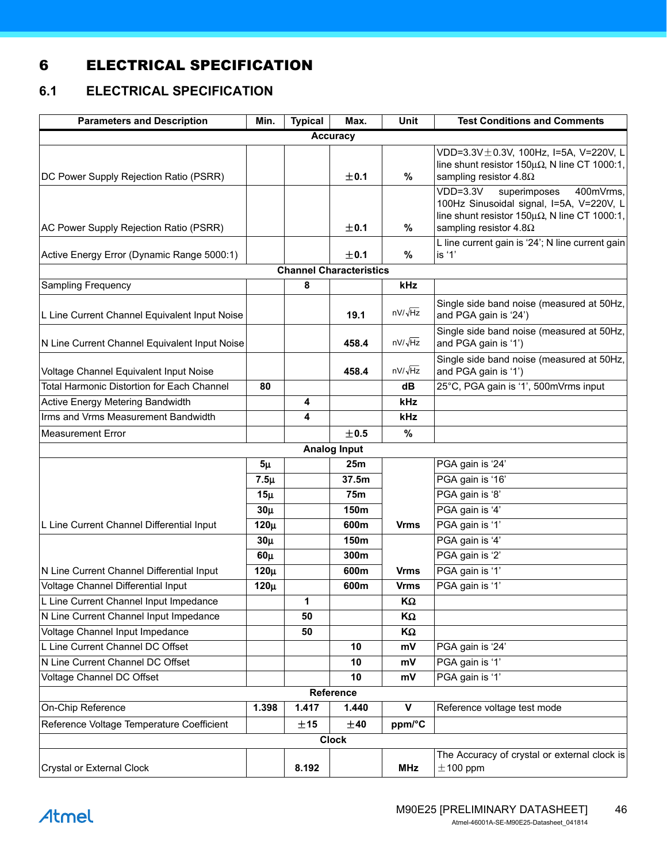# <span id="page-45-0"></span>6 ELECTRICAL SPECIFICATION

# <span id="page-45-1"></span>**6.1 ELECTRICAL SPECIFICATION**

| <b>Parameters and Description</b>                 | Min.     | <b>Typical</b> | Max.                           | Unit           | <b>Test Conditions and Comments</b>                                                                                                            |
|---------------------------------------------------|----------|----------------|--------------------------------|----------------|------------------------------------------------------------------------------------------------------------------------------------------------|
|                                                   |          |                | <b>Accuracy</b>                |                |                                                                                                                                                |
| DC Power Supply Rejection Ratio (PSRR)            |          |                | ±0.1                           | $\%$           | VDD=3.3V $\pm$ 0.3V, 100Hz, I=5A, V=220V, L<br>line shunt resistor 150 $\mu\Omega$ , N line CT 1000:1,<br>sampling resistor 4.8 $\Omega$       |
|                                                   |          |                |                                |                | $VDD=3.3V$<br>superimposes<br>400mVrms,<br>100Hz Sinusoidal signal, I=5A, V=220V, L<br>line shunt resistor 150 $\mu\Omega$ , N line CT 1000:1, |
| AC Power Supply Rejection Ratio (PSRR)            |          |                | ±0.1                           | %              | sampling resistor 4.8 $\Omega$                                                                                                                 |
| Active Energy Error (Dynamic Range 5000:1)        |          |                | ±0.1                           | %              | L line current gain is '24'; N line current gain<br>is '1'                                                                                     |
|                                                   |          |                | <b>Channel Characteristics</b> |                |                                                                                                                                                |
| Sampling Frequency                                |          | 8              |                                | kHz            |                                                                                                                                                |
| L Line Current Channel Equivalent Input Noise     |          |                | 19.1                           | $nV/\sqrt{Hz}$ | Single side band noise (measured at 50Hz,<br>and PGA gain is '24')                                                                             |
| N Line Current Channel Equivalent Input Noise     |          |                | 458.4                          | $nV/\sqrt{Hz}$ | Single side band noise (measured at 50Hz,<br>and PGA gain is '1')                                                                              |
| Voltage Channel Equivalent Input Noise            |          |                | 458.4                          | $nV/\sqrt{Hz}$ | Single side band noise (measured at 50Hz,<br>and PGA gain is '1')                                                                              |
| <b>Total Harmonic Distortion for Each Channel</b> | 80       |                |                                | dB             | 25°C, PGA gain is '1', 500mVrms input                                                                                                          |
| Active Energy Metering Bandwidth                  |          | 4              |                                | kHz            |                                                                                                                                                |
| Irms and Vrms Measurement Bandwidth               |          | 4              |                                | kHz            |                                                                                                                                                |
| Measurement Error                                 |          |                | ±0.5                           | $\%$           |                                                                                                                                                |
|                                                   |          |                | <b>Analog Input</b>            |                |                                                                                                                                                |
|                                                   | $5\mu$   |                | 25m                            |                | PGA gain is '24'                                                                                                                               |
|                                                   | $7.5\mu$ |                | 37.5m                          |                | PGA gain is '16'                                                                                                                               |
|                                                   | $15\mu$  |                | <b>75m</b>                     |                | PGA gain is '8'                                                                                                                                |
|                                                   | $30\mu$  |                | 150m                           |                | PGA gain is '4'                                                                                                                                |
| L Line Current Channel Differential Input         | $120\mu$ |                | 600m                           | <b>Vrms</b>    | PGA gain is '1'                                                                                                                                |
|                                                   | $30\mu$  |                | 150m                           |                | PGA gain is '4'                                                                                                                                |
|                                                   | $60\mu$  |                | 300m                           |                | PGA gain is '2'                                                                                                                                |
| N Line Current Channel Differential Input         | $120\mu$ |                | 600m                           | <b>Vrms</b>    | PGA gain is '1'                                                                                                                                |
| Voltage Channel Differential Input                | $120\mu$ |                | 600m                           | <b>Vrms</b>    | PGA gain is '1'                                                                                                                                |
| L Line Current Channel Input Impedance            |          | 1              |                                | ΚΩ             |                                                                                                                                                |
| N Line Current Channel Input Impedance            |          | 50             |                                | ΚΩ             |                                                                                                                                                |
| Voltage Channel Input Impedance                   |          | 50             |                                | ΚΩ             |                                                                                                                                                |
| L Line Current Channel DC Offset                  |          |                | 10                             | mV             | PGA gain is '24'                                                                                                                               |
| N Line Current Channel DC Offset                  |          |                | 10                             | mV             | PGA gain is '1'                                                                                                                                |
| Voltage Channel DC Offset                         |          |                | 10                             | mV             | PGA gain is '1'                                                                                                                                |
|                                                   |          |                | Reference                      |                |                                                                                                                                                |
| On-Chip Reference                                 | 1.398    | 1.417          | 1.440                          | $\mathsf{v}$   | Reference voltage test mode                                                                                                                    |
| Reference Voltage Temperature Coefficient         |          | ±15            | ±40                            | ppm/°C         |                                                                                                                                                |
|                                                   |          |                | <b>Clock</b>                   |                |                                                                                                                                                |
|                                                   |          |                |                                |                | The Accuracy of crystal or external clock is                                                                                                   |
| <b>Crystal or External Clock</b>                  |          | 8.192          |                                | <b>MHz</b>     | $±$ 100 ppm                                                                                                                                    |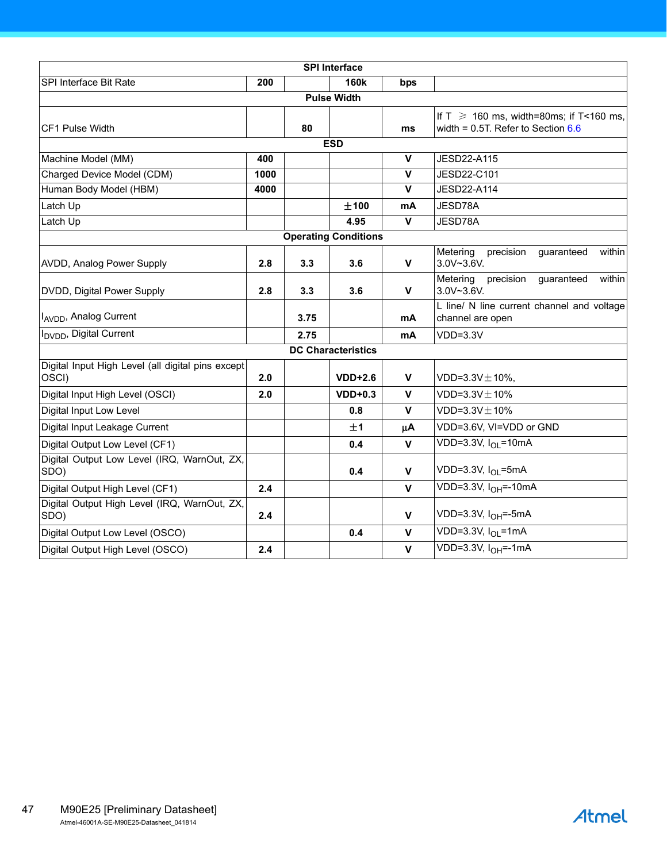|                                                            |      |      | <b>SPI Interface</b>        |                         |                                                                                         |  |  |
|------------------------------------------------------------|------|------|-----------------------------|-------------------------|-----------------------------------------------------------------------------------------|--|--|
| SPI Interface Bit Rate                                     | 200  |      | <b>160k</b>                 | bps                     |                                                                                         |  |  |
|                                                            |      |      | <b>Pulse Width</b>          |                         |                                                                                         |  |  |
| CF1 Pulse Width                                            |      | 80   |                             | ms                      | If T $\geq$ 160 ms, width=80ms; if T<160 ms,<br>width = $0.5T$ . Refer to Section $6.6$ |  |  |
|                                                            |      |      | <b>ESD</b>                  |                         |                                                                                         |  |  |
| Machine Model (MM)                                         | 400  |      |                             | $\mathbf v$             | <b>JESD22-A115</b>                                                                      |  |  |
| Charged Device Model (CDM)                                 | 1000 |      |                             | $\mathbf v$             | JESD22-C101                                                                             |  |  |
| Human Body Model (HBM)                                     | 4000 |      |                             | $\overline{\mathsf{v}}$ | <b>JESD22-A114</b>                                                                      |  |  |
| Latch Up                                                   |      |      | ±100                        | mA                      | JESD78A                                                                                 |  |  |
| Latch Up                                                   |      |      | 4.95                        | $\mathbf{V}$            | JESD78A                                                                                 |  |  |
|                                                            |      |      | <b>Operating Conditions</b> |                         |                                                                                         |  |  |
| AVDD, Analog Power Supply                                  | 2.8  | 3.3  | 3.6                         | $\mathbf v$             | Metering<br>precision<br>within<br>guaranteed<br>3.0V~3.6V.                             |  |  |
| DVDD, Digital Power Supply                                 | 2.8  | 3.3  | 3.6                         | $\mathbf{V}$            | Metering<br>precision<br>guaranteed<br>within<br>3.0V~3.6V.                             |  |  |
| I <sub>AVDD</sub> , Analog Current                         |      | 3.75 |                             | mA                      | L line/ N line current channel and voltage<br>channel are open                          |  |  |
| I <sub>DVDD</sub> , Digital Current                        |      | 2.75 |                             | mA                      | $VDD=3.3V$                                                                              |  |  |
|                                                            |      |      | <b>DC Characteristics</b>   |                         |                                                                                         |  |  |
| Digital Input High Level (all digital pins except<br>OSCI) | 2.0  |      | $VDD+2.6$                   | $\mathsf{v}$            | $VDD=3.3V \pm 10\%,$                                                                    |  |  |
| Digital Input High Level (OSCI)                            | 2.0  |      | $VDD+0.3$                   | $\mathbf{V}$            | VDD= $3.3V \pm 10\%$                                                                    |  |  |
| Digital Input Low Level                                    |      |      | 0.8                         | $\mathsf{V}$            | VDD= $3.3V \pm 10\%$                                                                    |  |  |
| Digital Input Leakage Current                              |      |      | ±1                          | μA                      | VDD=3.6V, VI=VDD or GND                                                                 |  |  |
| Digital Output Low Level (CF1)                             |      |      | 0.4                         | $\mathbf{V}$            | $\overline{\text{VDD=3.3V}}$ , $I_{OL}$ =10mA                                           |  |  |
| Digital Output Low Level (IRQ, WarnOut, ZX,<br>SDO)        |      |      | 0.4                         | $\mathbf v$             | VDD=3.3V, I <sub>OL</sub> =5mA                                                          |  |  |
| Digital Output High Level (CF1)                            | 2.4  |      |                             | $\mathbf{V}$            | $VDD=3.3V, IOH=-10mA$                                                                   |  |  |
| Digital Output High Level (IRQ, WarnOut, ZX,<br>SDO)       | 2.4  |      |                             | $\mathbf{V}$            | VDD=3.3V, I <sub>OH</sub> =-5mA                                                         |  |  |
| Digital Output Low Level (OSCO)                            |      |      | 0.4                         | $\mathbf{V}$            | VDD=3.3V, $I_{OI}$ =1mA                                                                 |  |  |
| Digital Output High Level (OSCO)                           | 2.4  |      |                             | $\mathbf{V}$            | VDD=3.3V, I <sub>OH</sub> =-1mA                                                         |  |  |

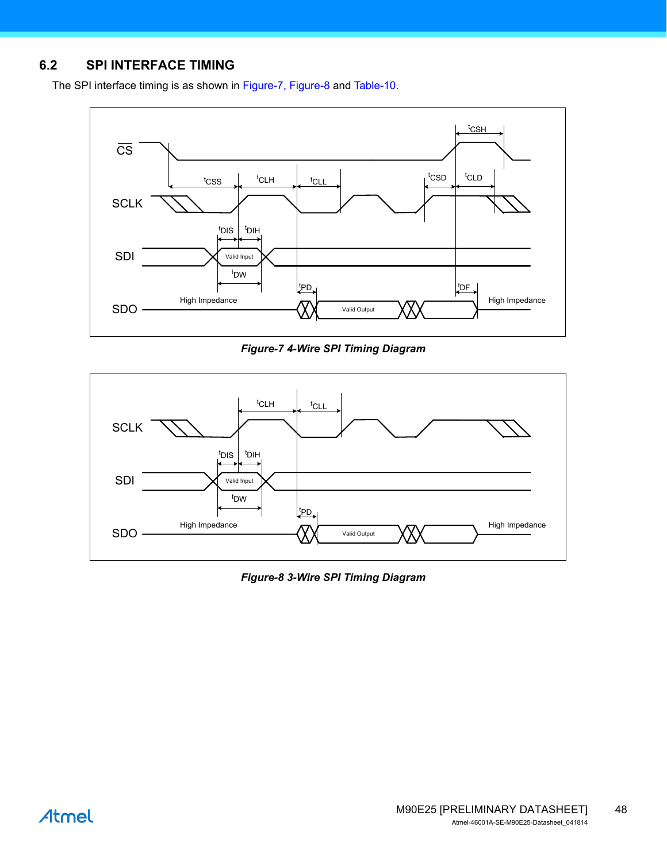## <span id="page-47-0"></span>**6.2 SPI INTERFACE TIMING**

The SPI interface timing is as shown in [Figure-7](#page-47-1), [Figure-8](#page-47-2) and [Table-10.](#page-48-0)



*Figure-7 4-Wire SPI Timing Diagram*

<span id="page-47-1"></span>

<span id="page-47-2"></span>*Figure-8 3-Wire SPI Timing Diagram*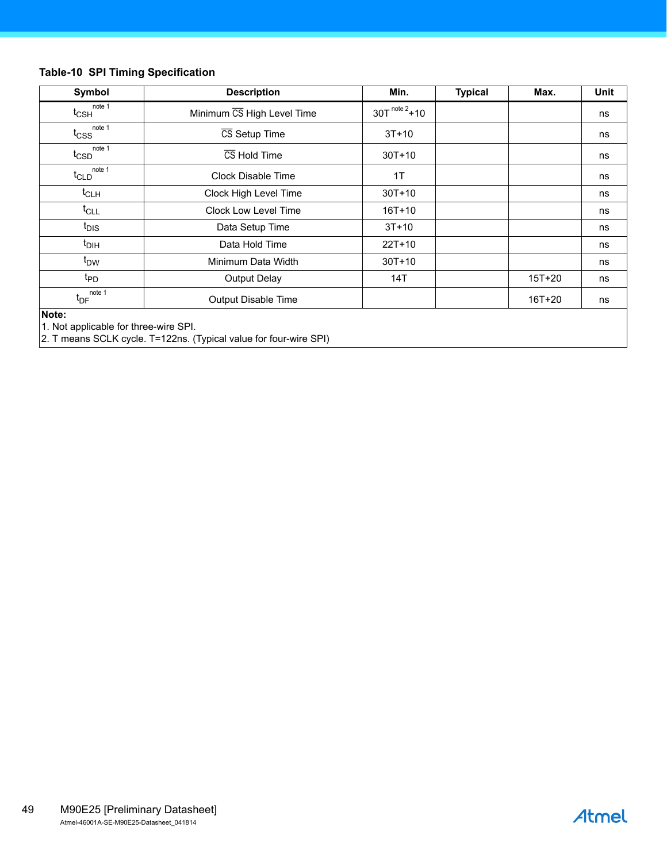#### <span id="page-48-0"></span>**Table-10 SPI Timing Specification**

| Symbol                                         | <b>Description</b>         | Min.               | <b>Typical</b> | Max.       | Unit |
|------------------------------------------------|----------------------------|--------------------|----------------|------------|------|
| note 1<br>$t_{\text{CSH}}$                     | Minimum CS High Level Time | $30T^{note\,2}+10$ |                |            | ns   |
| $t_{\text{CSS}}^{\text{note 1}}$               | CS Setup Time              | $3T+10$            |                |            | ns   |
| note 1<br>$t_{\text{CSD}}$                     | CS Hold Time               | $30T + 10$         |                |            | ns   |
| note 1<br>$t_{CLD}$                            | <b>Clock Disable Time</b>  | 1T                 |                |            | ns   |
| $t_{CLH}$                                      | Clock High Level Time      | $30T + 10$         |                |            | ns   |
| $t_{CLL}$                                      | Clock Low Level Time       | $16T + 10$         |                |            | ns   |
| t <sub>DIS</sub>                               | Data Setup Time            | $3T+10$            |                |            | ns   |
| $t_{DH}$                                       | Data Hold Time             | $22T+10$           |                |            | ns   |
| t <sub>DW</sub>                                | Minimum Data Width         | $30T + 10$         |                |            | ns   |
| t <sub>PD</sub>                                | <b>Output Delay</b>        | 14T                |                | $15T + 20$ | ns   |
| note 1<br>$t_{DF}$                             | Output Disable Time        |                    |                | 16T+20     | ns   |
| Note:<br>1. Not applicable for three-wire SPI. |                            |                    |                |            |      |

2. T means SCLK cycle. T=122ns. (Typical value for four-wire SPI)

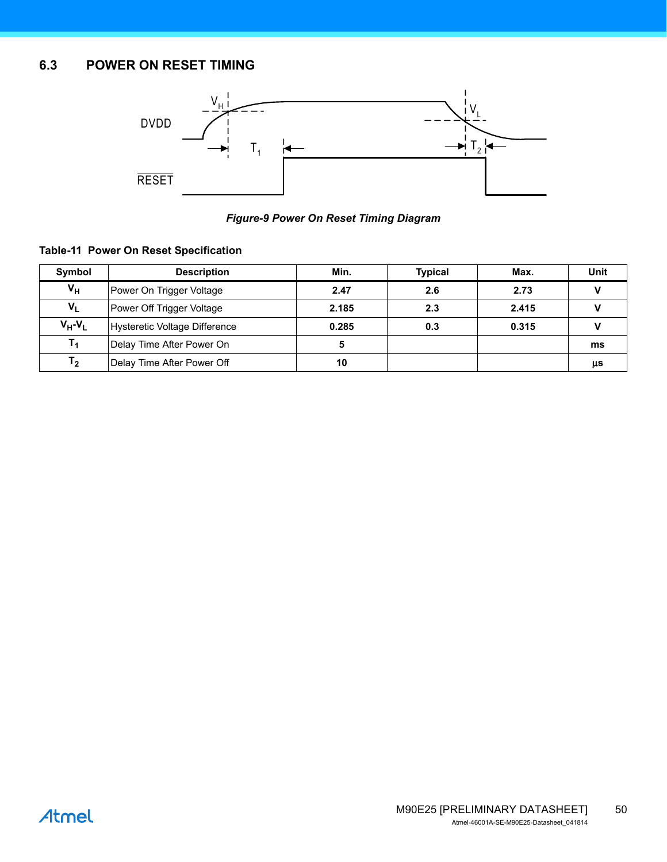# <span id="page-49-0"></span>**6.3 POWER ON RESET TIMING**

<span id="page-49-3"></span>

*Figure-9 Power On Reset Timing Diagram*

#### <span id="page-49-2"></span><span id="page-49-1"></span>**Table-11 Power On Reset Specification**

| Symbol         | <b>Description</b>            | Min.  | <b>Typical</b> | Max.  | Unit |
|----------------|-------------------------------|-------|----------------|-------|------|
| $V_H$          | Power On Trigger Voltage      | 2.47  | 2.6            | 2.73  |      |
| $V_L$          | Power Off Trigger Voltage     | 2.185 | 2.3            | 2.415 |      |
| $V_H - V_L$    | Hysteretic Voltage Difference | 0.285 | 0.3            | 0.315 |      |
| $T_1$          | Delay Time After Power On     | 5     |                |       | ms   |
| T <sub>2</sub> | Delay Time After Power Off    | 10    |                |       | μs   |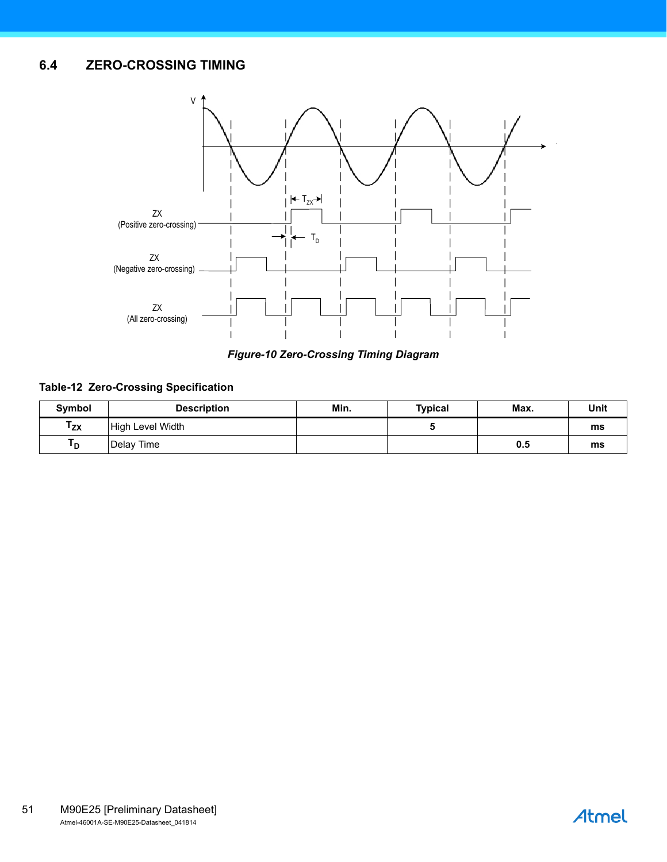# <span id="page-50-0"></span>**6.4 ZERO-CROSSING TIMING**

<span id="page-50-3"></span>

*Figure-10 Zero-Crossing Timing Diagram*

#### <span id="page-50-2"></span><span id="page-50-1"></span>**Table-12 Zero-Crossing Specification**

| Symbol   | <b>Description</b> | Min. | <b>Typical</b> | Max. | Unit |
|----------|--------------------|------|----------------|------|------|
| $T_{ZX}$ | High Level Width   |      |                |      | ms   |
| ם י      | Delay Time         |      |                | 0.5  | ms   |

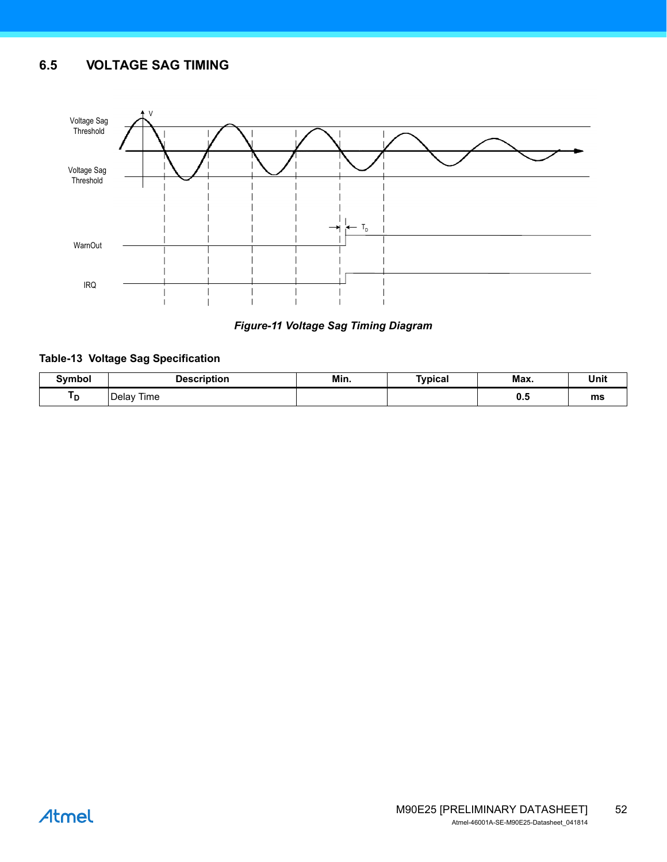## <span id="page-51-3"></span><span id="page-51-0"></span>**6.5 VOLTAGE SAG TIMING**



#### *Figure-11 Voltage Sag Timing Diagram*

#### <span id="page-51-2"></span><span id="page-51-1"></span>**Table-13 Voltage Sag Specification**

| Symbol | <u>⊃eecription</u> | Min. | Typical | Max. | Unit |
|--------|--------------------|------|---------|------|------|
| ם י    | Time<br>Delav      |      |         | v.,  | ms   |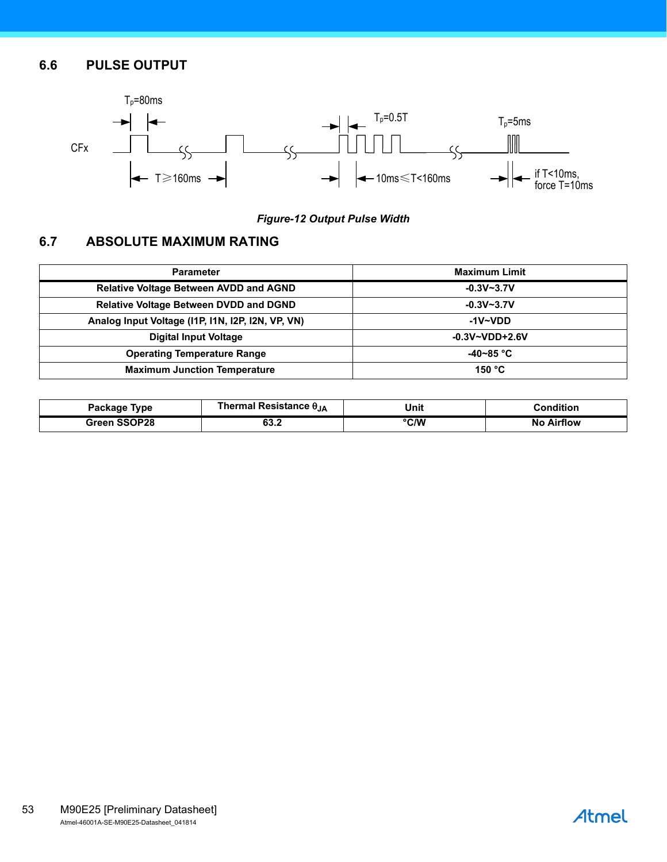## <span id="page-52-0"></span>**6.6 PULSE OUTPUT**



#### *Figure-12 Output Pulse Width*

# <span id="page-52-2"></span><span id="page-52-1"></span>**6.7 ABSOLUTE MAXIMUM RATING**

| <b>Parameter</b>                                  | <b>Maximum Limit</b> |
|---------------------------------------------------|----------------------|
| <b>Relative Voltage Between AVDD and AGND</b>     | $-0.3V - 3.7V$       |
| <b>Relative Voltage Between DVDD and DGND</b>     | $-0.3V - 3.7V$       |
| Analog Input Voltage (I1P, I1N, I2P, I2N, VP, VN) | -1V~VDD              |
| <b>Digital Input Voltage</b>                      | $-0.3V - VDD + 2.6V$ |
| <b>Operating Temperature Range</b>                | -40~85 °C            |
| <b>Maximum Junction Temperature</b>               | 150 $^{\circ}$ C     |

| Package Type        | Thermal Resistance θ <sub>JA</sub> | Unit | <b>Condition</b>                |
|---------------------|------------------------------------|------|---------------------------------|
| <b>Green SSOP28</b> | 99.Z<br>$ -$                       | °C/W | <b>Airflow</b><br>No.<br>$\sim$ |

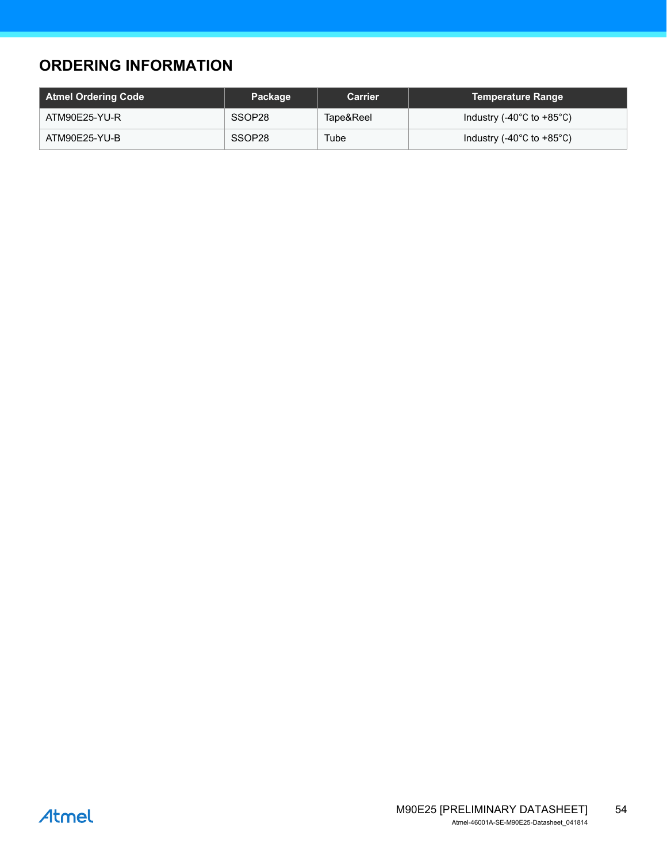# <span id="page-53-0"></span>**ORDERING INFORMATION**

| Atmel Ordering Code | Package | <b>Carrier</b> | <b>Temperature Range</b>                        |
|---------------------|---------|----------------|-------------------------------------------------|
| ATM90E25-YU-R       | SSOP28  | Tape&Reel      | Industry (-40 $^{\circ}$ C to +85 $^{\circ}$ C) |
| ATM90E25-YU-B       | SSOP28  | Tube           | Industry (-40 $^{\circ}$ C to +85 $^{\circ}$ C) |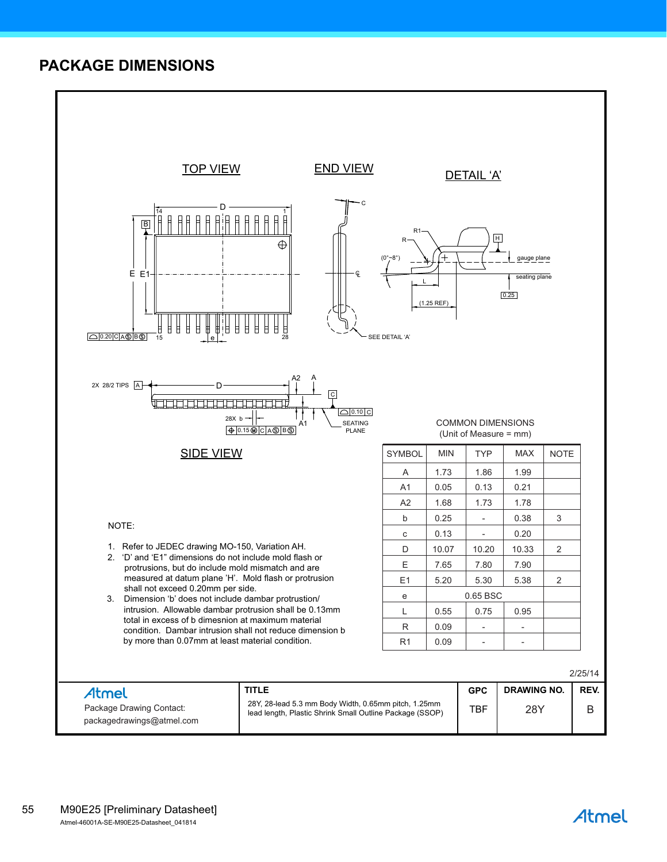# <span id="page-54-0"></span>**PACKAGE DIMENSIONS**



# Atmel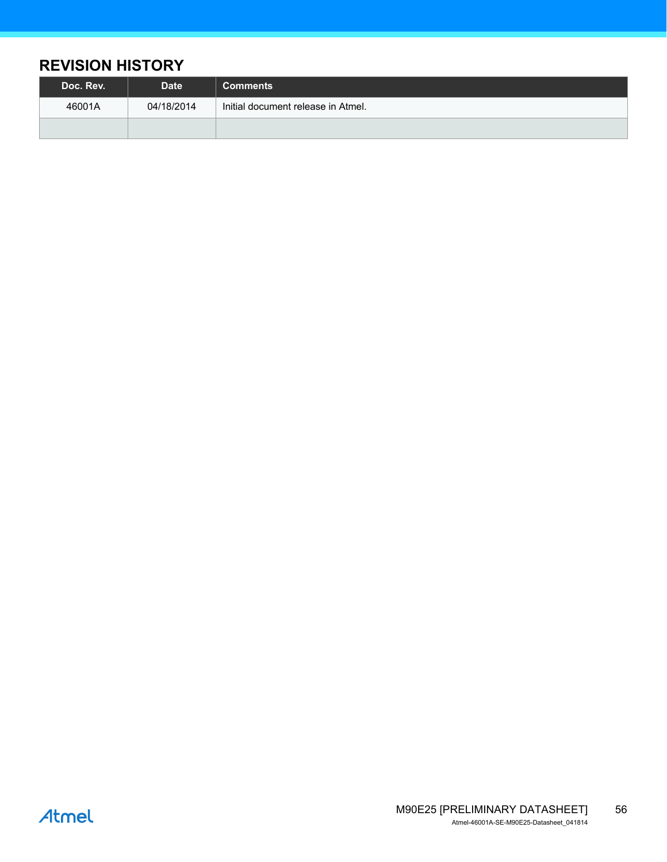# <span id="page-55-0"></span>**REVISION HISTORY**

| Doc. Rev. | <b>Date</b> | <b>Comments</b>                    |
|-----------|-------------|------------------------------------|
| 46001A    | 04/18/2014  | Initial document release in Atmel. |
|           |             |                                    |